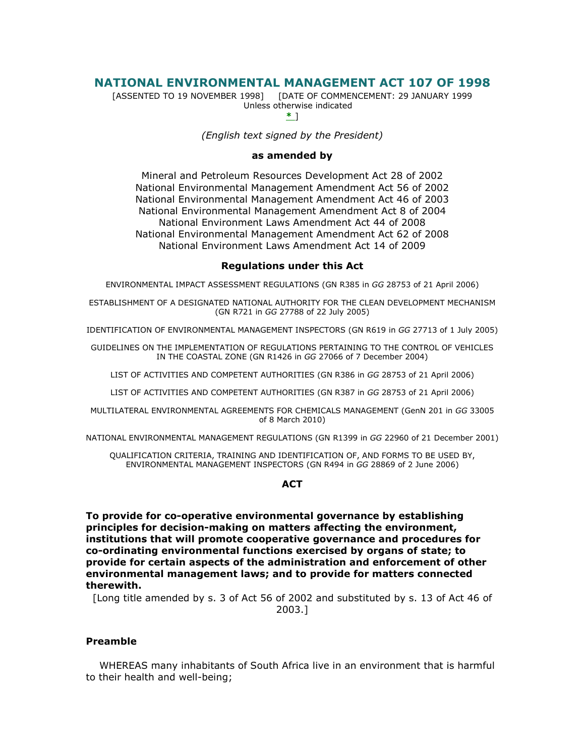## NATIONAL ENVIRONMENTAL MANAGEMENT ACT 107 OF 1998

[ASSENTED TO 19 NOVEMBER 1998] [DATE OF COMMENCEMENT: 29 JANUARY 1999 Unless otherwise indicated

 $*$  ]

(English text signed by the President)

#### as amended by

Mineral and Petroleum Resources Development Act 28 of 2002 National Environmental Management Amendment Act 56 of 2002 National Environmental Management Amendment Act 46 of 2003 National Environmental Management Amendment Act 8 of 2004 National Environment Laws Amendment Act 44 of 2008 National Environmental Management Amendment Act 62 of 2008 National Environment Laws Amendment Act 14 of 2009

#### Regulations under this Act

ENVIRONMENTAL IMPACT ASSESSMENT REGULATIONS (GN R385 in GG 28753 of 21 April 2006)

ESTABLISHMENT OF A DESIGNATED NATIONAL AUTHORITY FOR THE CLEAN DEVELOPMENT MECHANISM (GN R721 in GG 27788 of 22 July 2005)

IDENTIFICATION OF ENVIRONMENTAL MANAGEMENT INSPECTORS (GN R619 in GG 27713 of 1 July 2005)

GUIDELINES ON THE IMPLEMENTATION OF REGULATIONS PERTAINING TO THE CONTROL OF VEHICLES IN THE COASTAL ZONE (GN R1426 in GG 27066 of 7 December 2004)

LIST OF ACTIVITIES AND COMPETENT AUTHORITIES (GN R386 in GG 28753 of 21 April 2006)

LIST OF ACTIVITIES AND COMPETENT AUTHORITIES (GN R387 in GG 28753 of 21 April 2006)

MULTILATERAL ENVIRONMENTAL AGREEMENTS FOR CHEMICALS MANAGEMENT (GenN 201 in GG 33005 of 8 March 2010)

NATIONAL ENVIRONMENTAL MANAGEMENT REGULATIONS (GN R1399 in GG 22960 of 21 December 2001)

QUALIFICATION CRITERIA, TRAINING AND IDENTIFICATION OF, AND FORMS TO BE USED BY, ENVIRONMENTAL MANAGEMENT INSPECTORS (GN R494 in GG 28869 of 2 June 2006)

#### **ACT**

To provide for co-operative environmental governance by establishing principles for decision-making on matters affecting the environment, institutions that will promote cooperative governance and procedures for co-ordinating environmental functions exercised by organs of state; to provide for certain aspects of the administration and enforcement of other environmental management laws; and to provide for matters connected therewith.

[Long title amended by s. 3 of Act 56 of 2002 and substituted by s. 13 of Act 46 of 2003.]

## Preamble

 WHEREAS many inhabitants of South Africa live in an environment that is harmful to their health and well-being;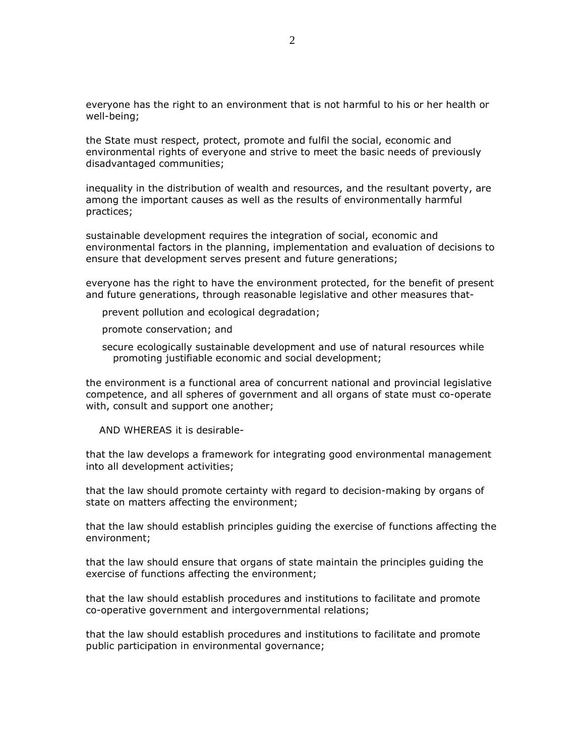everyone has the right to an environment that is not harmful to his or her health or well-being;

the State must respect, protect, promote and fulfil the social, economic and environmental rights of everyone and strive to meet the basic needs of previously disadvantaged communities;

inequality in the distribution of wealth and resources, and the resultant poverty, are among the important causes as well as the results of environmentally harmful practices;

sustainable development requires the integration of social, economic and environmental factors in the planning, implementation and evaluation of decisions to ensure that development serves present and future generations;

everyone has the right to have the environment protected, for the benefit of present and future generations, through reasonable legislative and other measures that-

prevent pollution and ecological degradation;

promote conservation; and

 secure ecologically sustainable development and use of natural resources while promoting justifiable economic and social development;

the environment is a functional area of concurrent national and provincial legislative competence, and all spheres of government and all organs of state must co-operate with, consult and support one another;

AND WHEREAS it is desirable-

that the law develops a framework for integrating good environmental management into all development activities;

that the law should promote certainty with regard to decision-making by organs of state on matters affecting the environment;

that the law should establish principles guiding the exercise of functions affecting the environment;

that the law should ensure that organs of state maintain the principles guiding the exercise of functions affecting the environment;

that the law should establish procedures and institutions to facilitate and promote co-operative government and intergovernmental relations;

that the law should establish procedures and institutions to facilitate and promote public participation in environmental governance;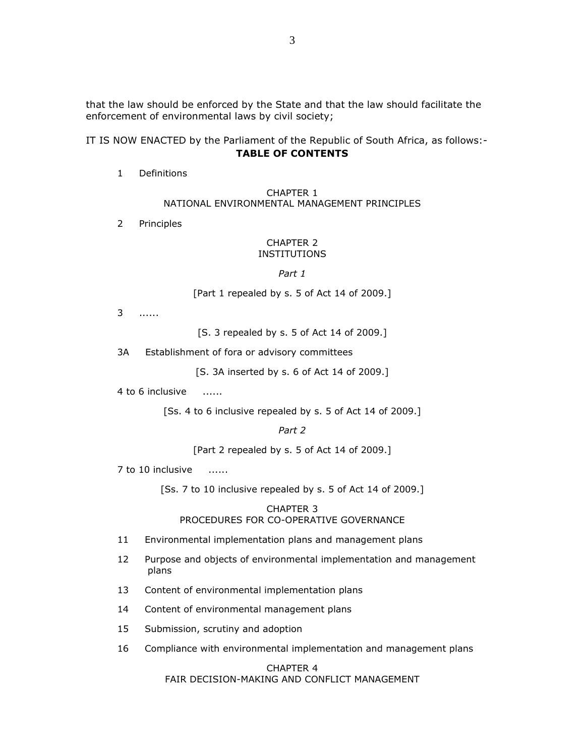that the law should be enforced by the State and that the law should facilitate the enforcement of environmental laws by civil society;

## IT IS NOW ENACTED by the Parliament of the Republic of South Africa, as follows:- TABLE OF CONTENTS

1 Definitions

#### CHAPTER 1 NATIONAL ENVIRONMENTAL MANAGEMENT PRINCIPLES

2 Principles

## CHAPTER 2 INSTITUTIONS

#### Part 1

[Part 1 repealed by s. 5 of Act 14 of 2009.]

3 ......

[S. 3 repealed by s. 5 of Act 14 of 2009.]

3A Establishment of fora or advisory committees

[S. 3A inserted by s. 6 of Act 14 of 2009.]

4 to 6 inclusive ......

[Ss. 4 to 6 inclusive repealed by s. 5 of Act 14 of 2009.]

Part 2

[Part 2 repealed by s. 5 of Act 14 of 2009.]

7 to 10 inclusive ......

[Ss. 7 to 10 inclusive repealed by s. 5 of Act 14 of 2009.]

## CHAPTER 3 PROCEDURES FOR CO-OPERATIVE GOVERNANCE

- 11 Environmental implementation plans and management plans
- 12 Purpose and objects of environmental implementation and management plans
- 13 Content of environmental implementation plans
- 14 Content of environmental management plans
- 15 Submission, scrutiny and adoption
- 16 Compliance with environmental implementation and management plans

## CHAPTER 4 FAIR DECISION-MAKING AND CONFLICT MANAGEMENT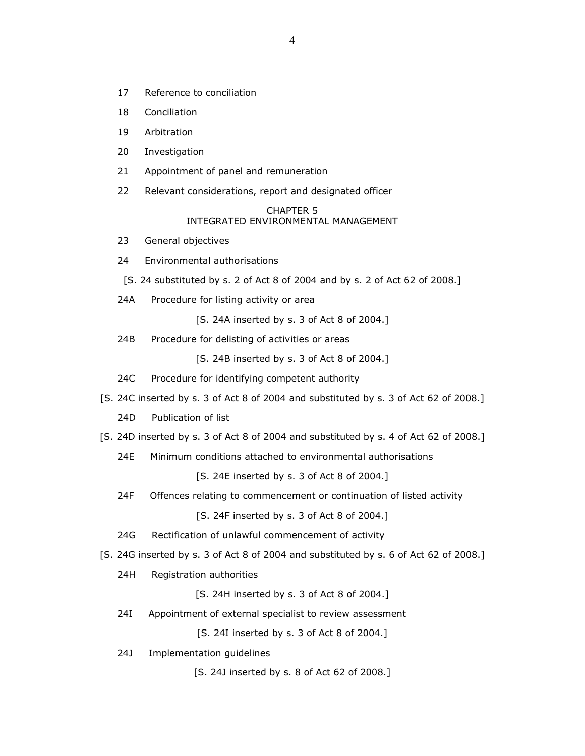- 17 Reference to conciliation
- 18 Conciliation
- 19 Arbitration
- 20 Investigation
- 21 Appointment of panel and remuneration
- 22 Relevant considerations, report and designated officer

## CHAPTER 5 INTEGRATED ENVIRONMENTAL MANAGEMENT

- 23 General objectives
- 24 Environmental authorisations
- [S. 24 substituted by s. 2 of Act 8 of 2004 and by s. 2 of Act 62 of 2008.]
- 24A Procedure for listing activity or area

[S. 24A inserted by s. 3 of Act 8 of 2004.]

24B Procedure for delisting of activities or areas

[S. 24B inserted by s. 3 of Act 8 of 2004.]

- 24C Procedure for identifying competent authority
- [S. 24C inserted by s. 3 of Act 8 of 2004 and substituted by s. 3 of Act 62 of 2008.]
	- 24D Publication of list
- [S. 24D inserted by s. 3 of Act 8 of 2004 and substituted by s. 4 of Act 62 of 2008.]
	- 24E Minimum conditions attached to environmental authorisations

[S. 24E inserted by s. 3 of Act 8 of 2004.]

24F Offences relating to commencement or continuation of listed activity

[S. 24F inserted by s. 3 of Act 8 of 2004.]

- 24G Rectification of unlawful commencement of activity
- [S. 24G inserted by s. 3 of Act 8 of 2004 and substituted by s. 6 of Act 62 of 2008.]
	- 24H Registration authorities

[S. 24H inserted by s. 3 of Act 8 of 2004.]

24I Appointment of external specialist to review assessment

[S. 24I inserted by s. 3 of Act 8 of 2004.]

24J Implementation guidelines

[S. 24J inserted by s. 8 of Act 62 of 2008.]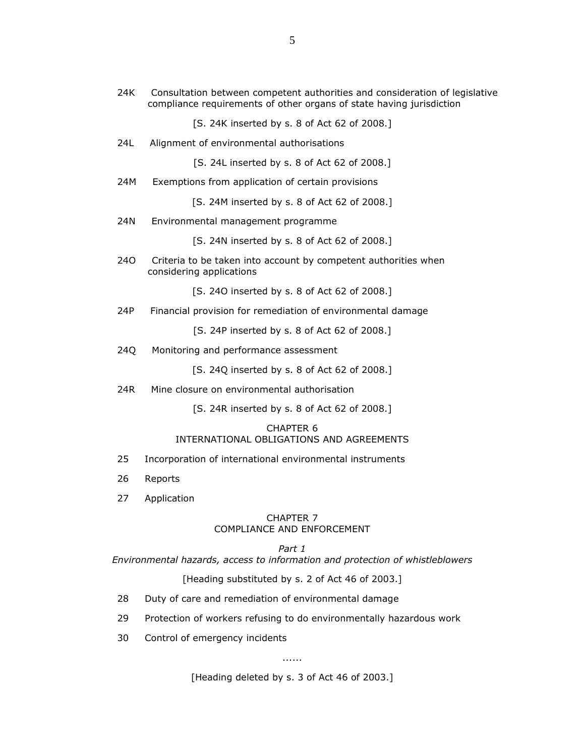24K Consultation between competent authorities and consideration of legislative compliance requirements of other organs of state having jurisdiction

[S. 24K inserted by s. 8 of Act 62 of 2008.]

24L Alignment of environmental authorisations

[S. 24L inserted by s. 8 of Act 62 of 2008.]

24M Exemptions from application of certain provisions

[S. 24M inserted by s. 8 of Act 62 of 2008.]

24N Environmental management programme

[S. 24N inserted by s. 8 of Act 62 of 2008.]

 24O Criteria to be taken into account by competent authorities when considering applications

[S. 24O inserted by s. 8 of Act 62 of 2008.]

24P Financial provision for remediation of environmental damage

[S. 24P inserted by s. 8 of Act 62 of 2008.]

24Q Monitoring and performance assessment

[S. 24Q inserted by s. 8 of Act 62 of 2008.]

24R Mine closure on environmental authorisation

[S. 24R inserted by s. 8 of Act 62 of 2008.]

#### CHAPTER 6 INTERNATIONAL OBLIGATIONS AND AGREEMENTS

- 25 Incorporation of international environmental instruments
- 26 Reports
- 27 Application

## CHAPTER 7

## COMPLIANCE AND ENFORCEMENT

#### Part 1

Environmental hazards, access to information and protection of whistleblowers

## [Heading substituted by s. 2 of Act 46 of 2003.]

- 28 Duty of care and remediation of environmental damage
- 29 Protection of workers refusing to do environmentally hazardous work
- 30 Control of emergency incidents

......

[Heading deleted by s. 3 of Act 46 of 2003.]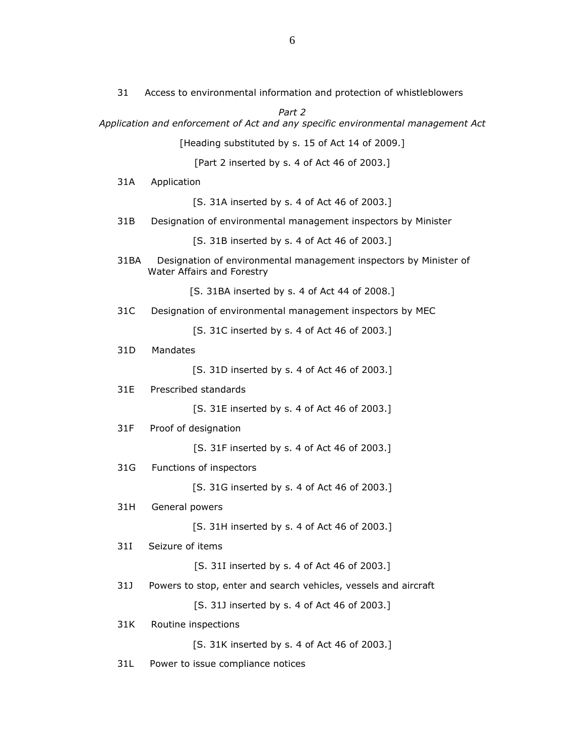31 Access to environmental information and protection of whistleblowers

Part 2

Application and enforcement of Act and any specific environmental management Act

[Heading substituted by s. 15 of Act 14 of 2009.]

[Part 2 inserted by s. 4 of Act 46 of 2003.]

31A Application

[S. 31A inserted by s. 4 of Act 46 of 2003.]

31B Designation of environmental management inspectors by Minister

[S. 31B inserted by s. 4 of Act 46 of 2003.]

 31BA Designation of environmental management inspectors by Minister of Water Affairs and Forestry

[S. 31BA inserted by s. 4 of Act 44 of 2008.]

31C Designation of environmental management inspectors by MEC

[S. 31C inserted by s. 4 of Act 46 of 2003.]

31D Mandates

[S. 31D inserted by s. 4 of Act 46 of 2003.]

31E Prescribed standards

[S. 31E inserted by s. 4 of Act 46 of 2003.]

31F Proof of designation

[S. 31F inserted by s. 4 of Act 46 of 2003.]

31G Functions of inspectors

[S. 31G inserted by s. 4 of Act 46 of 2003.]

31H General powers

[S. 31H inserted by s. 4 of Act 46 of 2003.]

31I Seizure of items

[S. 31I inserted by s. 4 of Act 46 of 2003.]

31J Powers to stop, enter and search vehicles, vessels and aircraft

[S. 31J inserted by s. 4 of Act 46 of 2003.]

31K Routine inspections

[S. 31K inserted by s. 4 of Act 46 of 2003.]

31L Power to issue compliance notices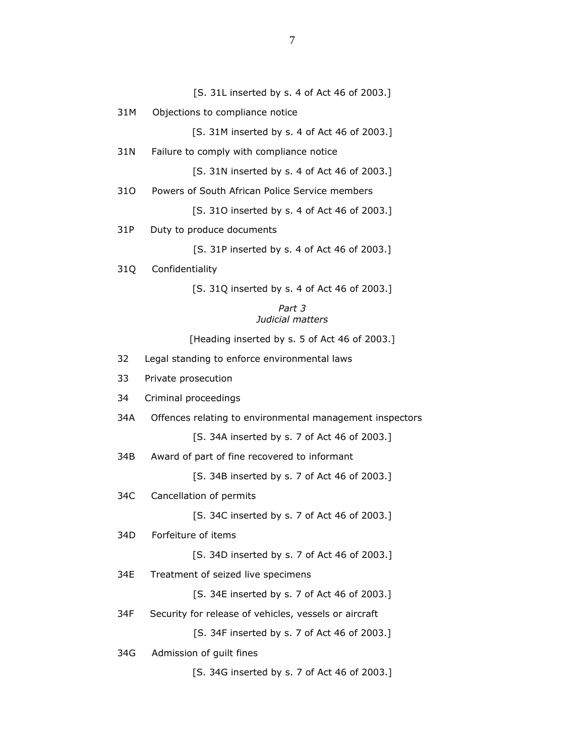|     | [S. 31L inserted by s. 4 of Act 46 of 2003.]             |
|-----|----------------------------------------------------------|
| 31M | Objections to compliance notice                          |
|     | [S. 31M inserted by s. 4 of Act 46 of 2003.]             |
| 31N | Failure to comply with compliance notice                 |
|     | [S. 31N inserted by s. 4 of Act 46 of 2003.]             |
| 310 | Powers of South African Police Service members           |
|     | [S. 310 inserted by s. 4 of Act 46 of 2003.]             |
| 31P | Duty to produce documents                                |
|     | [S. 31P inserted by s. 4 of Act 46 of 2003.]             |
| 31Q | Confidentiality                                          |
|     | [S. 31Q inserted by s. 4 of Act 46 of 2003.]             |
|     | Part 3<br>Judicial matters                               |
|     | [Heading inserted by s. 5 of Act 46 of 2003.]            |
| 32  | Legal standing to enforce environmental laws             |
| 33  | Private prosecution                                      |
| 34  | Criminal proceedings                                     |
| 34A | Offences relating to environmental management inspectors |
|     | [S. 34A inserted by s. 7 of Act 46 of 2003.]             |
| 34B | Award of part of fine recovered to informant             |
|     | [S. 34B inserted by s. 7 of Act 46 of 2003.]             |
| 34C | Cancellation of permits                                  |
|     | [S. 34C inserted by s. 7 of Act 46 of 2003.]             |
| 34D | Forfeiture of items                                      |
|     | [S. 34D inserted by s. 7 of Act 46 of 2003.]             |
| 34E | Treatment of seized live specimens                       |
|     | [S. 34E inserted by s. 7 of Act 46 of 2003.]             |
| 34F | Security for release of vehicles, vessels or aircraft    |
|     | [S. 34F inserted by s. 7 of Act 46 of 2003.]             |
| 34G | Admission of guilt fines                                 |
|     |                                                          |

[S. 34G inserted by s. 7 of Act 46 of 2003.]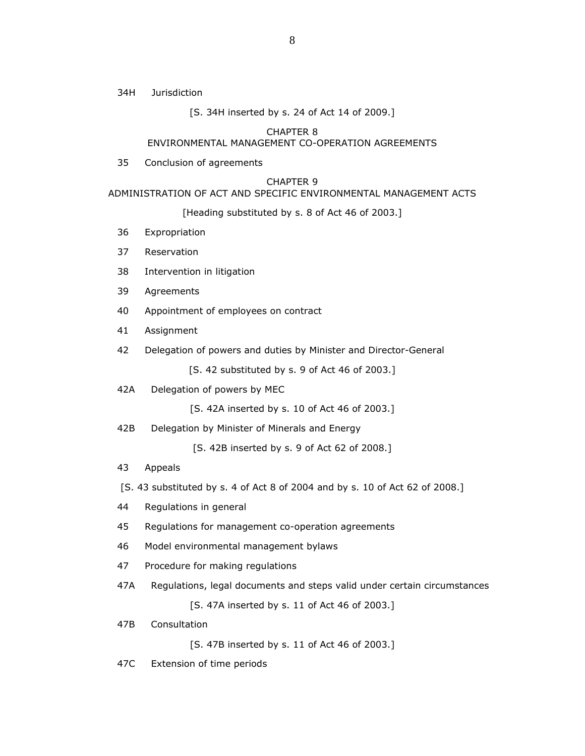34H Jurisdiction

[S. 34H inserted by s. 24 of Act 14 of 2009.]

#### CHAPTER 8

# ENVIRONMENTAL MANAGEMENT CO-OPERATION AGREEMENTS

35 Conclusion of agreements

#### CHAPTER 9

ADMINISTRATION OF ACT AND SPECIFIC ENVIRONMENTAL MANAGEMENT ACTS

[Heading substituted by s. 8 of Act 46 of 2003.]

- 36 Expropriation
- 37 Reservation
- 38 Intervention in litigation
- 39 Agreements
- 40 Appointment of employees on contract
- 41 Assignment
- 42 Delegation of powers and duties by Minister and Director-General

[S. 42 substituted by s. 9 of Act 46 of 2003.]

42A Delegation of powers by MEC

[S. 42A inserted by s. 10 of Act 46 of 2003.]

42B Delegation by Minister of Minerals and Energy

[S. 42B inserted by s. 9 of Act 62 of 2008.]

- 43 Appeals
- [S. 43 substituted by s. 4 of Act 8 of 2004 and by s. 10 of Act 62 of 2008.]
- 44 Regulations in general
- 45 Regulations for management co-operation agreements
- 46 Model environmental management bylaws
- 47 Procedure for making regulations
- 47A Regulations, legal documents and steps valid under certain circumstances

[S. 47A inserted by s. 11 of Act 46 of 2003.]

47B Consultation

[S. 47B inserted by s. 11 of Act 46 of 2003.]

47C Extension of time periods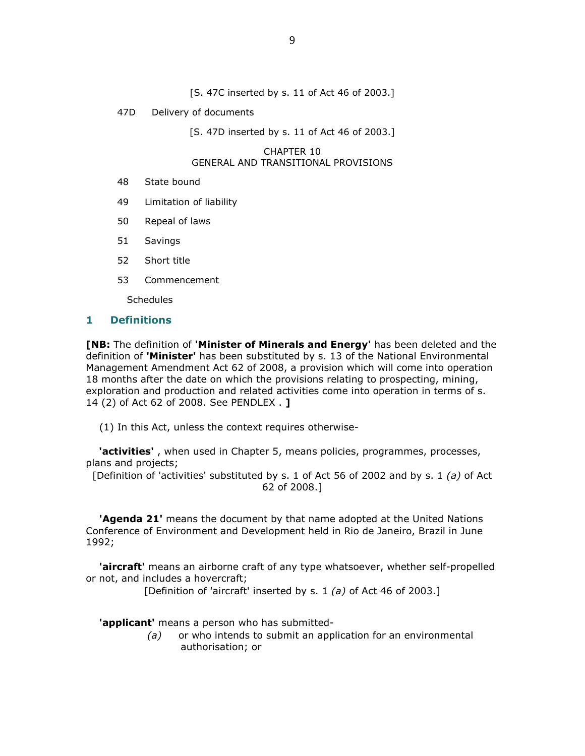[S. 47C inserted by s. 11 of Act 46 of 2003.]

## 47D Delivery of documents

[S. 47D inserted by s. 11 of Act 46 of 2003.]

## CHAPTER 10 GENERAL AND TRANSITIONAL PROVISIONS

- 48 State bound
- 49 Limitation of liability
- 50 Repeal of laws
- 51 Savings
- 52 Short title
- 53 Commencement

**Schedules** 

## 1 Definitions

[NB: The definition of 'Minister of Minerals and Energy' has been deleted and the definition of 'Minister' has been substituted by s. 13 of the National Environmental Management Amendment Act 62 of 2008, a provision which will come into operation 18 months after the date on which the provisions relating to prospecting, mining, exploration and production and related activities come into operation in terms of s. 14 (2) of Act 62 of 2008. See PENDLEX . ]

(1) In this Act, unless the context requires otherwise-

'activities', when used in Chapter 5, means policies, programmes, processes, plans and projects;

[Definition of 'activities' substituted by s. 1 of Act 56 of 2002 and by s. 1 (a) of Act 62 of 2008.]

'Agenda 21' means the document by that name adopted at the United Nations Conference of Environment and Development held in Rio de Janeiro, Brazil in June 1992;

'aircraft' means an airborne craft of any type whatsoever, whether self-propelled or not, and includes a hovercraft;

[Definition of 'aircraft' inserted by s. 1 (a) of Act 46 of 2003.]

'applicant' means a person who has submitted-

 (a) or who intends to submit an application for an environmental authorisation; or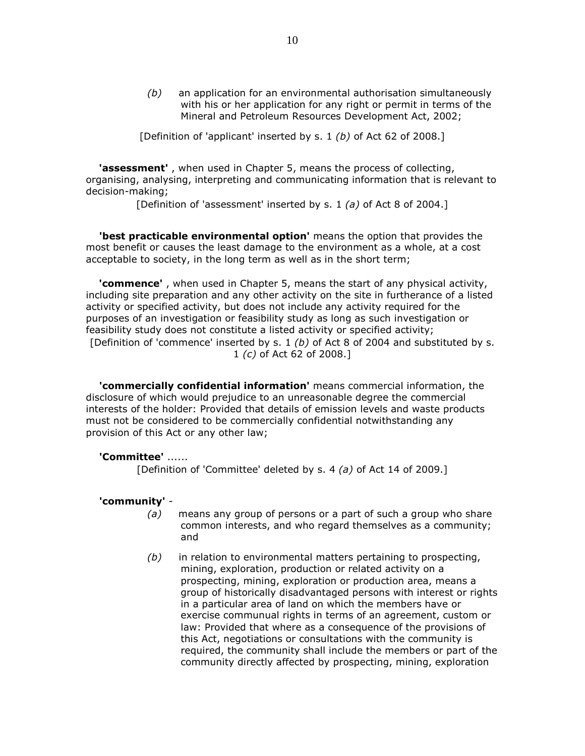$(b)$  an application for an environmental authorisation simultaneously with his or her application for any right or permit in terms of the Mineral and Petroleum Resources Development Act, 2002;

[Definition of 'applicant' inserted by s. 1  $(b)$  of Act 62 of 2008.]

**'assessment'**, when used in Chapter 5, means the process of collecting, organising, analysing, interpreting and communicating information that is relevant to decision-making;

[Definition of 'assessment' inserted by s. 1 (a) of Act 8 of 2004.]

'best practicable environmental option' means the option that provides the most benefit or causes the least damage to the environment as a whole, at a cost acceptable to society, in the long term as well as in the short term;

'commence', when used in Chapter 5, means the start of any physical activity, including site preparation and any other activity on the site in furtherance of a listed activity or specified activity, but does not include any activity required for the purposes of an investigation or feasibility study as long as such investigation or feasibility study does not constitute a listed activity or specified activity; [Definition of 'commence' inserted by s. 1 (b) of Act 8 of 2004 and substituted by s. 1 (c) of Act 62 of 2008.]

 'commercially confidential information' means commercial information, the disclosure of which would prejudice to an unreasonable degree the commercial interests of the holder: Provided that details of emission levels and waste products must not be considered to be commercially confidential notwithstanding any provision of this Act or any other law;

#### 'Committee' ......

[Definition of 'Committee' deleted by s. 4 (a) of Act 14 of 2009.]

## 'community' -

- (a) means any group of persons or a part of such a group who share common interests, and who regard themselves as a community; and
- $(b)$  in relation to environmental matters pertaining to prospecting, mining, exploration, production or related activity on a prospecting, mining, exploration or production area, means a group of historically disadvantaged persons with interest or rights in a particular area of land on which the members have or exercise communual rights in terms of an agreement, custom or law: Provided that where as a consequence of the provisions of this Act, negotiations or consultations with the community is required, the community shall include the members or part of the community directly affected by prospecting, mining, exploration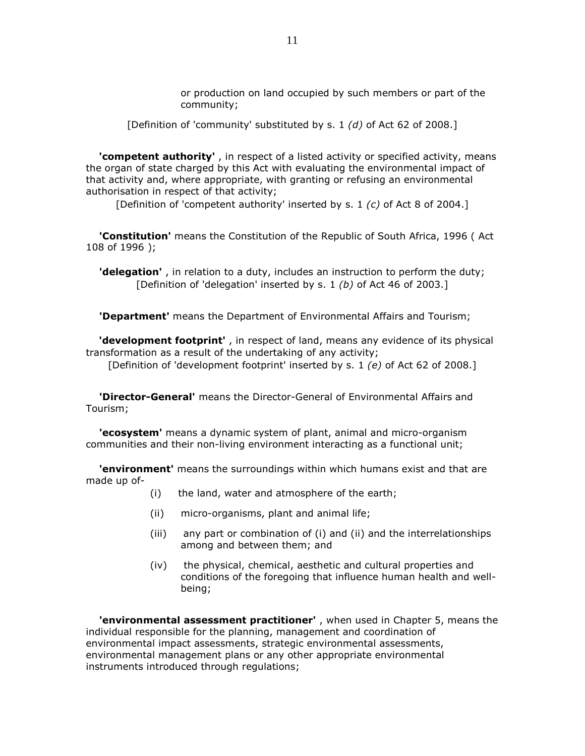or production on land occupied by such members or part of the community;

[Definition of 'community' substituted by s. 1 (d) of Act 62 of 2008.]

'competent authority', in respect of a listed activity or specified activity, means the organ of state charged by this Act with evaluating the environmental impact of that activity and, where appropriate, with granting or refusing an environmental authorisation in respect of that activity;

[Definition of 'competent authority' inserted by s. 1 (c) of Act 8 of 2004.]

'Constitution' means the Constitution of the Republic of South Africa, 1996 (Act 108 of 1996 );

**'delegation'**, in relation to a duty, includes an instruction to perform the duty; [Definition of 'delegation' inserted by s. 1 (b) of Act 46 of 2003.]

**'Department'** means the Department of Environmental Affairs and Tourism;

'development footprint', in respect of land, means any evidence of its physical transformation as a result of the undertaking of any activity;

[Definition of 'development footprint' inserted by s. 1 (e) of Act 62 of 2008.]

 'Director-General' means the Director-General of Environmental Affairs and Tourism;

 'ecosystem' means a dynamic system of plant, animal and micro-organism communities and their non-living environment interacting as a functional unit;

**'environment'** means the surroundings within which humans exist and that are made up of-

- (i) the land, water and atmosphere of the earth;
- (ii) micro-organisms, plant and animal life;
- (iii) any part or combination of (i) and (ii) and the interrelationships among and between them; and
- (iv) the physical, chemical, aesthetic and cultural properties and conditions of the foregoing that influence human health and wellbeing;

'environmental assessment practitioner', when used in Chapter 5, means the individual responsible for the planning, management and coordination of environmental impact assessments, strategic environmental assessments, environmental management plans or any other appropriate environmental instruments introduced through regulations;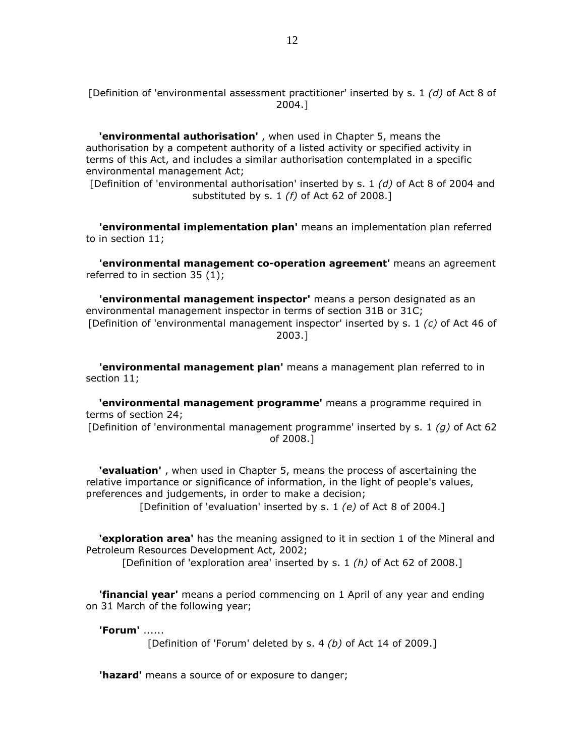[Definition of 'environmental assessment practitioner' inserted by s. 1  $(d)$  of Act 8 of 2004.]

'environmental authorisation', when used in Chapter 5, means the authorisation by a competent authority of a listed activity or specified activity in terms of this Act, and includes a similar authorisation contemplated in a specific environmental management Act;

[Definition of 'environmental authorisation' inserted by s. 1  $(d)$  of Act 8 of 2004 and substituted by s. 1  $(f)$  of Act 62 of 2008.]

 'environmental implementation plan' means an implementation plan referred to in section 11;

 'environmental management co-operation agreement' means an agreement referred to in section 35 (1);

'environmental management inspector' means a person designated as an environmental management inspector in terms of section 31B or 31C; [Definition of 'environmental management inspector' inserted by s. 1  $(c)$  of Act 46 of 2003.]

'environmental management plan' means a management plan referred to in section 11;

 'environmental management programme' means a programme required in terms of section 24;

[Definition of 'environmental management programme' inserted by s. 1  $(q)$  of Act 62 of 2008.]

'evaluation', when used in Chapter 5, means the process of ascertaining the relative importance or significance of information, in the light of people's values, preferences and judgements, in order to make a decision;

[Definition of 'evaluation' inserted by s. 1 (e) of Act 8 of 2004.]

'exploration area' has the meaning assigned to it in section 1 of the Mineral and Petroleum Resources Development Act, 2002;

[Definition of 'exploration area' inserted by s. 1 (h) of Act 62 of 2008.]

 'financial year' means a period commencing on 1 April of any year and ending on 31 March of the following year;

'Forum' ......

[Definition of 'Forum' deleted by s. 4 (b) of Act 14 of 2009.]

**'hazard'** means a source of or exposure to danger;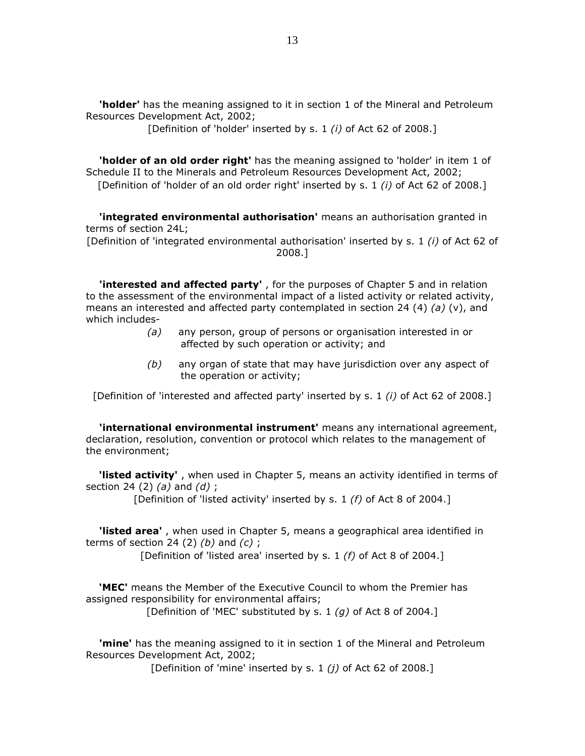'holder' has the meaning assigned to it in section 1 of the Mineral and Petroleum Resources Development Act, 2002;

[Definition of 'holder' inserted by s. 1 (i) of Act 62 of 2008.]

 'holder of an old order right' has the meaning assigned to 'holder' in item 1 of Schedule II to the Minerals and Petroleum Resources Development Act, 2002; [Definition of 'holder of an old order right' inserted by s. 1 (i) of Act 62 of 2008.]

 'integrated environmental authorisation' means an authorisation granted in terms of section 24L;

[Definition of 'integrated environmental authorisation' inserted by s. 1 (i) of Act 62 of 2008.]

**'interested and affected party'**, for the purposes of Chapter 5 and in relation to the assessment of the environmental impact of a listed activity or related activity, means an interested and affected party contemplated in section 24 (4) (a) (v), and which includes-

- (a) any person, group of persons or organisation interested in or affected by such operation or activity; and
- $(b)$  any organ of state that may have jurisdiction over any aspect of the operation or activity;

[Definition of 'interested and affected party' inserted by s. 1 (i) of Act 62 of 2008.]

 'international environmental instrument' means any international agreement, declaration, resolution, convention or protocol which relates to the management of the environment;

**'listed activity'**, when used in Chapter 5, means an activity identified in terms of section 24 (2)  $(a)$  and  $(d)$ ;

[Definition of 'listed activity' inserted by s. 1 (f) of Act 8 of 2004.]

'listed area', when used in Chapter 5, means a geographical area identified in terms of section 24 (2)  $(b)$  and  $(c)$ ;

[Definition of 'listed area' inserted by s. 1  $(f)$  of Act 8 of 2004.]

 'MEC' means the Member of the Executive Council to whom the Premier has assigned responsibility for environmental affairs;

[Definition of 'MEC' substituted by s. 1 (g) of Act 8 of 2004.]

**'mine'** has the meaning assigned to it in section 1 of the Mineral and Petroleum Resources Development Act, 2002;

[Definition of 'mine' inserted by s. 1 (j) of Act 62 of 2008.]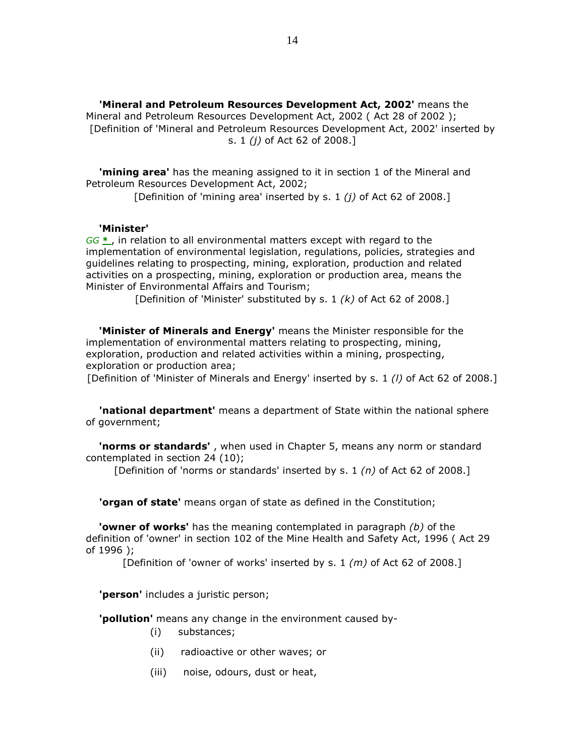'Mineral and Petroleum Resources Development Act, 2002' means the Mineral and Petroleum Resources Development Act, 2002 ( Act 28 of 2002 ); [Definition of 'Mineral and Petroleum Resources Development Act, 2002' inserted by s. 1 (j) of Act 62 of 2008.]

**'mining area'** has the meaning assigned to it in section 1 of the Mineral and Petroleum Resources Development Act, 2002;

[Definition of 'mining area' inserted by s. 1  $(i)$  of Act 62 of 2008.]

#### 'Minister'

 $GG *$ , in relation to all environmental matters except with regard to the implementation of environmental legislation, regulations, policies, strategies and guidelines relating to prospecting, mining, exploration, production and related activities on a prospecting, mining, exploration or production area, means the Minister of Environmental Affairs and Tourism;

[Definition of 'Minister' substituted by s. 1  $(k)$  of Act 62 of 2008.]

'Minister of Minerals and Energy' means the Minister responsible for the implementation of environmental matters relating to prospecting, mining, exploration, production and related activities within a mining, prospecting, exploration or production area;

[Definition of 'Minister of Minerals and Energy' inserted by s. 1 (l) of Act 62 of 2008.]

 'national department' means a department of State within the national sphere of government;

'norms or standards', when used in Chapter 5, means any norm or standard contemplated in section 24 (10);

[Definition of 'norms or standards' inserted by s. 1 (n) of Act 62 of 2008.]

'organ of state' means organ of state as defined in the Constitution;

**'owner of works'** has the meaning contemplated in paragraph (b) of the definition of 'owner' in section 102 of the Mine Health and Safety Act, 1996 ( Act 29 of 1996 );

[Definition of 'owner of works' inserted by s. 1 (m) of Act 62 of 2008.]

'person' includes a juristic person;

'pollution' means any change in the environment caused by-

- (i) substances;
- (ii) radioactive or other waves; or
- (iii) noise, odours, dust or heat,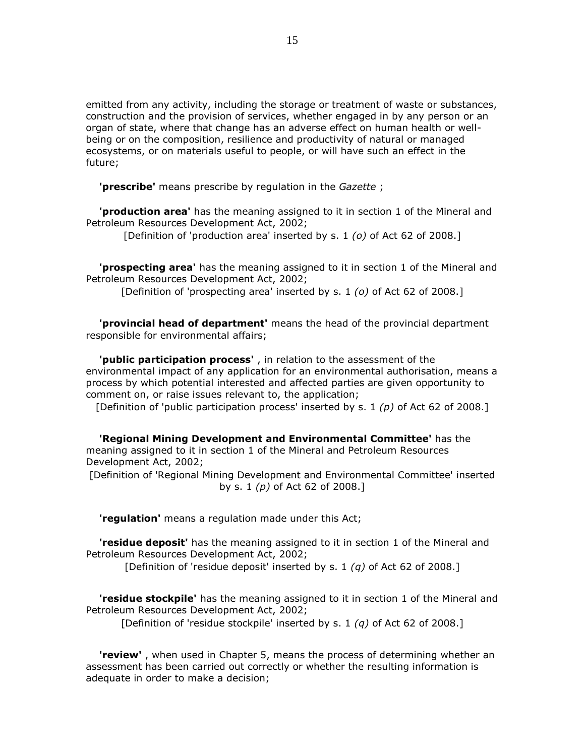emitted from any activity, including the storage or treatment of waste or substances, construction and the provision of services, whether engaged in by any person or an organ of state, where that change has an adverse effect on human health or wellbeing or on the composition, resilience and productivity of natural or managed ecosystems, or on materials useful to people, or will have such an effect in the future;

**'prescribe'** means prescribe by regulation in the Gazette;

**'production area'** has the meaning assigned to it in section 1 of the Mineral and Petroleum Resources Development Act, 2002;

[Definition of 'production area' inserted by s. 1 (o) of Act 62 of 2008.]

'prospecting area' has the meaning assigned to it in section 1 of the Mineral and Petroleum Resources Development Act, 2002;

[Definition of 'prospecting area' inserted by s. 1 (o) of Act 62 of 2008.]

'provincial head of department' means the head of the provincial department responsible for environmental affairs;

'public participation process', in relation to the assessment of the environmental impact of any application for an environmental authorisation, means a process by which potential interested and affected parties are given opportunity to comment on, or raise issues relevant to, the application;

[Definition of 'public participation process' inserted by s. 1  $(p)$  of Act 62 of 2008.]

 'Regional Mining Development and Environmental Committee' has the meaning assigned to it in section 1 of the Mineral and Petroleum Resources Development Act, 2002;

[Definition of 'Regional Mining Development and Environmental Committee' inserted by s. 1 (p) of Act 62 of 2008.]

'regulation' means a regulation made under this Act;

**'residue deposit'** has the meaning assigned to it in section 1 of the Mineral and Petroleum Resources Development Act, 2002;

[Definition of 'residue deposit' inserted by s. 1  $(q)$  of Act 62 of 2008.]

**'residue stockpile'** has the meaning assigned to it in section 1 of the Mineral and Petroleum Resources Development Act, 2002;

[Definition of 'residue stockpile' inserted by s. 1  $(q)$  of Act 62 of 2008.]

**'review'**, when used in Chapter 5, means the process of determining whether an assessment has been carried out correctly or whether the resulting information is adequate in order to make a decision;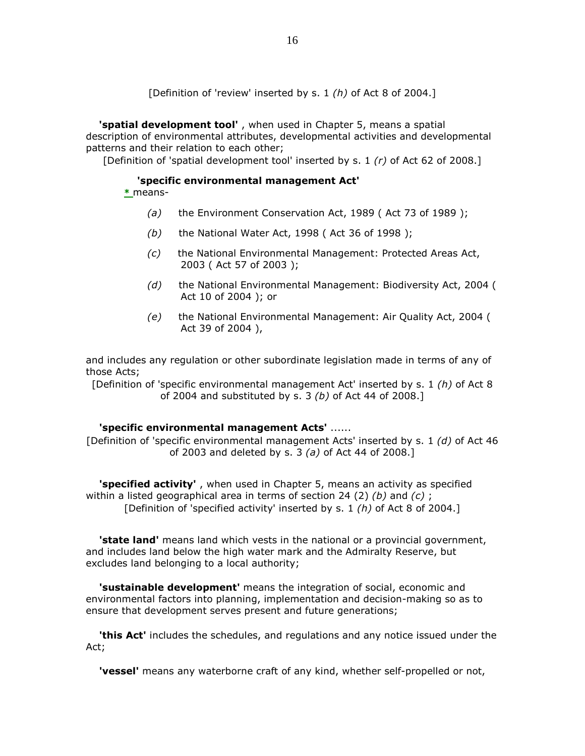[Definition of 'review' inserted by s. 1 (h) of Act 8 of 2004.]

'spatial development tool', when used in Chapter 5, means a spatial description of environmental attributes, developmental activities and developmental patterns and their relation to each other;

[Definition of 'spatial development tool' inserted by s. 1 (r) of Act 62 of 2008.]

## 'specific environmental management Act' \* means-

- (a) the Environment Conservation Act, 1989 ( Act 73 of 1989 );
- $(b)$  the National Water Act, 1998 (Act 36 of 1998);
- (c) the National Environmental Management: Protected Areas Act, 2003 ( Act 57 of 2003 );
- (d) the National Environmental Management: Biodiversity Act, 2004 ( Act 10 of 2004 ); or
- (e) the National Environmental Management: Air Quality Act, 2004 ( Act 39 of 2004 ),

and includes any regulation or other subordinate legislation made in terms of any of those Acts;

[Definition of 'specific environmental management Act' inserted by s. 1  $(h)$  of Act 8 of 2004 and substituted by s. 3  $(b)$  of Act 44 of 2008.]

## 'specific environmental management Acts' ......

[Definition of 'specific environmental management Acts' inserted by s. 1  $(d)$  of Act 46 of 2003 and deleted by s.  $3$  (a) of Act 44 of 2008.]

**'specified activity'**, when used in Chapter 5, means an activity as specified within a listed geographical area in terms of section 24 (2) (b) and  $(c)$ ; [Definition of 'specified activity' inserted by s. 1  $(h)$  of Act 8 of 2004.]

**'state land'** means land which vests in the national or a provincial government, and includes land below the high water mark and the Admiralty Reserve, but excludes land belonging to a local authority;

'sustainable development' means the integration of social, economic and environmental factors into planning, implementation and decision-making so as to ensure that development serves present and future generations;

**'this Act'** includes the schedules, and regulations and any notice issued under the Act;

'vessel' means any waterborne craft of any kind, whether self-propelled or not,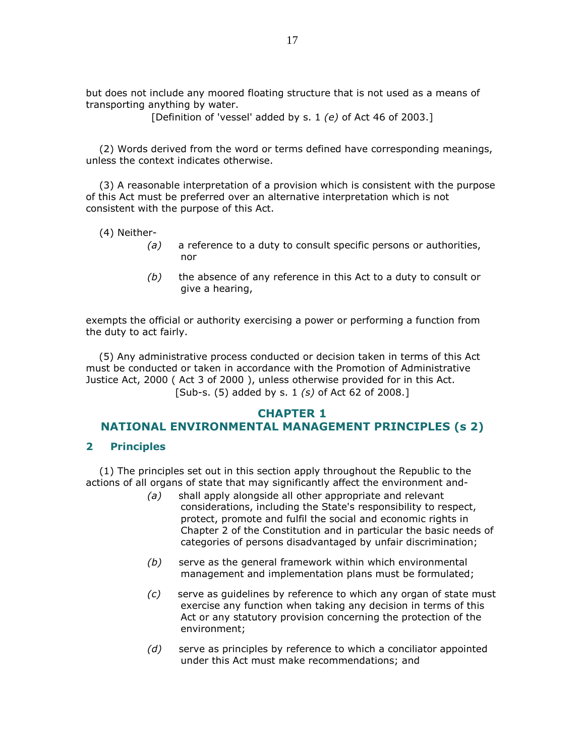but does not include any moored floating structure that is not used as a means of transporting anything by water.

[Definition of 'vessel' added by s. 1 (e) of Act 46 of 2003.]

 (2) Words derived from the word or terms defined have corresponding meanings, unless the context indicates otherwise.

 (3) A reasonable interpretation of a provision which is consistent with the purpose of this Act must be preferred over an alternative interpretation which is not consistent with the purpose of this Act.

(4) Neither-

- $(a)$  a reference to a duty to consult specific persons or authorities, nor
- $(b)$  the absence of any reference in this Act to a duty to consult or give a hearing,

exempts the official or authority exercising a power or performing a function from the duty to act fairly.

 (5) Any administrative process conducted or decision taken in terms of this Act must be conducted or taken in accordance with the Promotion of Administrative Justice Act, 2000 ( Act 3 of 2000 ), unless otherwise provided for in this Act. [Sub-s.  $(5)$  added by s. 1  $(s)$  of Act 62 of 2008.]

# CHAPTER 1 NATIONAL ENVIRONMENTAL MANAGEMENT PRINCIPLES (s 2)

## 2 Principles

 (1) The principles set out in this section apply throughout the Republic to the actions of all organs of state that may significantly affect the environment and-

- (a) shall apply alongside all other appropriate and relevant considerations, including the State's responsibility to respect, protect, promote and fulfil the social and economic rights in Chapter 2 of the Constitution and in particular the basic needs of categories of persons disadvantaged by unfair discrimination;
- (b) serve as the general framework within which environmental management and implementation plans must be formulated;
- (c) serve as guidelines by reference to which any organ of state must exercise any function when taking any decision in terms of this Act or any statutory provision concerning the protection of the environment;
- $(d)$  serve as principles by reference to which a conciliator appointed under this Act must make recommendations; and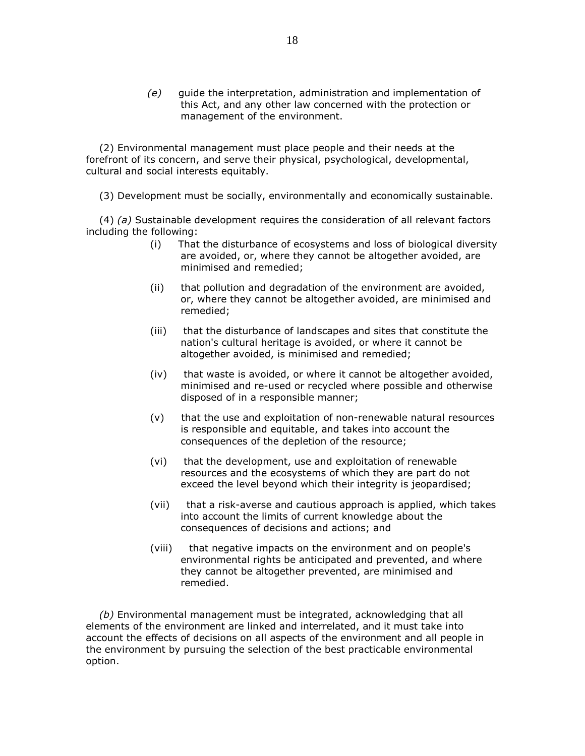(e) guide the interpretation, administration and implementation of this Act, and any other law concerned with the protection or management of the environment.

 (2) Environmental management must place people and their needs at the forefront of its concern, and serve their physical, psychological, developmental, cultural and social interests equitably.

(3) Development must be socially, environmentally and economically sustainable.

 (4) (a) Sustainable development requires the consideration of all relevant factors including the following:

- (i) That the disturbance of ecosystems and loss of biological diversity are avoided, or, where they cannot be altogether avoided, are minimised and remedied;
- (ii) that pollution and degradation of the environment are avoided, or, where they cannot be altogether avoided, are minimised and remedied;
- (iii) that the disturbance of landscapes and sites that constitute the nation's cultural heritage is avoided, or where it cannot be altogether avoided, is minimised and remedied;
- (iv) that waste is avoided, or where it cannot be altogether avoided, minimised and re-used or recycled where possible and otherwise disposed of in a responsible manner;
- (v) that the use and exploitation of non-renewable natural resources is responsible and equitable, and takes into account the consequences of the depletion of the resource;
- (vi) that the development, use and exploitation of renewable resources and the ecosystems of which they are part do not exceed the level beyond which their integrity is jeopardised;
- (vii) that a risk-averse and cautious approach is applied, which takes into account the limits of current knowledge about the consequences of decisions and actions; and
- (viii) that negative impacts on the environment and on people's environmental rights be anticipated and prevented, and where they cannot be altogether prevented, are minimised and remedied.

 (b) Environmental management must be integrated, acknowledging that all elements of the environment are linked and interrelated, and it must take into account the effects of decisions on all aspects of the environment and all people in the environment by pursuing the selection of the best practicable environmental option.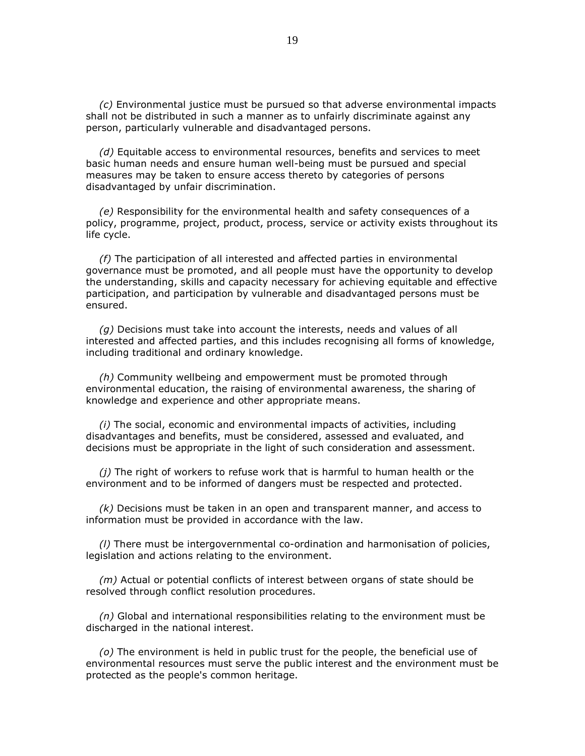$(c)$  Environmental justice must be pursued so that adverse environmental impacts shall not be distributed in such a manner as to unfairly discriminate against any person, particularly vulnerable and disadvantaged persons.

(d) Equitable access to environmental resources, benefits and services to meet basic human needs and ensure human well-being must be pursued and special measures may be taken to ensure access thereto by categories of persons disadvantaged by unfair discrimination.

 (e) Responsibility for the environmental health and safety consequences of a policy, programme, project, product, process, service or activity exists throughout its life cycle.

 (f) The participation of all interested and affected parties in environmental governance must be promoted, and all people must have the opportunity to develop the understanding, skills and capacity necessary for achieving equitable and effective participation, and participation by vulnerable and disadvantaged persons must be ensured.

 $(q)$  Decisions must take into account the interests, needs and values of all interested and affected parties, and this includes recognising all forms of knowledge, including traditional and ordinary knowledge.

 (h) Community wellbeing and empowerment must be promoted through environmental education, the raising of environmental awareness, the sharing of knowledge and experience and other appropriate means.

 $(i)$  The social, economic and environmental impacts of activities, including disadvantages and benefits, must be considered, assessed and evaluated, and decisions must be appropriate in the light of such consideration and assessment.

 $(i)$  The right of workers to refuse work that is harmful to human health or the environment and to be informed of dangers must be respected and protected.

 $(k)$  Decisions must be taken in an open and transparent manner, and access to information must be provided in accordance with the law.

 (l) There must be intergovernmental co-ordination and harmonisation of policies, legislation and actions relating to the environment.

 $(m)$  Actual or potential conflicts of interest between organs of state should be resolved through conflict resolution procedures.

 $(n)$  Global and international responsibilities relating to the environment must be discharged in the national interest.

 (o) The environment is held in public trust for the people, the beneficial use of environmental resources must serve the public interest and the environment must be protected as the people's common heritage.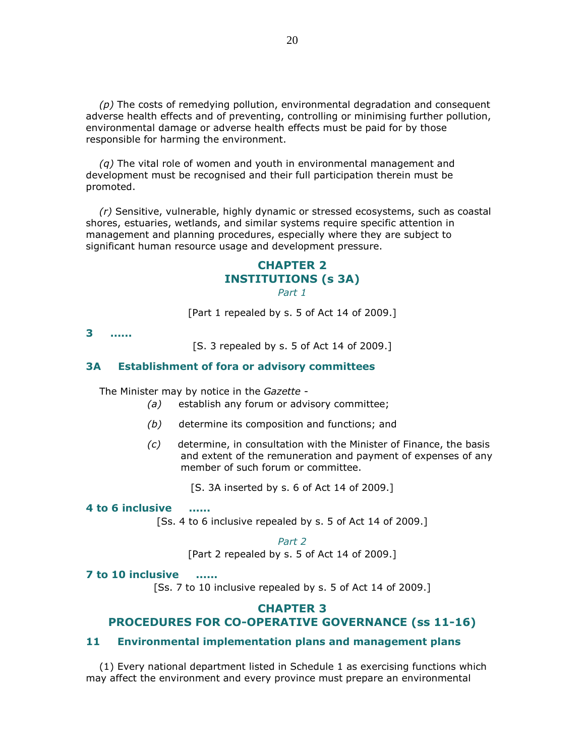$(p)$  The costs of remedying pollution, environmental degradation and consequent adverse health effects and of preventing, controlling or minimising further pollution, environmental damage or adverse health effects must be paid for by those responsible for harming the environment.

 $(q)$  The vital role of women and youth in environmental management and development must be recognised and their full participation therein must be promoted.

 (r) Sensitive, vulnerable, highly dynamic or stressed ecosystems, such as coastal shores, estuaries, wetlands, and similar systems require specific attention in management and planning procedures, especially where they are subject to significant human resource usage and development pressure.

# CHAPTER 2 INSTITUTIONS (s 3A)

Part 1

[Part 1 repealed by s. 5 of Act 14 of 2009.]

3 ......

[S. 3 repealed by s. 5 of Act 14 of 2009.]

# 3A Establishment of fora or advisory committees

The Minister may by notice in the Gazette -

- (a) establish any forum or advisory committee;
- $(b)$  determine its composition and functions; and
- $(c)$  determine, in consultation with the Minister of Finance, the basis and extent of the remuneration and payment of expenses of any member of such forum or committee.

[S. 3A inserted by s. 6 of Act 14 of 2009.]

## 4 to 6 inclusive ......

[Ss. 4 to 6 inclusive repealed by s. 5 of Act 14 of 2009.]

Part 2

[Part 2 repealed by s. 5 of Act 14 of 2009.]

#### **7 to 10 inclusive**

[Ss. 7 to 10 inclusive repealed by s. 5 of Act 14 of 2009.]

# CHAPTER 3

# PROCEDURES FOR CO-OPERATIVE GOVERNANCE (ss 11-16)

#### 11 Environmental implementation plans and management plans

 (1) Every national department listed in Schedule 1 as exercising functions which may affect the environment and every province must prepare an environmental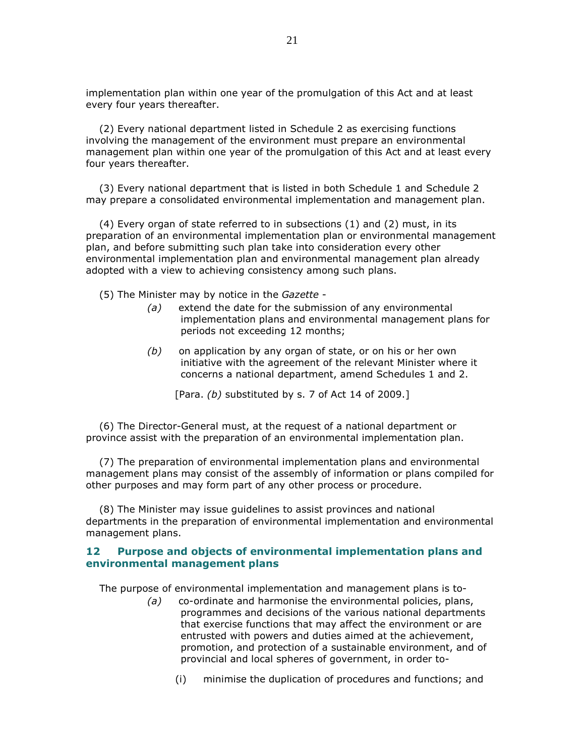implementation plan within one year of the promulgation of this Act and at least every four years thereafter.

 (2) Every national department listed in Schedule 2 as exercising functions involving the management of the environment must prepare an environmental management plan within one year of the promulgation of this Act and at least every four years thereafter.

 (3) Every national department that is listed in both Schedule 1 and Schedule 2 may prepare a consolidated environmental implementation and management plan.

 (4) Every organ of state referred to in subsections (1) and (2) must, in its preparation of an environmental implementation plan or environmental management plan, and before submitting such plan take into consideration every other environmental implementation plan and environmental management plan already adopted with a view to achieving consistency among such plans.

(5) The Minister may by notice in the Gazette -

- (a) extend the date for the submission of any environmental implementation plans and environmental management plans for periods not exceeding 12 months;
- $(b)$  on application by any organ of state, or on his or her own initiative with the agreement of the relevant Minister where it concerns a national department, amend Schedules 1 and 2.

[Para.  $(b)$  substituted by s. 7 of Act 14 of 2009.]

 (6) The Director-General must, at the request of a national department or province assist with the preparation of an environmental implementation plan.

 (7) The preparation of environmental implementation plans and environmental management plans may consist of the assembly of information or plans compiled for other purposes and may form part of any other process or procedure.

 (8) The Minister may issue guidelines to assist provinces and national departments in the preparation of environmental implementation and environmental management plans.

## 12 Purpose and objects of environmental implementation plans and environmental management plans

The purpose of environmental implementation and management plans is to-

- (a) co-ordinate and harmonise the environmental policies, plans, programmes and decisions of the various national departments that exercise functions that may affect the environment or are entrusted with powers and duties aimed at the achievement, promotion, and protection of a sustainable environment, and of provincial and local spheres of government, in order to-
	- (i) minimise the duplication of procedures and functions; and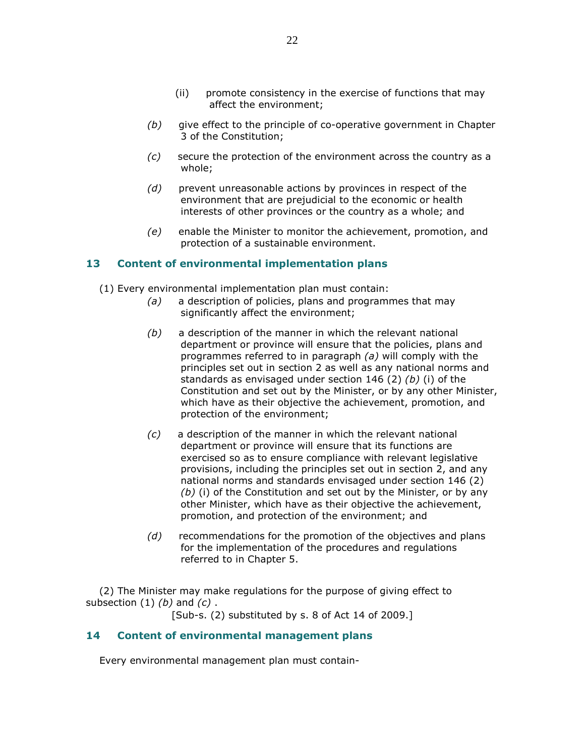- (ii) promote consistency in the exercise of functions that may affect the environment;
- (b) give effect to the principle of co-operative government in Chapter 3 of the Constitution;
- (c) secure the protection of the environment across the country as a whole;
- (d) prevent unreasonable actions by provinces in respect of the environment that are prejudicial to the economic or health interests of other provinces or the country as a whole; and
- (e) enable the Minister to monitor the achievement, promotion, and protection of a sustainable environment.

# 13 Content of environmental implementation plans

- (1) Every environmental implementation plan must contain:
	- (a) a description of policies, plans and programmes that may significantly affect the environment;
	- $(b)$  a description of the manner in which the relevant national department or province will ensure that the policies, plans and programmes referred to in paragraph (a) will comply with the principles set out in section 2 as well as any national norms and standards as envisaged under section 146 (2) (b) (i) of the Constitution and set out by the Minister, or by any other Minister, which have as their objective the achievement, promotion, and protection of the environment;
	- (c) a description of the manner in which the relevant national department or province will ensure that its functions are exercised so as to ensure compliance with relevant legislative provisions, including the principles set out in section 2, and any national norms and standards envisaged under section 146 (2)  $(b)$  (i) of the Constitution and set out by the Minister, or by any other Minister, which have as their objective the achievement, promotion, and protection of the environment; and
	- $(d)$  recommendations for the promotion of the objectives and plans for the implementation of the procedures and regulations referred to in Chapter 5.

 (2) The Minister may make regulations for the purpose of giving effect to subsection  $(1)$   $(b)$  and  $(c)$ .

[Sub-s. (2) substituted by s. 8 of Act 14 of 2009.]

## 14 Content of environmental management plans

Every environmental management plan must contain-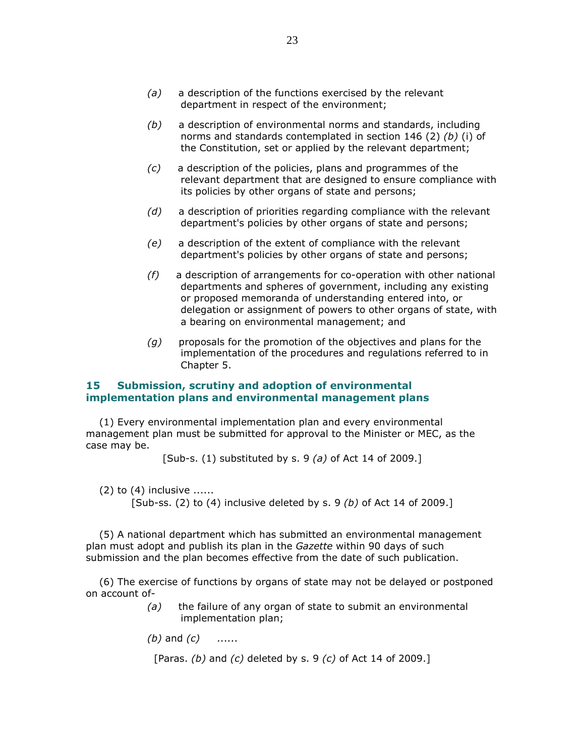- $(a)$  a description of the functions exercised by the relevant department in respect of the environment;
- $(b)$  a description of environmental norms and standards, including norms and standards contemplated in section 146 (2) (b) (i) of the Constitution, set or applied by the relevant department;
- (c) a description of the policies, plans and programmes of the relevant department that are designed to ensure compliance with its policies by other organs of state and persons;
- $(d)$  a description of priorities regarding compliance with the relevant department's policies by other organs of state and persons;
- (e) a description of the extent of compliance with the relevant department's policies by other organs of state and persons;
- (f) a description of arrangements for co-operation with other national departments and spheres of government, including any existing or proposed memoranda of understanding entered into, or delegation or assignment of powers to other organs of state, with a bearing on environmental management; and
- $(g)$  proposals for the promotion of the objectives and plans for the implementation of the procedures and regulations referred to in Chapter 5.

## 15 Submission, scrutiny and adoption of environmental implementation plans and environmental management plans

 (1) Every environmental implementation plan and every environmental management plan must be submitted for approval to the Minister or MEC, as the case may be.

[Sub-s.  $(1)$  substituted by s. 9 (a) of Act 14 of 2009.]

 $(2)$  to  $(4)$  inclusive ......

[Sub-ss. (2) to (4) inclusive deleted by s. 9 (b) of Act 14 of 2009.]

 (5) A national department which has submitted an environmental management plan must adopt and publish its plan in the Gazette within 90 days of such submission and the plan becomes effective from the date of such publication.

 (6) The exercise of functions by organs of state may not be delayed or postponed on account of-

- $(a)$  the failure of any organ of state to submit an environmental implementation plan;
- (*b*) and  $(c)$  ......

[Paras. (b) and (c) deleted by s. 9 (c) of Act 14 of 2009.]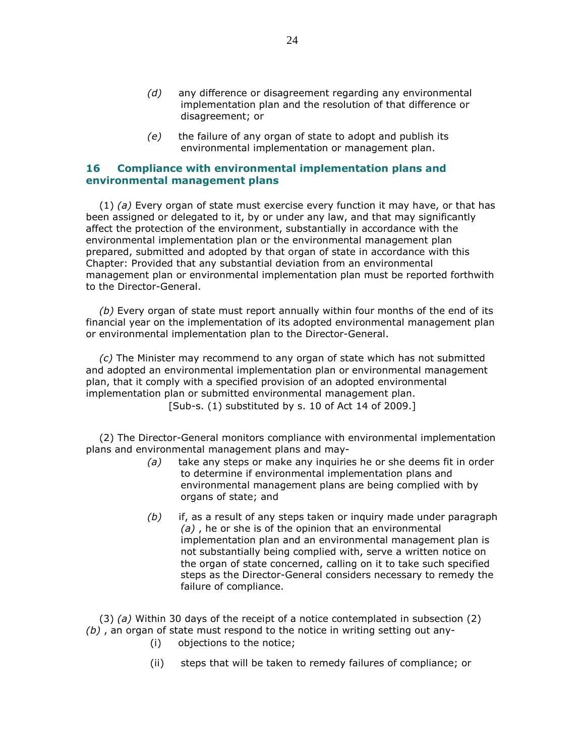- (d) any difference or disagreement regarding any environmental implementation plan and the resolution of that difference or disagreement; or
- (e) the failure of any organ of state to adopt and publish its environmental implementation or management plan.

# 16 Compliance with environmental implementation plans and environmental management plans

 $(1)$  (a) Every organ of state must exercise every function it may have, or that has been assigned or delegated to it, by or under any law, and that may significantly affect the protection of the environment, substantially in accordance with the environmental implementation plan or the environmental management plan prepared, submitted and adopted by that organ of state in accordance with this Chapter: Provided that any substantial deviation from an environmental management plan or environmental implementation plan must be reported forthwith to the Director-General.

 (b) Every organ of state must report annually within four months of the end of its financial year on the implementation of its adopted environmental management plan or environmental implementation plan to the Director-General.

 $(c)$  The Minister may recommend to any organ of state which has not submitted and adopted an environmental implementation plan or environmental management plan, that it comply with a specified provision of an adopted environmental implementation plan or submitted environmental management plan.

[Sub-s. (1) substituted by s. 10 of Act 14 of 2009.]

 (2) The Director-General monitors compliance with environmental implementation plans and environmental management plans and may-

- $(a)$  take any steps or make any inquiries he or she deems fit in order to determine if environmental implementation plans and environmental management plans are being complied with by organs of state; and
- $(b)$  if, as a result of any steps taken or inquiry made under paragraph  $(a)$ , he or she is of the opinion that an environmental implementation plan and an environmental management plan is not substantially being complied with, serve a written notice on the organ of state concerned, calling on it to take such specified steps as the Director-General considers necessary to remedy the failure of compliance.

(3) (a) Within 30 days of the receipt of a notice contemplated in subsection (2) (b), an organ of state must respond to the notice in writing setting out any-

- (i) objections to the notice;
- (ii) steps that will be taken to remedy failures of compliance; or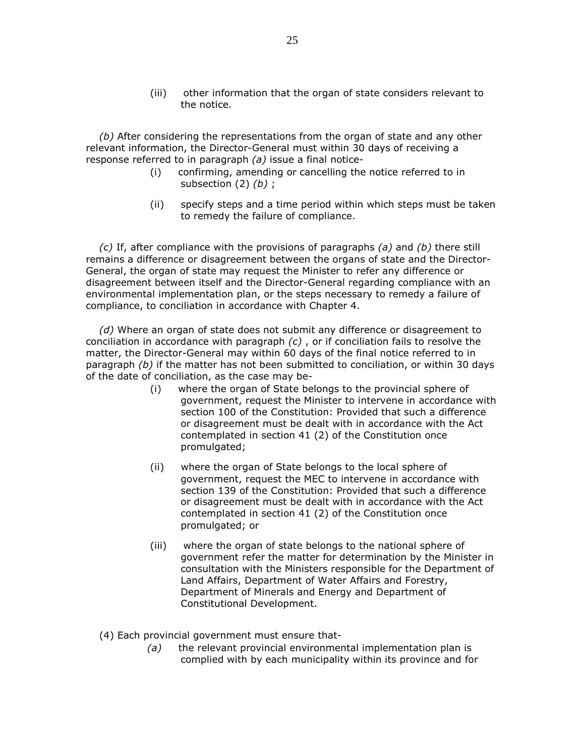(iii) other information that the organ of state considers relevant to the notice.

(b) After considering the representations from the organ of state and any other relevant information, the Director-General must within 30 days of receiving a response referred to in paragraph (a) issue a final notice-

- (i) confirming, amending or cancelling the notice referred to in subsection  $(2)$   $(b)$ ;
- (ii) specify steps and a time period within which steps must be taken to remedy the failure of compliance.

(c) If, after compliance with the provisions of paragraphs  $(a)$  and  $(b)$  there still remains a difference or disagreement between the organs of state and the Director-General, the organ of state may request the Minister to refer any difference or disagreement between itself and the Director-General regarding compliance with an environmental implementation plan, or the steps necessary to remedy a failure of compliance, to conciliation in accordance with Chapter 4.

 $(d)$  Where an organ of state does not submit any difference or disagreement to conciliation in accordance with paragraph  $(c)$ , or if conciliation fails to resolve the matter, the Director-General may within 60 days of the final notice referred to in paragraph  $(b)$  if the matter has not been submitted to conciliation, or within 30 days of the date of conciliation, as the case may be-

- (i) where the organ of State belongs to the provincial sphere of government, request the Minister to intervene in accordance with section 100 of the Constitution: Provided that such a difference or disagreement must be dealt with in accordance with the Act contemplated in section 41 (2) of the Constitution once promulgated;
- (ii) where the organ of State belongs to the local sphere of government, request the MEC to intervene in accordance with section 139 of the Constitution: Provided that such a difference or disagreement must be dealt with in accordance with the Act contemplated in section 41 (2) of the Constitution once promulgated; or
- (iii) where the organ of state belongs to the national sphere of government refer the matter for determination by the Minister in consultation with the Ministers responsible for the Department of Land Affairs, Department of Water Affairs and Forestry, Department of Minerals and Energy and Department of Constitutional Development.
- (4) Each provincial government must ensure that-
	- (a) the relevant provincial environmental implementation plan is complied with by each municipality within its province and for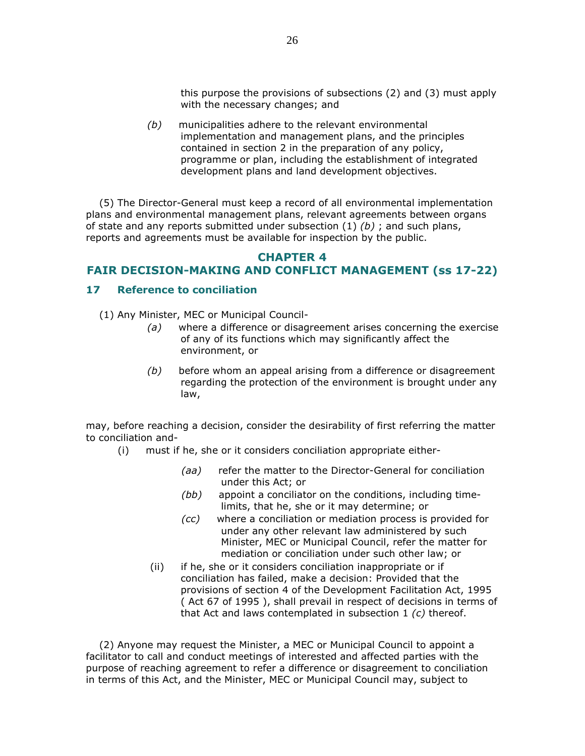this purpose the provisions of subsections (2) and (3) must apply with the necessary changes; and

 (b) municipalities adhere to the relevant environmental implementation and management plans, and the principles contained in section 2 in the preparation of any policy, programme or plan, including the establishment of integrated development plans and land development objectives.

 (5) The Director-General must keep a record of all environmental implementation plans and environmental management plans, relevant agreements between organs of state and any reports submitted under subsection  $(1)$   $(b)$ ; and such plans, reports and agreements must be available for inspection by the public.

## CHAPTER 4

# FAIR DECISION-MAKING AND CONFLICT MANAGEMENT (ss 17-22)

## 17 Reference to conciliation

- (1) Any Minister, MEC or Municipal Council-
	- $(a)$  where a difference or disagreement arises concerning the exercise of any of its functions which may significantly affect the environment, or
	- $(b)$  before whom an appeal arising from a difference or disagreement regarding the protection of the environment is brought under any law,

may, before reaching a decision, consider the desirability of first referring the matter to conciliation and-

- (i) must if he, she or it considers conciliation appropriate either-
	- (aa) refer the matter to the Director-General for conciliation under this Act; or
	- (bb) appoint a conciliator on the conditions, including timelimits, that he, she or it may determine; or
	- (cc) where a conciliation or mediation process is provided for under any other relevant law administered by such Minister, MEC or Municipal Council, refer the matter for mediation or conciliation under such other law; or
	- (ii) if he, she or it considers conciliation inappropriate or if conciliation has failed, make a decision: Provided that the provisions of section 4 of the Development Facilitation Act, 1995 ( Act 67 of 1995 ), shall prevail in respect of decisions in terms of that Act and laws contemplated in subsection  $1$  (c) thereof.

 (2) Anyone may request the Minister, a MEC or Municipal Council to appoint a facilitator to call and conduct meetings of interested and affected parties with the purpose of reaching agreement to refer a difference or disagreement to conciliation in terms of this Act, and the Minister, MEC or Municipal Council may, subject to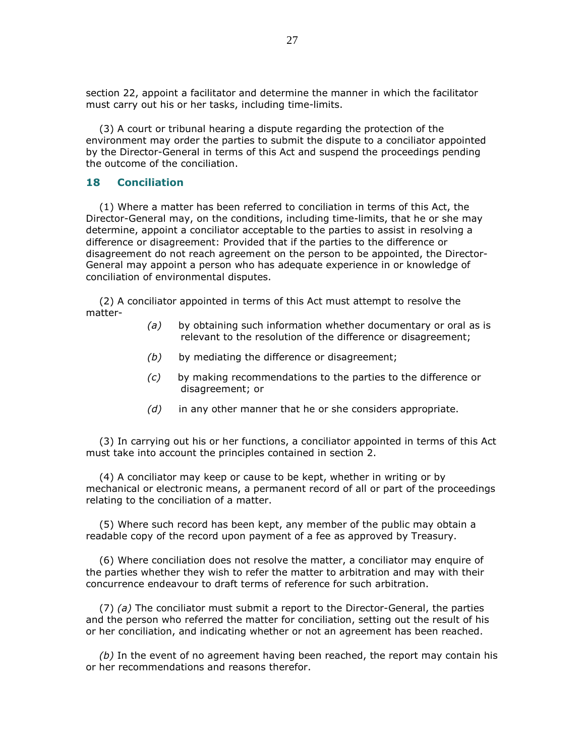section 22, appoint a facilitator and determine the manner in which the facilitator must carry out his or her tasks, including time-limits.

 (3) A court or tribunal hearing a dispute regarding the protection of the environment may order the parties to submit the dispute to a conciliator appointed by the Director-General in terms of this Act and suspend the proceedings pending the outcome of the conciliation.

## 18 Conciliation

 (1) Where a matter has been referred to conciliation in terms of this Act, the Director-General may, on the conditions, including time-limits, that he or she may determine, appoint a conciliator acceptable to the parties to assist in resolving a difference or disagreement: Provided that if the parties to the difference or disagreement do not reach agreement on the person to be appointed, the Director-General may appoint a person who has adequate experience in or knowledge of conciliation of environmental disputes.

 (2) A conciliator appointed in terms of this Act must attempt to resolve the matter-

- $(a)$  by obtaining such information whether documentary or oral as is relevant to the resolution of the difference or disagreement;
- $(b)$  by mediating the difference or disagreement;
- (c) by making recommendations to the parties to the difference or disagreement; or
- $(d)$  in any other manner that he or she considers appropriate.

 (3) In carrying out his or her functions, a conciliator appointed in terms of this Act must take into account the principles contained in section 2.

 (4) A conciliator may keep or cause to be kept, whether in writing or by mechanical or electronic means, a permanent record of all or part of the proceedings relating to the conciliation of a matter.

 (5) Where such record has been kept, any member of the public may obtain a readable copy of the record upon payment of a fee as approved by Treasury.

 (6) Where conciliation does not resolve the matter, a conciliator may enquire of the parties whether they wish to refer the matter to arbitration and may with their concurrence endeavour to draft terms of reference for such arbitration.

 $(7)$  (a) The conciliator must submit a report to the Director-General, the parties and the person who referred the matter for conciliation, setting out the result of his or her conciliation, and indicating whether or not an agreement has been reached.

(b) In the event of no agreement having been reached, the report may contain his or her recommendations and reasons therefor.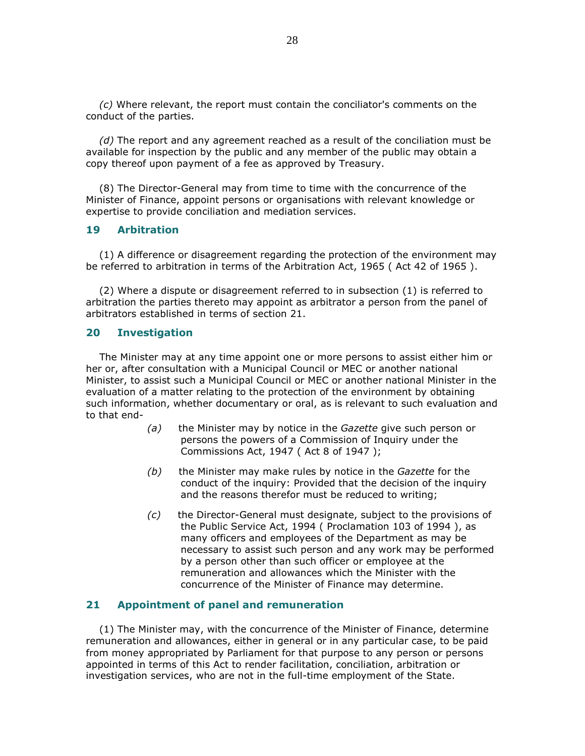$(c)$  Where relevant, the report must contain the conciliator's comments on the conduct of the parties.

 $(d)$  The report and any agreement reached as a result of the conciliation must be available for inspection by the public and any member of the public may obtain a copy thereof upon payment of a fee as approved by Treasury.

 (8) The Director-General may from time to time with the concurrence of the Minister of Finance, appoint persons or organisations with relevant knowledge or expertise to provide conciliation and mediation services.

## 19 Arbitration

 (1) A difference or disagreement regarding the protection of the environment may be referred to arbitration in terms of the Arbitration Act, 1965 ( Act 42 of 1965 ).

 (2) Where a dispute or disagreement referred to in subsection (1) is referred to arbitration the parties thereto may appoint as arbitrator a person from the panel of arbitrators established in terms of section 21.

## 20 Investigation

 The Minister may at any time appoint one or more persons to assist either him or her or, after consultation with a Municipal Council or MEC or another national Minister, to assist such a Municipal Council or MEC or another national Minister in the evaluation of a matter relating to the protection of the environment by obtaining such information, whether documentary or oral, as is relevant to such evaluation and to that end-

- (a) the Minister may by notice in the Gazette give such person or persons the powers of a Commission of Inquiry under the Commissions Act, 1947 ( Act 8 of 1947 );
- $(b)$  the Minister may make rules by notice in the Gazette for the conduct of the inquiry: Provided that the decision of the inquiry and the reasons therefor must be reduced to writing;
- (c) the Director-General must designate, subject to the provisions of the Public Service Act, 1994 ( Proclamation 103 of 1994 ), as many officers and employees of the Department as may be necessary to assist such person and any work may be performed by a person other than such officer or employee at the remuneration and allowances which the Minister with the concurrence of the Minister of Finance may determine.

## 21 Appointment of panel and remuneration

 (1) The Minister may, with the concurrence of the Minister of Finance, determine remuneration and allowances, either in general or in any particular case, to be paid from money appropriated by Parliament for that purpose to any person or persons appointed in terms of this Act to render facilitation, conciliation, arbitration or investigation services, who are not in the full-time employment of the State.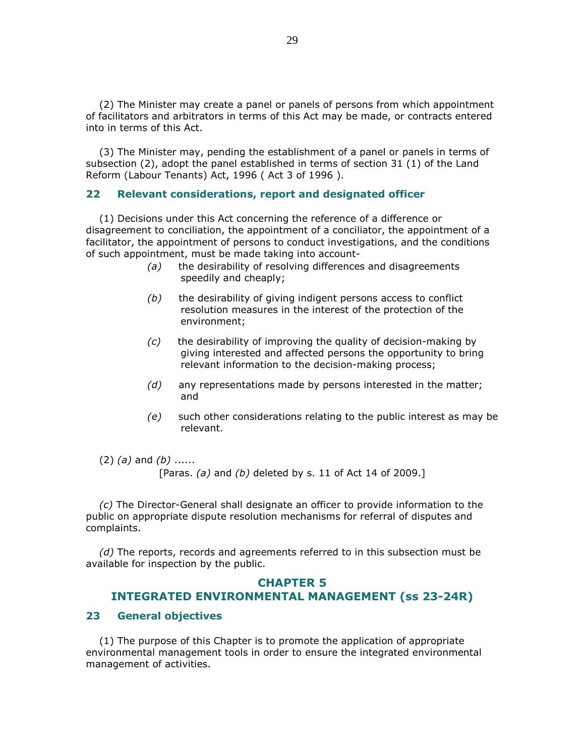(2) The Minister may create a panel or panels of persons from which appointment of facilitators and arbitrators in terms of this Act may be made, or contracts entered into in terms of this Act.

 (3) The Minister may, pending the establishment of a panel or panels in terms of subsection (2), adopt the panel established in terms of section 31 (1) of the Land Reform (Labour Tenants) Act, 1996 ( Act 3 of 1996 ).

## 22 Relevant considerations, report and designated officer

 (1) Decisions under this Act concerning the reference of a difference or disagreement to conciliation, the appointment of a conciliator, the appointment of a facilitator, the appointment of persons to conduct investigations, and the conditions of such appointment, must be made taking into account-

- (a) the desirability of resolving differences and disagreements speedily and cheaply;
- $(b)$  the desirability of giving indigent persons access to conflict resolution measures in the interest of the protection of the environment;
- $(c)$  the desirability of improving the quality of decision-making by giving interested and affected persons the opportunity to bring relevant information to the decision-making process;
- $(d)$  any representations made by persons interested in the matter; and
- (e) such other considerations relating to the public interest as may be relevant.
- $(2)$   $(a)$  and  $(b)$  ......

[Paras. (a) and (b) deleted by s. 11 of Act 14 of 2009.]

 (c) The Director-General shall designate an officer to provide information to the public on appropriate dispute resolution mechanisms for referral of disputes and complaints.

 $(d)$  The reports, records and agreements referred to in this subsection must be available for inspection by the public.

# CHAPTER 5 INTEGRATED ENVIRONMENTAL MANAGEMENT (ss 23-24R)

## 23 General objectives

 (1) The purpose of this Chapter is to promote the application of appropriate environmental management tools in order to ensure the integrated environmental management of activities.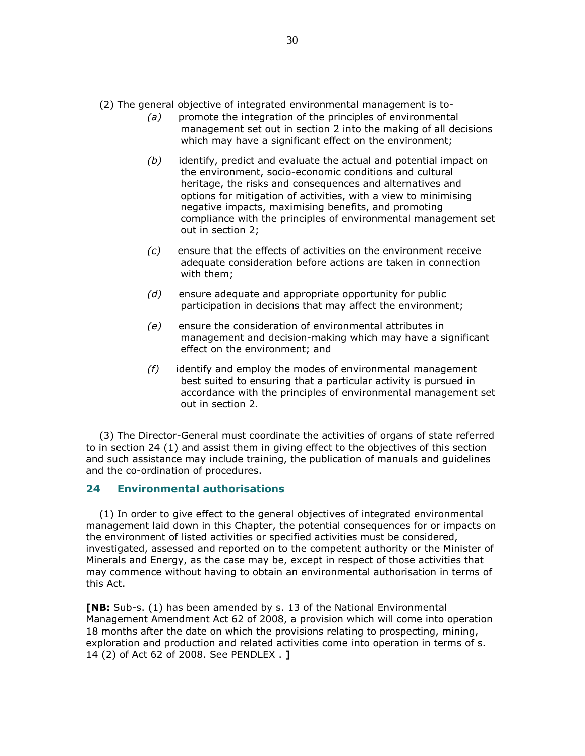- (2) The general objective of integrated environmental management is to-
	- (a) promote the integration of the principles of environmental management set out in section 2 into the making of all decisions which may have a significant effect on the environment;
	- $(b)$  identify, predict and evaluate the actual and potential impact on the environment, socio-economic conditions and cultural heritage, the risks and consequences and alternatives and options for mitigation of activities, with a view to minimising negative impacts, maximising benefits, and promoting compliance with the principles of environmental management set out in section 2;
	- (c) ensure that the effects of activities on the environment receive adequate consideration before actions are taken in connection with them;
	- (d) ensure adequate and appropriate opportunity for public participation in decisions that may affect the environment;
	- (e) ensure the consideration of environmental attributes in management and decision-making which may have a significant effect on the environment; and
	- $(f)$  identify and employ the modes of environmental management best suited to ensuring that a particular activity is pursued in accordance with the principles of environmental management set out in section 2.

 (3) The Director-General must coordinate the activities of organs of state referred to in section 24 (1) and assist them in giving effect to the objectives of this section and such assistance may include training, the publication of manuals and guidelines and the co-ordination of procedures.

# 24 Environmental authorisations

 (1) In order to give effect to the general objectives of integrated environmental management laid down in this Chapter, the potential consequences for or impacts on the environment of listed activities or specified activities must be considered, investigated, assessed and reported on to the competent authority or the Minister of Minerals and Energy, as the case may be, except in respect of those activities that may commence without having to obtain an environmental authorisation in terms of this Act.

[NB: Sub-s. (1) has been amended by s. 13 of the National Environmental Management Amendment Act 62 of 2008, a provision which will come into operation 18 months after the date on which the provisions relating to prospecting, mining, exploration and production and related activities come into operation in terms of s. 14 (2) of Act 62 of 2008. See PENDLEX . ]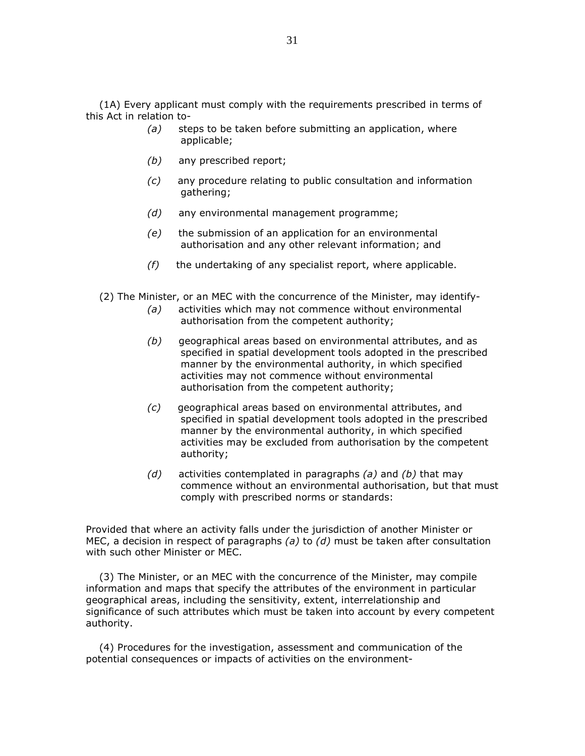(1A) Every applicant must comply with the requirements prescribed in terms of this Act in relation to-

- $(a)$  steps to be taken before submitting an application, where applicable;
- (b) any prescribed report;
- (c) any procedure relating to public consultation and information gathering;
- (d) any environmental management programme;
- (e) the submission of an application for an environmental authorisation and any other relevant information; and
- $(f)$  the undertaking of any specialist report, where applicable.
- (2) The Minister, or an MEC with the concurrence of the Minister, may identify-
	- (a) activities which may not commence without environmental authorisation from the competent authority;
	- $(b)$  geographical areas based on environmental attributes, and as specified in spatial development tools adopted in the prescribed manner by the environmental authority, in which specified activities may not commence without environmental authorisation from the competent authority;
	- (c) geographical areas based on environmental attributes, and specified in spatial development tools adopted in the prescribed manner by the environmental authority, in which specified activities may be excluded from authorisation by the competent authority;
	- (d) activities contemplated in paragraphs (a) and (b) that may commence without an environmental authorisation, but that must comply with prescribed norms or standards:

Provided that where an activity falls under the jurisdiction of another Minister or MEC, a decision in respect of paragraphs (a) to  $(d)$  must be taken after consultation with such other Minister or MEC.

 (3) The Minister, or an MEC with the concurrence of the Minister, may compile information and maps that specify the attributes of the environment in particular geographical areas, including the sensitivity, extent, interrelationship and significance of such attributes which must be taken into account by every competent authority.

 (4) Procedures for the investigation, assessment and communication of the potential consequences or impacts of activities on the environment-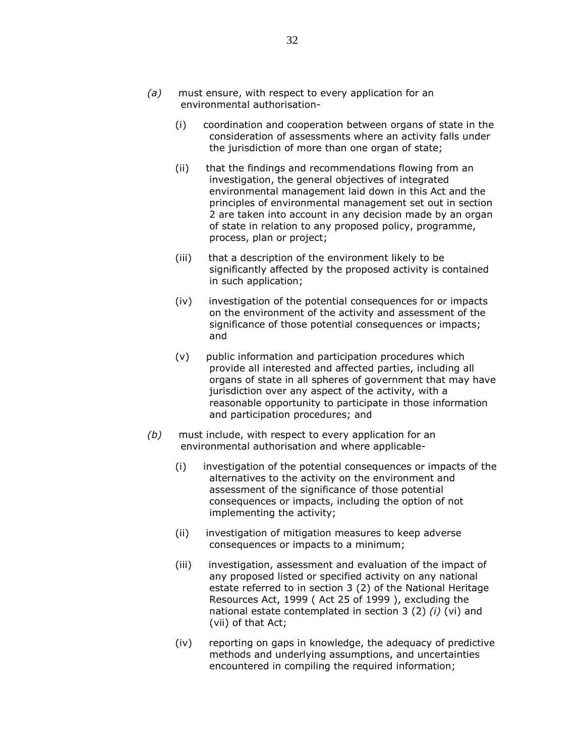- (a) must ensure, with respect to every application for an environmental authorisation-
	- (i) coordination and cooperation between organs of state in the consideration of assessments where an activity falls under the jurisdiction of more than one organ of state;
	- (ii) that the findings and recommendations flowing from an investigation, the general objectives of integrated environmental management laid down in this Act and the principles of environmental management set out in section 2 are taken into account in any decision made by an organ of state in relation to any proposed policy, programme, process, plan or project;
	- (iii) that a description of the environment likely to be significantly affected by the proposed activity is contained in such application;
	- (iv) investigation of the potential consequences for or impacts on the environment of the activity and assessment of the significance of those potential consequences or impacts; and
	- (v) public information and participation procedures which provide all interested and affected parties, including all organs of state in all spheres of government that may have jurisdiction over any aspect of the activity, with a reasonable opportunity to participate in those information and participation procedures; and
- $(b)$  must include, with respect to every application for an environmental authorisation and where applicable-
	- (i) investigation of the potential consequences or impacts of the alternatives to the activity on the environment and assessment of the significance of those potential consequences or impacts, including the option of not implementing the activity;
	- (ii) investigation of mitigation measures to keep adverse consequences or impacts to a minimum;
	- (iii) investigation, assessment and evaluation of the impact of any proposed listed or specified activity on any national estate referred to in section 3 (2) of the National Heritage Resources Act, 1999 ( Act 25 of 1999 ), excluding the national estate contemplated in section 3 (2) (i) (vi) and (vii) of that Act;
	- (iv) reporting on gaps in knowledge, the adequacy of predictive methods and underlying assumptions, and uncertainties encountered in compiling the required information;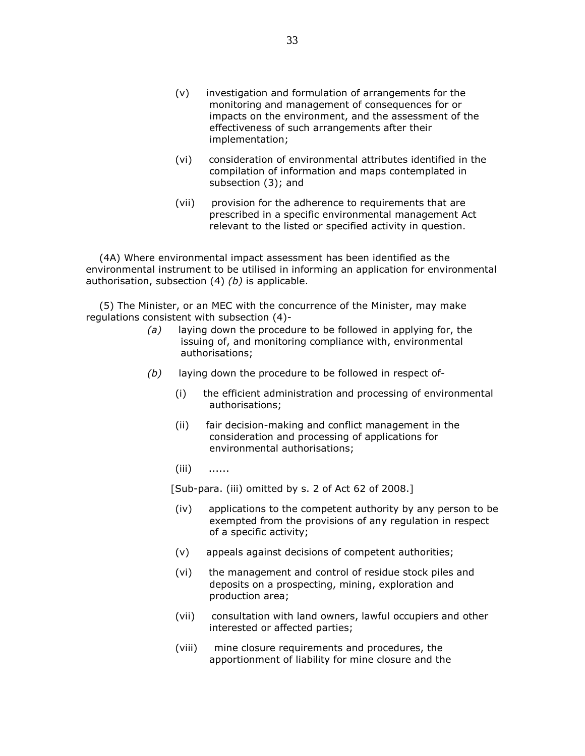- (v) investigation and formulation of arrangements for the monitoring and management of consequences for or impacts on the environment, and the assessment of the effectiveness of such arrangements after their implementation;
- (vi) consideration of environmental attributes identified in the compilation of information and maps contemplated in subsection (3); and
- (vii) provision for the adherence to requirements that are prescribed in a specific environmental management Act relevant to the listed or specified activity in question.

 (4A) Where environmental impact assessment has been identified as the environmental instrument to be utilised in informing an application for environmental authorisation, subsection  $(4)$   $(b)$  is applicable.

 (5) The Minister, or an MEC with the concurrence of the Minister, may make regulations consistent with subsection (4)-

- $(a)$  laying down the procedure to be followed in applying for, the issuing of, and monitoring compliance with, environmental authorisations;
- $(b)$  laying down the procedure to be followed in respect of-
	- (i) the efficient administration and processing of environmental authorisations;
	- (ii) fair decision-making and conflict management in the consideration and processing of applications for environmental authorisations;
	- (iii) ......

[Sub-para. (iii) omitted by s. 2 of Act 62 of 2008.]

- (iv) applications to the competent authority by any person to be exempted from the provisions of any regulation in respect of a specific activity;
- (v) appeals against decisions of competent authorities;
- (vi) the management and control of residue stock piles and deposits on a prospecting, mining, exploration and production area;
- (vii) consultation with land owners, lawful occupiers and other interested or affected parties;
- (viii) mine closure requirements and procedures, the apportionment of liability for mine closure and the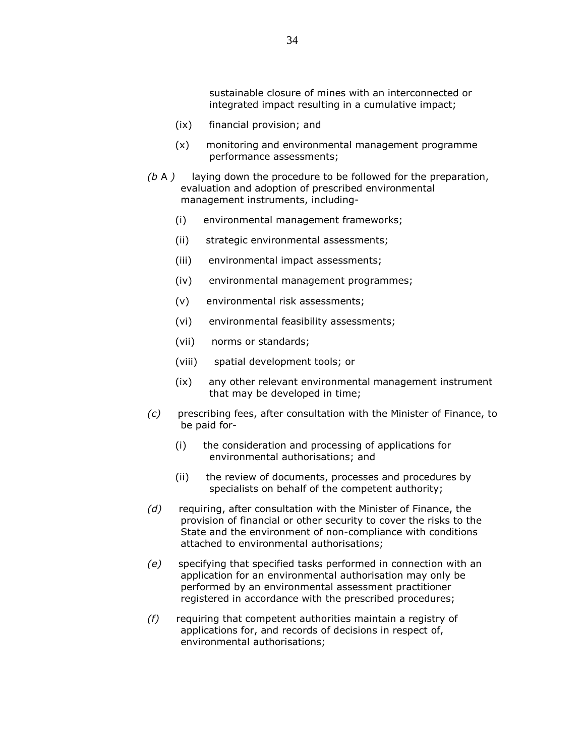sustainable closure of mines with an interconnected or integrated impact resulting in a cumulative impact;

- (ix) financial provision; and
- (x) monitoring and environmental management programme performance assessments;
- $(b A)$  laying down the procedure to be followed for the preparation, evaluation and adoption of prescribed environmental management instruments, including-
	- (i) environmental management frameworks;
	- (ii) strategic environmental assessments;
	- (iii) environmental impact assessments;
	- (iv) environmental management programmes;
	- (v) environmental risk assessments;
	- (vi) environmental feasibility assessments;
	- (vii) norms or standards;
	- (viii) spatial development tools; or
	- (ix) any other relevant environmental management instrument that may be developed in time;
- (c) prescribing fees, after consultation with the Minister of Finance, to be paid for-
	- (i) the consideration and processing of applications for environmental authorisations; and
	- (ii) the review of documents, processes and procedures by specialists on behalf of the competent authority;
- $(d)$  requiring, after consultation with the Minister of Finance, the provision of financial or other security to cover the risks to the State and the environment of non-compliance with conditions attached to environmental authorisations;
- (e) specifying that specified tasks performed in connection with an application for an environmental authorisation may only be performed by an environmental assessment practitioner registered in accordance with the prescribed procedures;
- (f) requiring that competent authorities maintain a registry of applications for, and records of decisions in respect of, environmental authorisations;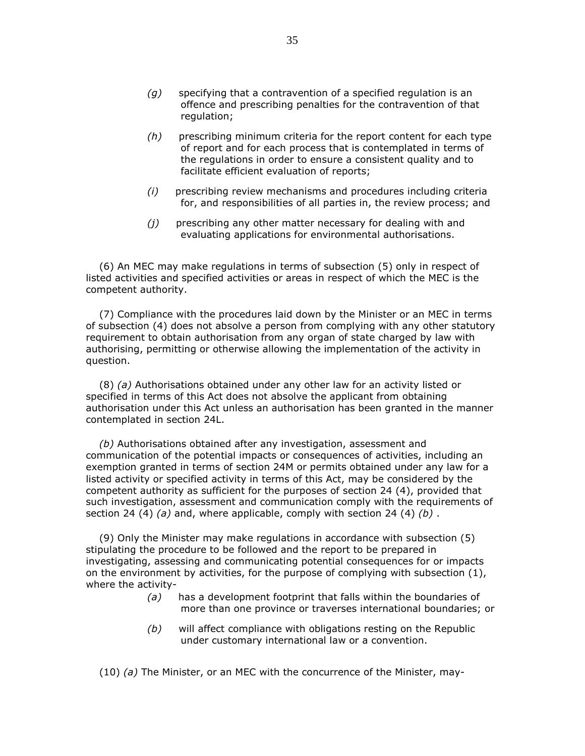- $(g)$  specifying that a contravention of a specified regulation is an offence and prescribing penalties for the contravention of that regulation;
- $(h)$  prescribing minimum criteria for the report content for each type of report and for each process that is contemplated in terms of the regulations in order to ensure a consistent quality and to facilitate efficient evaluation of reports;
- (i) prescribing review mechanisms and procedures including criteria for, and responsibilities of all parties in, the review process; and
- (j) prescribing any other matter necessary for dealing with and evaluating applications for environmental authorisations.

 (6) An MEC may make regulations in terms of subsection (5) only in respect of listed activities and specified activities or areas in respect of which the MEC is the competent authority.

 (7) Compliance with the procedures laid down by the Minister or an MEC in terms of subsection (4) does not absolve a person from complying with any other statutory requirement to obtain authorisation from any organ of state charged by law with authorising, permitting or otherwise allowing the implementation of the activity in question.

 (8) (a) Authorisations obtained under any other law for an activity listed or specified in terms of this Act does not absolve the applicant from obtaining authorisation under this Act unless an authorisation has been granted in the manner contemplated in section 24L.

 (b) Authorisations obtained after any investigation, assessment and communication of the potential impacts or consequences of activities, including an exemption granted in terms of section 24M or permits obtained under any law for a listed activity or specified activity in terms of this Act, may be considered by the competent authority as sufficient for the purposes of section 24 (4), provided that such investigation, assessment and communication comply with the requirements of section 24 (4) (a) and, where applicable, comply with section 24 (4) (b).

 (9) Only the Minister may make regulations in accordance with subsection (5) stipulating the procedure to be followed and the report to be prepared in investigating, assessing and communicating potential consequences for or impacts on the environment by activities, for the purpose of complying with subsection (1), where the activity-

- $(a)$  has a development footprint that falls within the boundaries of more than one province or traverses international boundaries; or
- (b) will affect compliance with obligations resting on the Republic under customary international law or a convention.

 $(10)$  (a) The Minister, or an MEC with the concurrence of the Minister, may-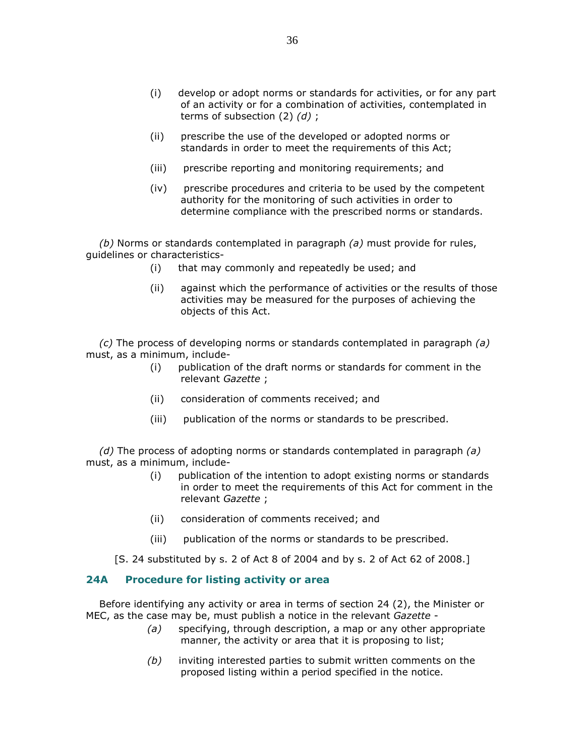- (i) develop or adopt norms or standards for activities, or for any part of an activity or for a combination of activities, contemplated in terms of subsection  $(2)$   $(d)$ ;
- (ii) prescribe the use of the developed or adopted norms or standards in order to meet the requirements of this Act;
- (iii) prescribe reporting and monitoring requirements; and
- (iv) prescribe procedures and criteria to be used by the competent authority for the monitoring of such activities in order to determine compliance with the prescribed norms or standards.

(b) Norms or standards contemplated in paragraph  $(a)$  must provide for rules, guidelines or characteristics-

- (i) that may commonly and repeatedly be used; and
- (ii) against which the performance of activities or the results of those activities may be measured for the purposes of achieving the objects of this Act.

 $(c)$  The process of developing norms or standards contemplated in paragraph  $(a)$ must, as a minimum, include-

- (i) publication of the draft norms or standards for comment in the relevant Gazette ;
- (ii) consideration of comments received; and
- (iii) publication of the norms or standards to be prescribed.

(d) The process of adopting norms or standards contemplated in paragraph (a) must, as a minimum, include-

- (i) publication of the intention to adopt existing norms or standards in order to meet the requirements of this Act for comment in the relevant Gazette ;
- (ii) consideration of comments received; and
- (iii) publication of the norms or standards to be prescribed.

[S. 24 substituted by s. 2 of Act 8 of 2004 and by s. 2 of Act 62 of 2008.]

## 24A Procedure for listing activity or area

 Before identifying any activity or area in terms of section 24 (2), the Minister or MEC, as the case may be, must publish a notice in the relevant Gazette -

- (a) specifying, through description, a map or any other appropriate manner, the activity or area that it is proposing to list;
- $(b)$  inviting interested parties to submit written comments on the proposed listing within a period specified in the notice.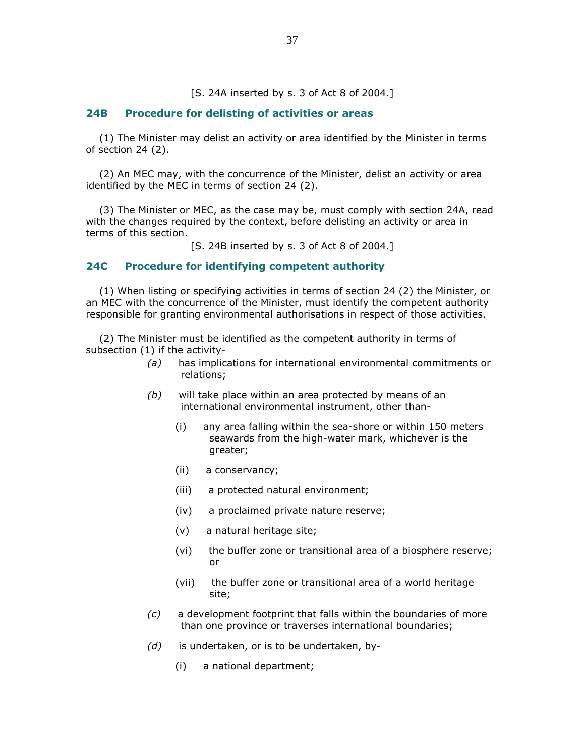[S. 24A inserted by s. 3 of Act 8 of 2004.]

#### 24B Procedure for delisting of activities or areas

 (1) The Minister may delist an activity or area identified by the Minister in terms of section 24 (2).

 (2) An MEC may, with the concurrence of the Minister, delist an activity or area identified by the MEC in terms of section 24 (2).

 (3) The Minister or MEC, as the case may be, must comply with section 24A, read with the changes required by the context, before delisting an activity or area in terms of this section.

[S. 24B inserted by s. 3 of Act 8 of 2004.]

# 24C Procedure for identifying competent authority

 (1) When listing or specifying activities in terms of section 24 (2) the Minister, or an MEC with the concurrence of the Minister, must identify the competent authority responsible for granting environmental authorisations in respect of those activities.

 (2) The Minister must be identified as the competent authority in terms of subsection (1) if the activity-

- (a) has implications for international environmental commitments or relations;
- (b) will take place within an area protected by means of an international environmental instrument, other than-
	- (i) any area falling within the sea-shore or within 150 meters seawards from the high-water mark, whichever is the greater;
	- (ii) a conservancy;
	- (iii) a protected natural environment;
	- (iv) a proclaimed private nature reserve;
	- (v) a natural heritage site;
	- (vi) the buffer zone or transitional area of a biosphere reserve; or
	- (vii) the buffer zone or transitional area of a world heritage site;
- (c) a development footprint that falls within the boundaries of more than one province or traverses international boundaries;
- $(d)$  is undertaken, or is to be undertaken, by-
	- (i) a national department;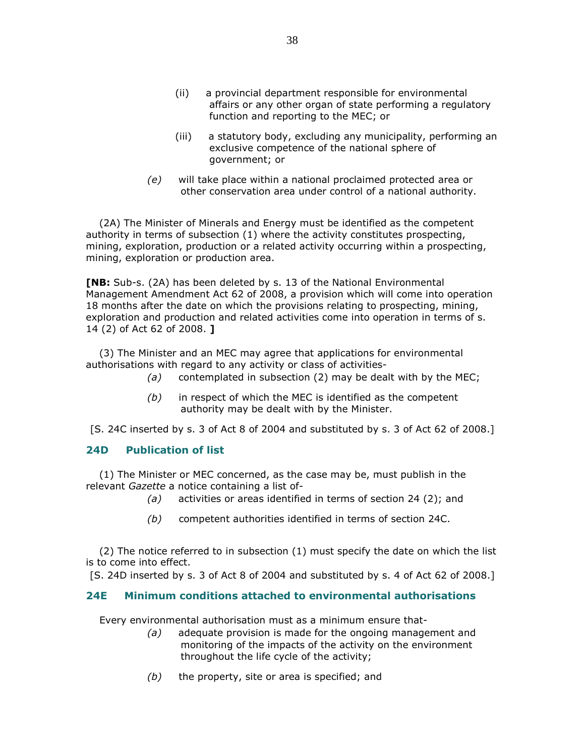- (ii) a provincial department responsible for environmental affairs or any other organ of state performing a regulatory function and reporting to the MEC; or
- (iii) a statutory body, excluding any municipality, performing an exclusive competence of the national sphere of government; or
- (e) will take place within a national proclaimed protected area or other conservation area under control of a national authority.

 (2A) The Minister of Minerals and Energy must be identified as the competent authority in terms of subsection (1) where the activity constitutes prospecting, mining, exploration, production or a related activity occurring within a prospecting, mining, exploration or production area.

[NB: Sub-s. (2A) has been deleted by s. 13 of the National Environmental Management Amendment Act 62 of 2008, a provision which will come into operation 18 months after the date on which the provisions relating to prospecting, mining, exploration and production and related activities come into operation in terms of s. 14 (2) of Act 62 of 2008. ]

 (3) The Minister and an MEC may agree that applications for environmental authorisations with regard to any activity or class of activities-

- (a) contemplated in subsection (2) may be dealt with by the MEC;
- $(b)$  in respect of which the MEC is identified as the competent authority may be dealt with by the Minister.

[S. 24C inserted by s. 3 of Act 8 of 2004 and substituted by s. 3 of Act 62 of 2008.]

# 24D Publication of list

 (1) The Minister or MEC concerned, as the case may be, must publish in the relevant Gazette a notice containing a list of-

- $(a)$  activities or areas identified in terms of section 24 (2); and
- (b) competent authorities identified in terms of section 24C.

 (2) The notice referred to in subsection (1) must specify the date on which the list is to come into effect.

[S. 24D inserted by s. 3 of Act 8 of 2004 and substituted by s. 4 of Act 62 of 2008.]

# 24E Minimum conditions attached to environmental authorisations

Every environmental authorisation must as a minimum ensure that-

- (a) adequate provision is made for the ongoing management and monitoring of the impacts of the activity on the environment throughout the life cycle of the activity;
- $(b)$  the property, site or area is specified; and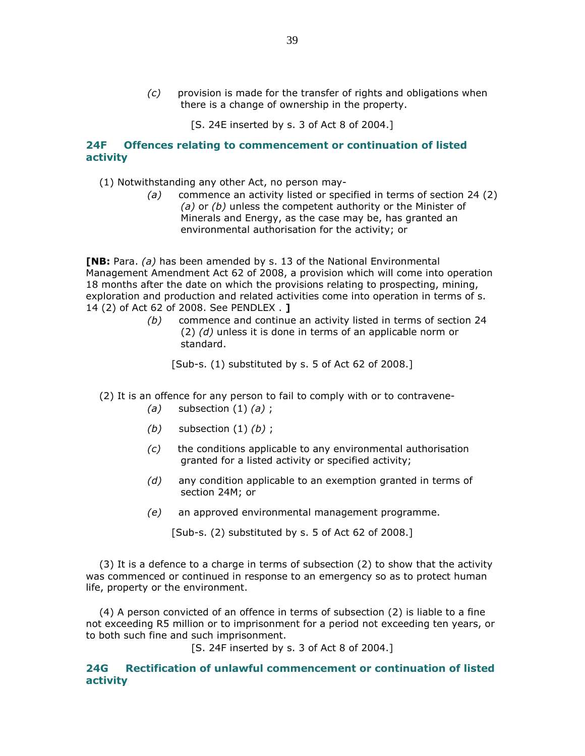$(c)$  provision is made for the transfer of rights and obligations when there is a change of ownership in the property.

[S. 24E inserted by s. 3 of Act 8 of 2004.]

# 24F Offences relating to commencement or continuation of listed activity

- (1) Notwithstanding any other Act, no person may-
	- (a) commence an activity listed or specified in terms of section 24 (2)  $(a)$  or  $(b)$  unless the competent authority or the Minister of Minerals and Energy, as the case may be, has granted an environmental authorisation for the activity; or

**[NB:** Para. (a) has been amended by s. 13 of the National Environmental Management Amendment Act 62 of 2008, a provision which will come into operation 18 months after the date on which the provisions relating to prospecting, mining, exploration and production and related activities come into operation in terms of s. 14 (2) of Act 62 of 2008. See PENDLEX . ]

> (b) commence and continue an activity listed in terms of section 24 (2) (d) unless it is done in terms of an applicable norm or standard.

[Sub-s. (1) substituted by s. 5 of Act 62 of 2008.]

- (2) It is an offence for any person to fail to comply with or to contravene-
	- (a) subsection  $(1)$   $(a)$ ;
	- $(b)$  subsection  $(1)$   $(b)$ ;
	- (c) the conditions applicable to any environmental authorisation granted for a listed activity or specified activity;
	- (d) any condition applicable to an exemption granted in terms of section 24M; or
	- (e) an approved environmental management programme.

[Sub-s. (2) substituted by s. 5 of Act 62 of 2008.]

 (3) It is a defence to a charge in terms of subsection (2) to show that the activity was commenced or continued in response to an emergency so as to protect human life, property or the environment.

 (4) A person convicted of an offence in terms of subsection (2) is liable to a fine not exceeding R5 million or to imprisonment for a period not exceeding ten years, or to both such fine and such imprisonment.

[S. 24F inserted by s. 3 of Act 8 of 2004.]

# 24G Rectification of unlawful commencement or continuation of listed activity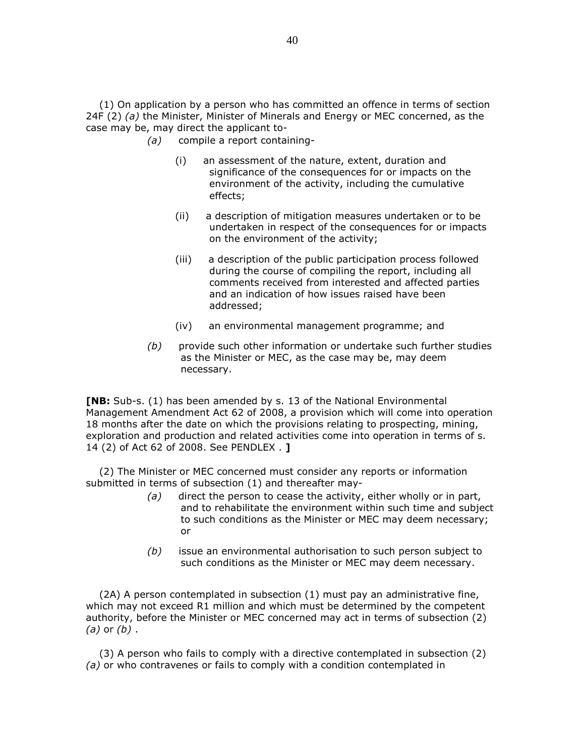(1) On application by a person who has committed an offence in terms of section 24F (2) (a) the Minister, Minister of Minerals and Energy or MEC concerned, as the case may be, may direct the applicant to-

- (a) compile a report containing-
	- (i) an assessment of the nature, extent, duration and significance of the consequences for or impacts on the environment of the activity, including the cumulative effects;
	- (ii) a description of mitigation measures undertaken or to be undertaken in respect of the consequences for or impacts on the environment of the activity;
	- (iii) a description of the public participation process followed during the course of compiling the report, including all comments received from interested and affected parties and an indication of how issues raised have been addressed;
	- (iv) an environmental management programme; and
- (b) provide such other information or undertake such further studies as the Minister or MEC, as the case may be, may deem necessary.

[NB: Sub-s. (1) has been amended by s. 13 of the National Environmental Management Amendment Act 62 of 2008, a provision which will come into operation 18 months after the date on which the provisions relating to prospecting, mining, exploration and production and related activities come into operation in terms of s. 14 (2) of Act 62 of 2008. See PENDLEX . ]

 (2) The Minister or MEC concerned must consider any reports or information submitted in terms of subsection (1) and thereafter may-

- (a) direct the person to cease the activity, either wholly or in part, and to rehabilitate the environment within such time and subject to such conditions as the Minister or MEC may deem necessary; or
- (b) issue an environmental authorisation to such person subject to such conditions as the Minister or MEC may deem necessary.

 (2A) A person contemplated in subsection (1) must pay an administrative fine, which may not exceed R1 million and which must be determined by the competent authority, before the Minister or MEC concerned may act in terms of subsection (2)  $(a)$  or  $(b)$ .

 (3) A person who fails to comply with a directive contemplated in subsection (2)  $(a)$  or who contravenes or fails to comply with a condition contemplated in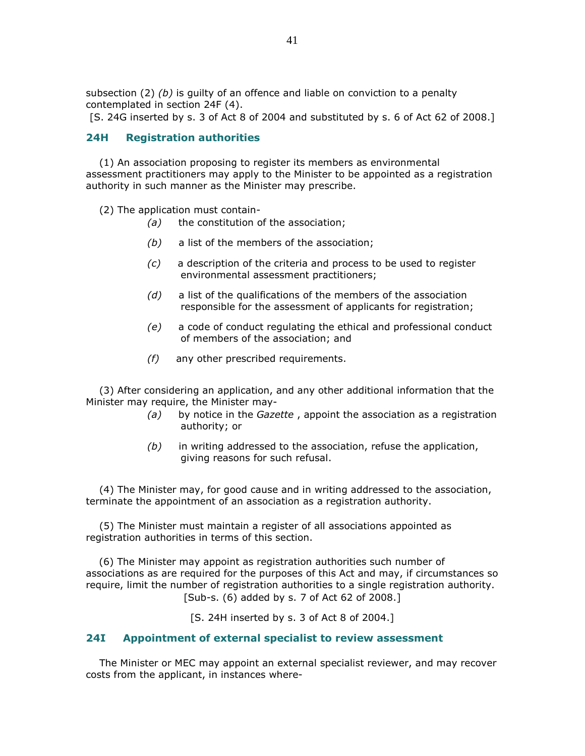subsection (2)  $(b)$  is guilty of an offence and liable on conviction to a penalty contemplated in section 24F (4).

[S. 24G inserted by s. 3 of Act 8 of 2004 and substituted by s. 6 of Act 62 of 2008.]

# 24H Registration authorities

 (1) An association proposing to register its members as environmental assessment practitioners may apply to the Minister to be appointed as a registration authority in such manner as the Minister may prescribe.

(2) The application must contain-

- (a) the constitution of the association;
- $(b)$  a list of the members of the association;
- (c) a description of the criteria and process to be used to register environmental assessment practitioners;
- $(d)$  a list of the qualifications of the members of the association responsible for the assessment of applicants for registration;
- (e) a code of conduct regulating the ethical and professional conduct of members of the association; and
- $(f)$  any other prescribed requirements.

 (3) After considering an application, and any other additional information that the Minister may require, the Minister may-

- (a) by notice in the Gazette, appoint the association as a registration authority; or
- $(b)$  in writing addressed to the association, refuse the application, giving reasons for such refusal.

 (4) The Minister may, for good cause and in writing addressed to the association, terminate the appointment of an association as a registration authority.

 (5) The Minister must maintain a register of all associations appointed as registration authorities in terms of this section.

 (6) The Minister may appoint as registration authorities such number of associations as are required for the purposes of this Act and may, if circumstances so require, limit the number of registration authorities to a single registration authority. [Sub-s. (6) added by s. 7 of Act 62 of 2008.]

[S. 24H inserted by s. 3 of Act 8 of 2004.]

# 24I Appointment of external specialist to review assessment

 The Minister or MEC may appoint an external specialist reviewer, and may recover costs from the applicant, in instances where-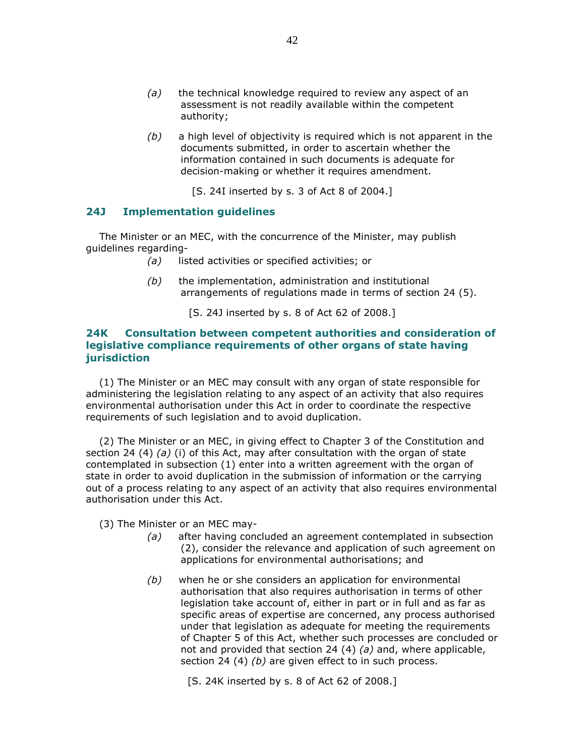- (a) the technical knowledge required to review any aspect of an assessment is not readily available within the competent authority;
- $(b)$  a high level of objectivity is required which is not apparent in the documents submitted, in order to ascertain whether the information contained in such documents is adequate for decision-making or whether it requires amendment.

[S. 24I inserted by s. 3 of Act 8 of 2004.]

#### 24J Implementation guidelines

 The Minister or an MEC, with the concurrence of the Minister, may publish guidelines regarding-

- (a) listed activities or specified activities; or
- $(b)$  the implementation, administration and institutional arrangements of regulations made in terms of section 24 (5).
	- [S. 24J inserted by s. 8 of Act 62 of 2008.]

# 24K Consultation between competent authorities and consideration of legislative compliance requirements of other organs of state having **jurisdiction**

 (1) The Minister or an MEC may consult with any organ of state responsible for administering the legislation relating to any aspect of an activity that also requires environmental authorisation under this Act in order to coordinate the respective requirements of such legislation and to avoid duplication.

 (2) The Minister or an MEC, in giving effect to Chapter 3 of the Constitution and section 24 (4) (a) (i) of this Act, may after consultation with the organ of state contemplated in subsection (1) enter into a written agreement with the organ of state in order to avoid duplication in the submission of information or the carrying out of a process relating to any aspect of an activity that also requires environmental authorisation under this Act.

(3) The Minister or an MEC may-

- (a) after having concluded an agreement contemplated in subsection (2), consider the relevance and application of such agreement on applications for environmental authorisations; and
- $(b)$  when he or she considers an application for environmental authorisation that also requires authorisation in terms of other legislation take account of, either in part or in full and as far as specific areas of expertise are concerned, any process authorised under that legislation as adequate for meeting the requirements of Chapter 5 of this Act, whether such processes are concluded or not and provided that section 24 (4) (a) and, where applicable, section 24 (4) (b) are given effect to in such process.

[S. 24K inserted by s. 8 of Act 62 of 2008.]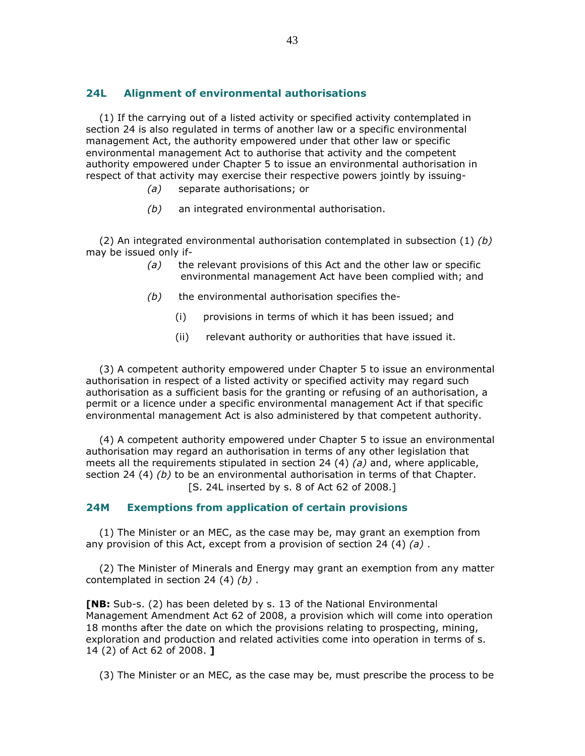# 24L Alignment of environmental authorisations

 (1) If the carrying out of a listed activity or specified activity contemplated in section 24 is also regulated in terms of another law or a specific environmental management Act, the authority empowered under that other law or specific environmental management Act to authorise that activity and the competent authority empowered under Chapter 5 to issue an environmental authorisation in respect of that activity may exercise their respective powers jointly by issuing-

- (a) separate authorisations; or
- (b) an integrated environmental authorisation.

(2) An integrated environmental authorisation contemplated in subsection  $(1)$   $(b)$ may be issued only if-

- $(a)$  the relevant provisions of this Act and the other law or specific environmental management Act have been complied with; and
- $(b)$  the environmental authorisation specifies the-
	- (i) provisions in terms of which it has been issued; and
	- (ii) relevant authority or authorities that have issued it.

 (3) A competent authority empowered under Chapter 5 to issue an environmental authorisation in respect of a listed activity or specified activity may regard such authorisation as a sufficient basis for the granting or refusing of an authorisation, a permit or a licence under a specific environmental management Act if that specific environmental management Act is also administered by that competent authority.

 (4) A competent authority empowered under Chapter 5 to issue an environmental authorisation may regard an authorisation in terms of any other legislation that meets all the requirements stipulated in section 24 (4) (a) and, where applicable, section 24 (4) (b) to be an environmental authorisation in terms of that Chapter. [S. 24L inserted by s. 8 of Act 62 of 2008.]

# 24M Exemptions from application of certain provisions

 (1) The Minister or an MEC, as the case may be, may grant an exemption from any provision of this Act, except from a provision of section 24 (4)  $(a)$ .

 (2) The Minister of Minerals and Energy may grant an exemption from any matter contemplated in section 24 (4)  $(b)$ .

[NB: Sub-s. (2) has been deleted by s. 13 of the National Environmental Management Amendment Act 62 of 2008, a provision which will come into operation 18 months after the date on which the provisions relating to prospecting, mining, exploration and production and related activities come into operation in terms of s. 14 (2) of Act 62 of 2008. ]

(3) The Minister or an MEC, as the case may be, must prescribe the process to be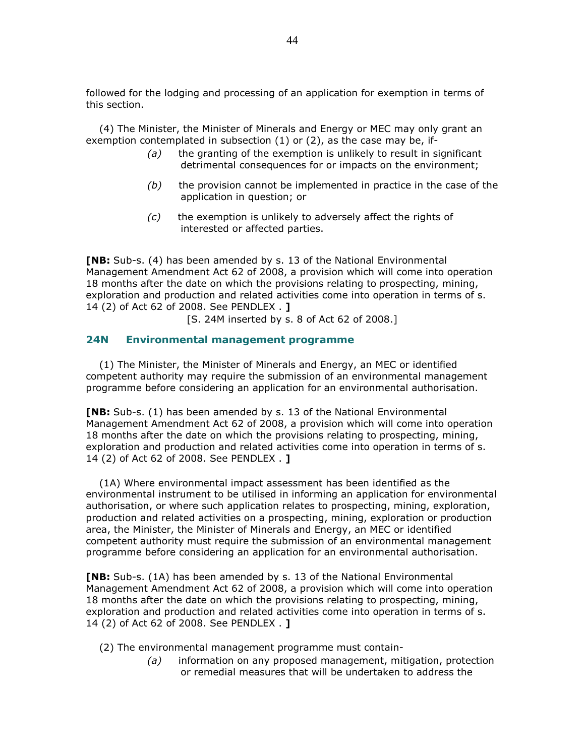followed for the lodging and processing of an application for exemption in terms of this section.

 (4) The Minister, the Minister of Minerals and Energy or MEC may only grant an exemption contemplated in subsection  $(1)$  or  $(2)$ , as the case may be, if-

- $(a)$  the granting of the exemption is unlikely to result in significant detrimental consequences for or impacts on the environment;
- $(b)$  the provision cannot be implemented in practice in the case of the application in question; or
- (c) the exemption is unlikely to adversely affect the rights of interested or affected parties.

[NB: Sub-s. (4) has been amended by s. 13 of the National Environmental Management Amendment Act 62 of 2008, a provision which will come into operation 18 months after the date on which the provisions relating to prospecting, mining, exploration and production and related activities come into operation in terms of s. 14 (2) of Act 62 of 2008. See PENDLEX . ]

[S. 24M inserted by s. 8 of Act 62 of 2008.]

# 24N Environmental management programme

 (1) The Minister, the Minister of Minerals and Energy, an MEC or identified competent authority may require the submission of an environmental management programme before considering an application for an environmental authorisation.

[NB: Sub-s. (1) has been amended by s. 13 of the National Environmental Management Amendment Act 62 of 2008, a provision which will come into operation 18 months after the date on which the provisions relating to prospecting, mining, exploration and production and related activities come into operation in terms of s. 14 (2) of Act 62 of 2008. See PENDLEX . ]

 (1A) Where environmental impact assessment has been identified as the environmental instrument to be utilised in informing an application for environmental authorisation, or where such application relates to prospecting, mining, exploration, production and related activities on a prospecting, mining, exploration or production area, the Minister, the Minister of Minerals and Energy, an MEC or identified competent authority must require the submission of an environmental management programme before considering an application for an environmental authorisation.

[NB: Sub-s. (1A) has been amended by s. 13 of the National Environmental Management Amendment Act 62 of 2008, a provision which will come into operation 18 months after the date on which the provisions relating to prospecting, mining, exploration and production and related activities come into operation in terms of s. 14 (2) of Act 62 of 2008. See PENDLEX . ]

- (2) The environmental management programme must contain-
	- (a) information on any proposed management, mitigation, protection or remedial measures that will be undertaken to address the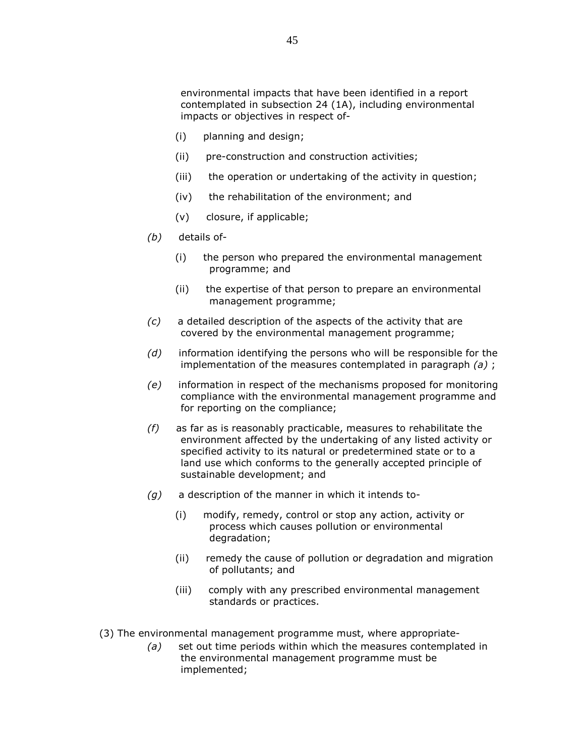environmental impacts that have been identified in a report contemplated in subsection 24 (1A), including environmental impacts or objectives in respect of-

- (i) planning and design;
- (ii) pre-construction and construction activities;
- (iii) the operation or undertaking of the activity in question;
- (iv) the rehabilitation of the environment; and
- (v) closure, if applicable;
- (b) details of-
	- (i) the person who prepared the environmental management programme; and
	- (ii) the expertise of that person to prepare an environmental management programme;
- (c) a detailed description of the aspects of the activity that are covered by the environmental management programme;
- $(d)$  information identifying the persons who will be responsible for the implementation of the measures contemplated in paragraph  $(a)$ ;
- (e) information in respect of the mechanisms proposed for monitoring compliance with the environmental management programme and for reporting on the compliance;
- $(f)$  as far as is reasonably practicable, measures to rehabilitate the environment affected by the undertaking of any listed activity or specified activity to its natural or predetermined state or to a land use which conforms to the generally accepted principle of sustainable development; and
- $(q)$  a description of the manner in which it intends to-
	- (i) modify, remedy, control or stop any action, activity or process which causes pollution or environmental degradation;
	- (ii) remedy the cause of pollution or degradation and migration of pollutants; and
	- (iii) comply with any prescribed environmental management standards or practices.
- (3) The environmental management programme must, where appropriate-
	- (a) set out time periods within which the measures contemplated in the environmental management programme must be implemented;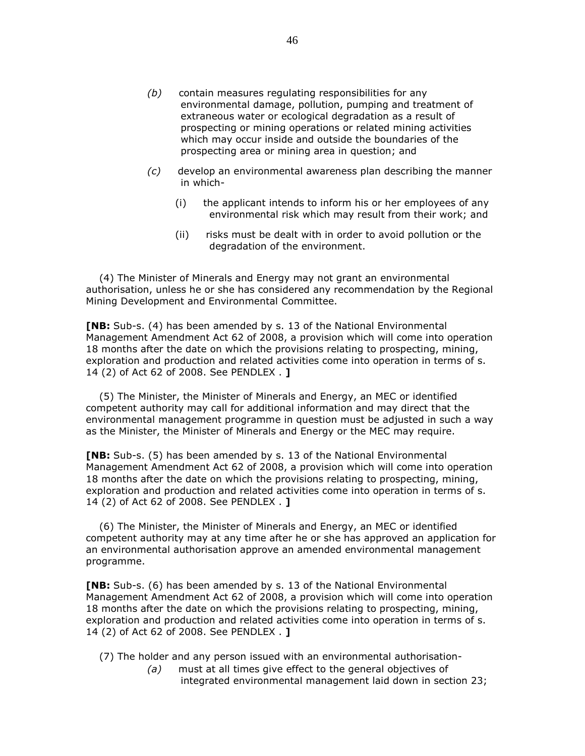- (b) contain measures regulating responsibilities for any environmental damage, pollution, pumping and treatment of extraneous water or ecological degradation as a result of prospecting or mining operations or related mining activities which may occur inside and outside the boundaries of the prospecting area or mining area in question; and
- (c) develop an environmental awareness plan describing the manner in which-
	- (i) the applicant intends to inform his or her employees of any environmental risk which may result from their work; and
	- (ii) risks must be dealt with in order to avoid pollution or the degradation of the environment.

 (4) The Minister of Minerals and Energy may not grant an environmental authorisation, unless he or she has considered any recommendation by the Regional Mining Development and Environmental Committee.

[NB: Sub-s. (4) has been amended by s. 13 of the National Environmental Management Amendment Act 62 of 2008, a provision which will come into operation 18 months after the date on which the provisions relating to prospecting, mining, exploration and production and related activities come into operation in terms of s. 14 (2) of Act 62 of 2008. See PENDLEX . ]

 (5) The Minister, the Minister of Minerals and Energy, an MEC or identified competent authority may call for additional information and may direct that the environmental management programme in question must be adjusted in such a way as the Minister, the Minister of Minerals and Energy or the MEC may require.

[NB: Sub-s. (5) has been amended by s. 13 of the National Environmental Management Amendment Act 62 of 2008, a provision which will come into operation 18 months after the date on which the provisions relating to prospecting, mining, exploration and production and related activities come into operation in terms of s. 14 (2) of Act 62 of 2008. See PENDLEX . ]

 (6) The Minister, the Minister of Minerals and Energy, an MEC or identified competent authority may at any time after he or she has approved an application for an environmental authorisation approve an amended environmental management programme.

[NB: Sub-s. (6) has been amended by s. 13 of the National Environmental Management Amendment Act 62 of 2008, a provision which will come into operation 18 months after the date on which the provisions relating to prospecting, mining, exploration and production and related activities come into operation in terms of s. 14 (2) of Act 62 of 2008. See PENDLEX . ]

(7) The holder and any person issued with an environmental authorisation-

(a) must at all times give effect to the general objectives of integrated environmental management laid down in section 23;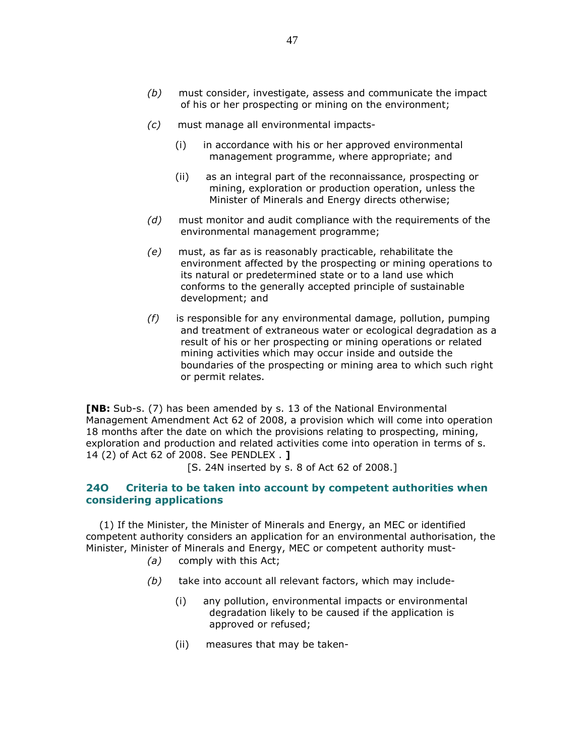- $(b)$  must consider, investigate, assess and communicate the impact of his or her prospecting or mining on the environment;
- (c) must manage all environmental impacts-
	- (i) in accordance with his or her approved environmental management programme, where appropriate; and
	- (ii) as an integral part of the reconnaissance, prospecting or mining, exploration or production operation, unless the Minister of Minerals and Energy directs otherwise;
- $(d)$  must monitor and audit compliance with the requirements of the environmental management programme;
- (e) must, as far as is reasonably practicable, rehabilitate the environment affected by the prospecting or mining operations to its natural or predetermined state or to a land use which conforms to the generally accepted principle of sustainable development; and
- $(f)$  is responsible for any environmental damage, pollution, pumping and treatment of extraneous water or ecological degradation as a result of his or her prospecting or mining operations or related mining activities which may occur inside and outside the boundaries of the prospecting or mining area to which such right or permit relates.

[NB: Sub-s. (7) has been amended by s. 13 of the National Environmental Management Amendment Act 62 of 2008, a provision which will come into operation 18 months after the date on which the provisions relating to prospecting, mining, exploration and production and related activities come into operation in terms of s. 14 (2) of Act 62 of 2008. See PENDLEX . ]

[S. 24N inserted by s. 8 of Act 62 of 2008.]

# 24O Criteria to be taken into account by competent authorities when considering applications

 (1) If the Minister, the Minister of Minerals and Energy, an MEC or identified competent authority considers an application for an environmental authorisation, the Minister, Minister of Minerals and Energy, MEC or competent authority must-

- (a) comply with this Act;
- (b) take into account all relevant factors, which may include-
	- (i) any pollution, environmental impacts or environmental degradation likely to be caused if the application is approved or refused;
	- (ii) measures that may be taken-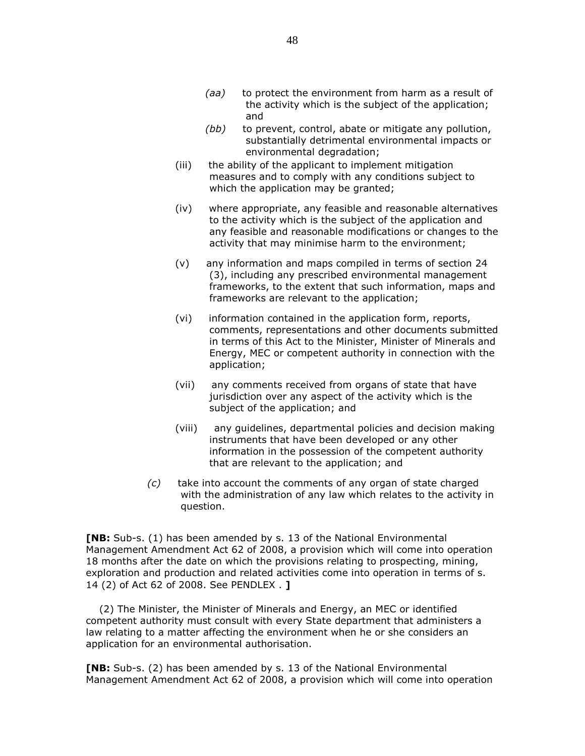- (aa) to protect the environment from harm as a result of the activity which is the subject of the application; and
- (bb) to prevent, control, abate or mitigate any pollution, substantially detrimental environmental impacts or environmental degradation;
- (iii) the ability of the applicant to implement mitigation measures and to comply with any conditions subject to which the application may be granted;
- (iv) where appropriate, any feasible and reasonable alternatives to the activity which is the subject of the application and any feasible and reasonable modifications or changes to the activity that may minimise harm to the environment;
- (v) any information and maps compiled in terms of section 24 (3), including any prescribed environmental management frameworks, to the extent that such information, maps and frameworks are relevant to the application;
- (vi) information contained in the application form, reports, comments, representations and other documents submitted in terms of this Act to the Minister, Minister of Minerals and Energy, MEC or competent authority in connection with the application;
- (vii) any comments received from organs of state that have jurisdiction over any aspect of the activity which is the subject of the application; and
- (viii) any guidelines, departmental policies and decision making instruments that have been developed or any other information in the possession of the competent authority that are relevant to the application; and
- $(c)$  take into account the comments of any organ of state charged with the administration of any law which relates to the activity in question.

[NB: Sub-s. (1) has been amended by s. 13 of the National Environmental Management Amendment Act 62 of 2008, a provision which will come into operation 18 months after the date on which the provisions relating to prospecting, mining, exploration and production and related activities come into operation in terms of s. 14 (2) of Act 62 of 2008. See PENDLEX . ]

 (2) The Minister, the Minister of Minerals and Energy, an MEC or identified competent authority must consult with every State department that administers a law relating to a matter affecting the environment when he or she considers an application for an environmental authorisation.

[NB: Sub-s. (2) has been amended by s. 13 of the National Environmental Management Amendment Act 62 of 2008, a provision which will come into operation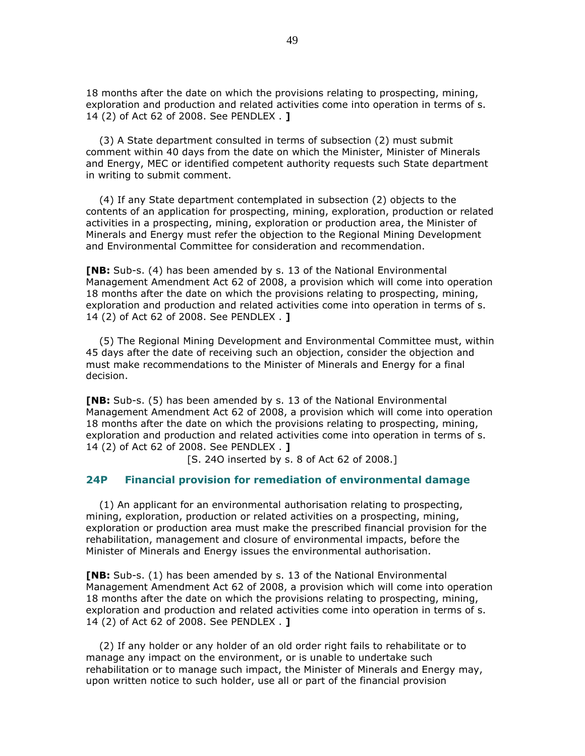18 months after the date on which the provisions relating to prospecting, mining, exploration and production and related activities come into operation in terms of s. 14 (2) of Act 62 of 2008. See PENDLEX . ]

 (3) A State department consulted in terms of subsection (2) must submit comment within 40 days from the date on which the Minister, Minister of Minerals and Energy, MEC or identified competent authority requests such State department in writing to submit comment.

 (4) If any State department contemplated in subsection (2) objects to the contents of an application for prospecting, mining, exploration, production or related activities in a prospecting, mining, exploration or production area, the Minister of Minerals and Energy must refer the objection to the Regional Mining Development and Environmental Committee for consideration and recommendation.

[NB: Sub-s. (4) has been amended by s. 13 of the National Environmental Management Amendment Act 62 of 2008, a provision which will come into operation 18 months after the date on which the provisions relating to prospecting, mining, exploration and production and related activities come into operation in terms of s. 14 (2) of Act 62 of 2008. See PENDLEX . ]

 (5) The Regional Mining Development and Environmental Committee must, within 45 days after the date of receiving such an objection, consider the objection and must make recommendations to the Minister of Minerals and Energy for a final decision.

[NB: Sub-s. (5) has been amended by s. 13 of the National Environmental Management Amendment Act 62 of 2008, a provision which will come into operation 18 months after the date on which the provisions relating to prospecting, mining, exploration and production and related activities come into operation in terms of s. 14 (2) of Act 62 of 2008. See PENDLEX . ]

[S. 24O inserted by s. 8 of Act 62 of 2008.]

# 24P Financial provision for remediation of environmental damage

 (1) An applicant for an environmental authorisation relating to prospecting, mining, exploration, production or related activities on a prospecting, mining, exploration or production area must make the prescribed financial provision for the rehabilitation, management and closure of environmental impacts, before the Minister of Minerals and Energy issues the environmental authorisation.

[NB: Sub-s. (1) has been amended by s. 13 of the National Environmental Management Amendment Act 62 of 2008, a provision which will come into operation 18 months after the date on which the provisions relating to prospecting, mining, exploration and production and related activities come into operation in terms of s. 14 (2) of Act 62 of 2008. See PENDLEX . ]

 (2) If any holder or any holder of an old order right fails to rehabilitate or to manage any impact on the environment, or is unable to undertake such rehabilitation or to manage such impact, the Minister of Minerals and Energy may, upon written notice to such holder, use all or part of the financial provision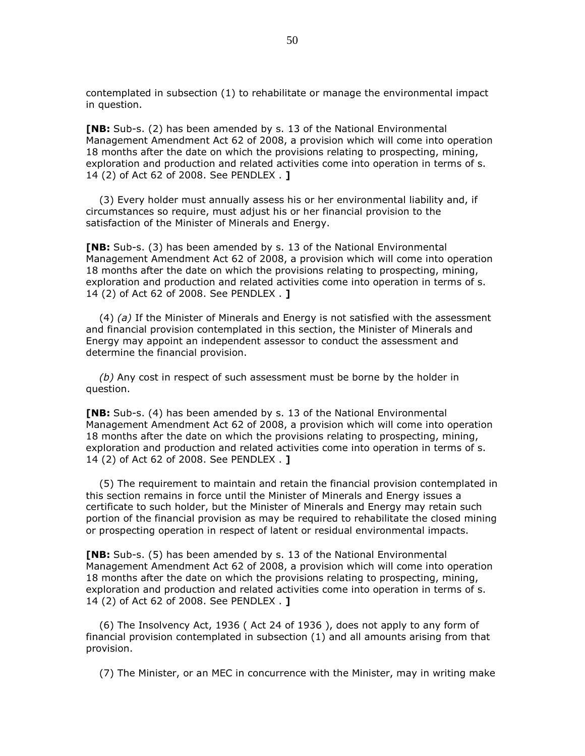contemplated in subsection (1) to rehabilitate or manage the environmental impact in question.

[NB: Sub-s. (2) has been amended by s. 13 of the National Environmental Management Amendment Act 62 of 2008, a provision which will come into operation 18 months after the date on which the provisions relating to prospecting, mining, exploration and production and related activities come into operation in terms of s. 14 (2) of Act 62 of 2008. See PENDLEX . ]

 (3) Every holder must annually assess his or her environmental liability and, if circumstances so require, must adjust his or her financial provision to the satisfaction of the Minister of Minerals and Energy.

[NB: Sub-s. (3) has been amended by s. 13 of the National Environmental Management Amendment Act 62 of 2008, a provision which will come into operation 18 months after the date on which the provisions relating to prospecting, mining, exploration and production and related activities come into operation in terms of s. 14 (2) of Act 62 of 2008. See PENDLEX . ]

 $(4)$  (a) If the Minister of Minerals and Energy is not satisfied with the assessment and financial provision contemplated in this section, the Minister of Minerals and Energy may appoint an independent assessor to conduct the assessment and determine the financial provision.

 $(b)$  Any cost in respect of such assessment must be borne by the holder in question.

[NB: Sub-s. (4) has been amended by s. 13 of the National Environmental Management Amendment Act 62 of 2008, a provision which will come into operation 18 months after the date on which the provisions relating to prospecting, mining, exploration and production and related activities come into operation in terms of s. 14 (2) of Act 62 of 2008. See PENDLEX . ]

 (5) The requirement to maintain and retain the financial provision contemplated in this section remains in force until the Minister of Minerals and Energy issues a certificate to such holder, but the Minister of Minerals and Energy may retain such portion of the financial provision as may be required to rehabilitate the closed mining or prospecting operation in respect of latent or residual environmental impacts.

[NB: Sub-s. (5) has been amended by s. 13 of the National Environmental Management Amendment Act 62 of 2008, a provision which will come into operation 18 months after the date on which the provisions relating to prospecting, mining, exploration and production and related activities come into operation in terms of s. 14 (2) of Act 62 of 2008. See PENDLEX . ]

 (6) The Insolvency Act, 1936 ( Act 24 of 1936 ), does not apply to any form of financial provision contemplated in subsection (1) and all amounts arising from that provision.

(7) The Minister, or an MEC in concurrence with the Minister, may in writing make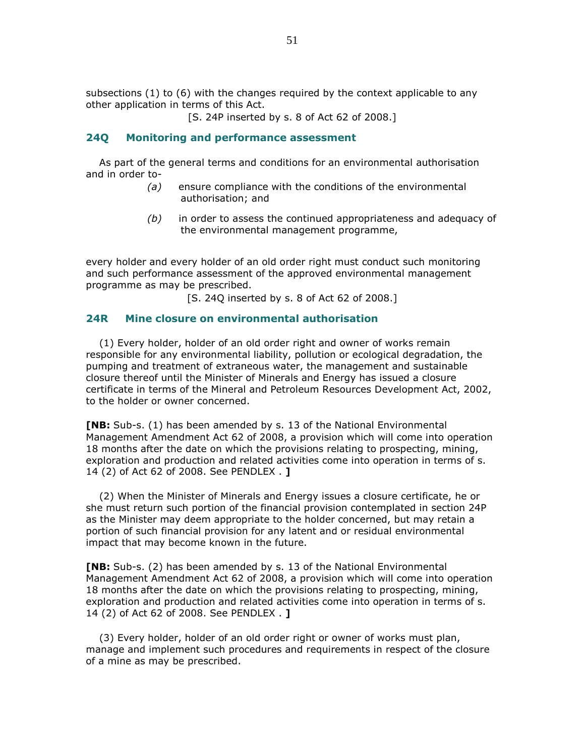subsections (1) to (6) with the changes required by the context applicable to any other application in terms of this Act.

[S. 24P inserted by s. 8 of Act 62 of 2008.]

#### 24Q Monitoring and performance assessment

 As part of the general terms and conditions for an environmental authorisation and in order to-

- (a) ensure compliance with the conditions of the environmental authorisation; and
- $(b)$  in order to assess the continued appropriateness and adequacy of the environmental management programme,

every holder and every holder of an old order right must conduct such monitoring and such performance assessment of the approved environmental management programme as may be prescribed.

[S. 24Q inserted by s. 8 of Act 62 of 2008.]

#### 24R Mine closure on environmental authorisation

 (1) Every holder, holder of an old order right and owner of works remain responsible for any environmental liability, pollution or ecological degradation, the pumping and treatment of extraneous water, the management and sustainable closure thereof until the Minister of Minerals and Energy has issued a closure certificate in terms of the Mineral and Petroleum Resources Development Act, 2002, to the holder or owner concerned.

[NB: Sub-s. (1) has been amended by s. 13 of the National Environmental Management Amendment Act 62 of 2008, a provision which will come into operation 18 months after the date on which the provisions relating to prospecting, mining, exploration and production and related activities come into operation in terms of s. 14 (2) of Act 62 of 2008. See PENDLEX . ]

 (2) When the Minister of Minerals and Energy issues a closure certificate, he or she must return such portion of the financial provision contemplated in section 24P as the Minister may deem appropriate to the holder concerned, but may retain a portion of such financial provision for any latent and or residual environmental impact that may become known in the future.

[NB: Sub-s. (2) has been amended by s. 13 of the National Environmental Management Amendment Act 62 of 2008, a provision which will come into operation 18 months after the date on which the provisions relating to prospecting, mining, exploration and production and related activities come into operation in terms of s. 14 (2) of Act 62 of 2008. See PENDLEX . ]

 (3) Every holder, holder of an old order right or owner of works must plan, manage and implement such procedures and requirements in respect of the closure of a mine as may be prescribed.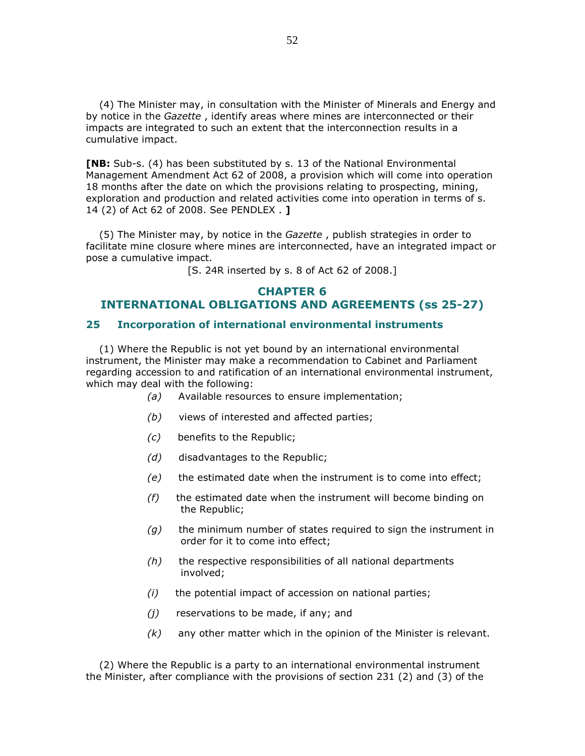(4) The Minister may, in consultation with the Minister of Minerals and Energy and by notice in the Gazette, identify areas where mines are interconnected or their impacts are integrated to such an extent that the interconnection results in a cumulative impact.

[NB: Sub-s. (4) has been substituted by s. 13 of the National Environmental Management Amendment Act 62 of 2008, a provision which will come into operation 18 months after the date on which the provisions relating to prospecting, mining, exploration and production and related activities come into operation in terms of s. 14 (2) of Act 62 of 2008. See PENDLEX . ]

 (5) The Minister may, by notice in the Gazette , publish strategies in order to facilitate mine closure where mines are interconnected, have an integrated impact or pose a cumulative impact.

[S. 24R inserted by s. 8 of Act 62 of 2008.]

# CHAPTER 6 INTERNATIONAL OBLIGATIONS AND AGREEMENTS (ss 25-27)

#### 25 Incorporation of international environmental instruments

 (1) Where the Republic is not yet bound by an international environmental instrument, the Minister may make a recommendation to Cabinet and Parliament regarding accession to and ratification of an international environmental instrument, which may deal with the following:

- (a) Available resources to ensure implementation;
- (b) views of interested and affected parties;
- (c) benefits to the Republic;
- (d) disadvantages to the Republic;
- $(e)$  the estimated date when the instrument is to come into effect;
- $(f)$  the estimated date when the instrument will become binding on the Republic;
- $(g)$  the minimum number of states required to sign the instrument in order for it to come into effect;
- $(h)$  the respective responsibilities of all national departments involved;
- $(i)$  the potential impact of accession on national parties;
- $(i)$  reservations to be made, if any; and
- $(k)$  any other matter which in the opinion of the Minister is relevant.

 (2) Where the Republic is a party to an international environmental instrument the Minister, after compliance with the provisions of section 231 (2) and (3) of the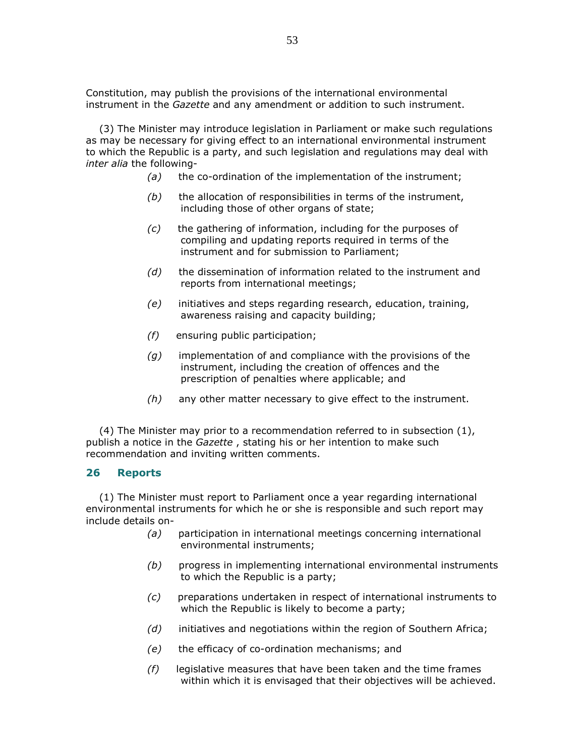Constitution, may publish the provisions of the international environmental instrument in the Gazette and any amendment or addition to such instrument.

 (3) The Minister may introduce legislation in Parliament or make such regulations as may be necessary for giving effect to an international environmental instrument to which the Republic is a party, and such legislation and regulations may deal with inter alia the following-

- $(a)$  the co-ordination of the implementation of the instrument;
- $(b)$  the allocation of responsibilities in terms of the instrument, including those of other organs of state;
- (c) the gathering of information, including for the purposes of compiling and updating reports required in terms of the instrument and for submission to Parliament;
- $(d)$  the dissemination of information related to the instrument and reports from international meetings;
- (e) initiatives and steps regarding research, education, training, awareness raising and capacity building;
- (f) ensuring public participation;
- $(g)$  implementation of and compliance with the provisions of the instrument, including the creation of offences and the prescription of penalties where applicable; and
- $(h)$  any other matter necessary to give effect to the instrument.

 (4) The Minister may prior to a recommendation referred to in subsection (1), publish a notice in the Gazette, stating his or her intention to make such recommendation and inviting written comments.

# 26 Reports

 (1) The Minister must report to Parliament once a year regarding international environmental instruments for which he or she is responsible and such report may include details on-

- (a) participation in international meetings concerning international environmental instruments;
- (b) progress in implementing international environmental instruments to which the Republic is a party;
- (c) preparations undertaken in respect of international instruments to which the Republic is likely to become a party;
- $(d)$  initiatives and negotiations within the region of Southern Africa;
- (e) the efficacy of co-ordination mechanisms; and
- $(f)$  legislative measures that have been taken and the time frames within which it is envisaged that their objectives will be achieved.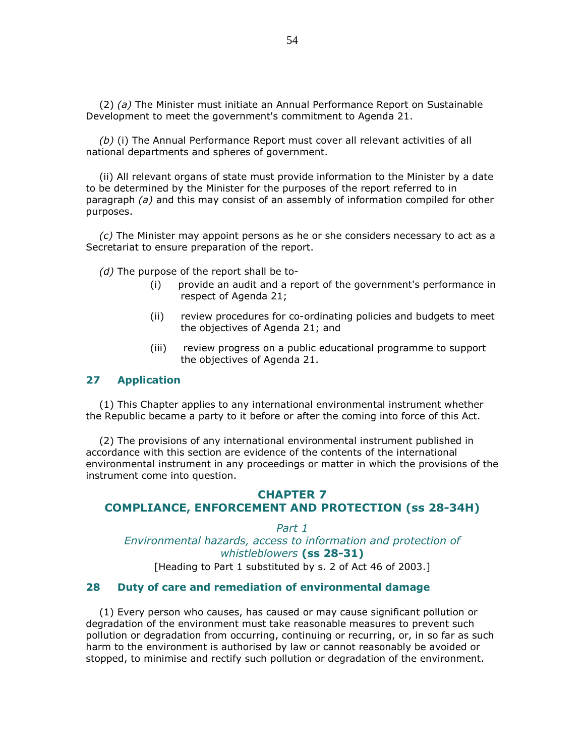(2) (a) The Minister must initiate an Annual Performance Report on Sustainable Development to meet the government's commitment to Agenda 21.

 (b) (i) The Annual Performance Report must cover all relevant activities of all national departments and spheres of government.

 (ii) All relevant organs of state must provide information to the Minister by a date to be determined by the Minister for the purposes of the report referred to in paragraph (a) and this may consist of an assembly of information compiled for other purposes.

 $(c)$  The Minister may appoint persons as he or she considers necessary to act as a Secretariat to ensure preparation of the report.

 $(d)$  The purpose of the report shall be to-

- (i) provide an audit and a report of the government's performance in respect of Agenda 21;
- (ii) review procedures for co-ordinating policies and budgets to meet the objectives of Agenda 21; and
- (iii) review progress on a public educational programme to support the objectives of Agenda 21.

# 27 Application

 (1) This Chapter applies to any international environmental instrument whether the Republic became a party to it before or after the coming into force of this Act.

 (2) The provisions of any international environmental instrument published in accordance with this section are evidence of the contents of the international environmental instrument in any proceedings or matter in which the provisions of the instrument come into question.

# CHAPTER 7 COMPLIANCE, ENFORCEMENT AND PROTECTION (ss 28-34H)

Part 1

Environmental hazards, access to information and protection of whistleblowers (ss 28-31)

[Heading to Part 1 substituted by s. 2 of Act 46 of 2003.]

## 28 Duty of care and remediation of environmental damage

 (1) Every person who causes, has caused or may cause significant pollution or degradation of the environment must take reasonable measures to prevent such pollution or degradation from occurring, continuing or recurring, or, in so far as such harm to the environment is authorised by law or cannot reasonably be avoided or stopped, to minimise and rectify such pollution or degradation of the environment.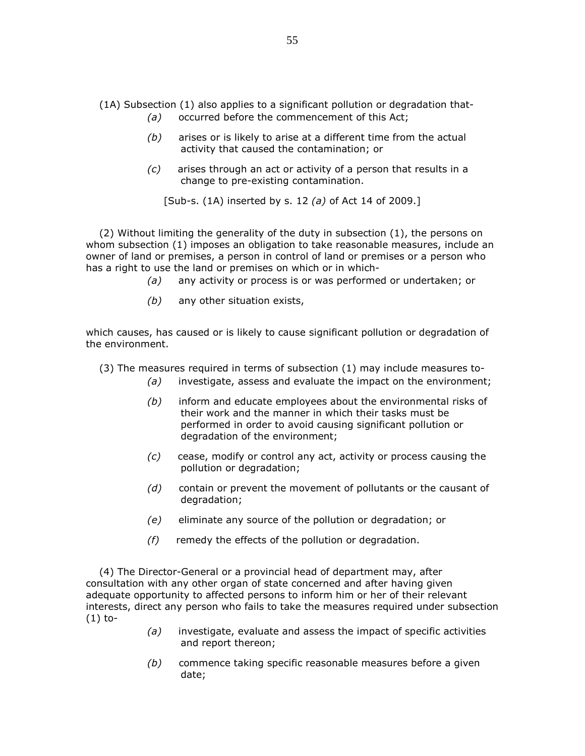- (1A) Subsection (1) also applies to a significant pollution or degradation that- (a) occurred before the commencement of this Act;
	- $(b)$  arises or is likely to arise at a different time from the actual activity that caused the contamination; or
	- (c) arises through an act or activity of a person that results in a change to pre-existing contamination.

[Sub-s. (1A) inserted by s. 12 (a) of Act 14 of 2009.]

 (2) Without limiting the generality of the duty in subsection (1), the persons on whom subsection (1) imposes an obligation to take reasonable measures, include an owner of land or premises, a person in control of land or premises or a person who has a right to use the land or premises on which or in which-

- (a) any activity or process is or was performed or undertaken; or
- (b) any other situation exists,

which causes, has caused or is likely to cause significant pollution or degradation of the environment.

- (3) The measures required in terms of subsection (1) may include measures to-
	- $(a)$  investigate, assess and evaluate the impact on the environment;
	- $(b)$  inform and educate employees about the environmental risks of their work and the manner in which their tasks must be performed in order to avoid causing significant pollution or degradation of the environment;
	- (c) cease, modify or control any act, activity or process causing the pollution or degradation;
	- $(d)$  contain or prevent the movement of pollutants or the causant of degradation;
	- (e) eliminate any source of the pollution or degradation; or
	- $(f)$  remedy the effects of the pollution or degradation.

 (4) The Director-General or a provincial head of department may, after consultation with any other organ of state concerned and after having given adequate opportunity to affected persons to inform him or her of their relevant interests, direct any person who fails to take the measures required under subsection (1) to-

- $(a)$  investigate, evaluate and assess the impact of specific activities and report thereon;
- (b) commence taking specific reasonable measures before a given date;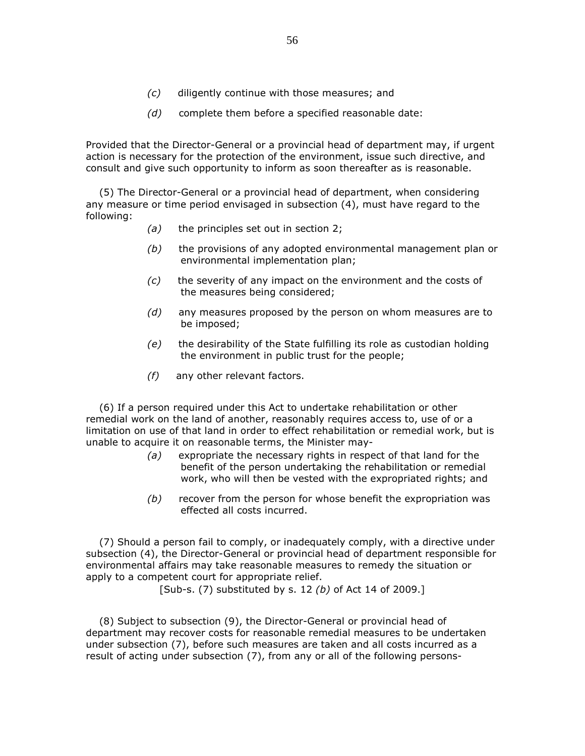- (c) diligently continue with those measures; and
- (d) complete them before a specified reasonable date:

Provided that the Director-General or a provincial head of department may, if urgent action is necessary for the protection of the environment, issue such directive, and consult and give such opportunity to inform as soon thereafter as is reasonable.

 (5) The Director-General or a provincial head of department, when considering any measure or time period envisaged in subsection (4), must have regard to the following:

- $(a)$  the principles set out in section 2;
- $(b)$  the provisions of any adopted environmental management plan or environmental implementation plan;
- $(c)$  the severity of any impact on the environment and the costs of the measures being considered;
- $(d)$  any measures proposed by the person on whom measures are to be imposed;
- (e) the desirability of the State fulfilling its role as custodian holding the environment in public trust for the people;
- (f) any other relevant factors.

 (6) If a person required under this Act to undertake rehabilitation or other remedial work on the land of another, reasonably requires access to, use of or a limitation on use of that land in order to effect rehabilitation or remedial work, but is unable to acquire it on reasonable terms, the Minister may-

- $(a)$  expropriate the necessary rights in respect of that land for the benefit of the person undertaking the rehabilitation or remedial work, who will then be vested with the expropriated rights; and
- $(b)$  recover from the person for whose benefit the expropriation was effected all costs incurred.

 (7) Should a person fail to comply, or inadequately comply, with a directive under subsection (4), the Director-General or provincial head of department responsible for environmental affairs may take reasonable measures to remedy the situation or apply to a competent court for appropriate relief.

[Sub-s.  $(7)$  substituted by s. 12  $(b)$  of Act 14 of 2009.]

 (8) Subject to subsection (9), the Director-General or provincial head of department may recover costs for reasonable remedial measures to be undertaken under subsection (7), before such measures are taken and all costs incurred as a result of acting under subsection (7), from any or all of the following persons-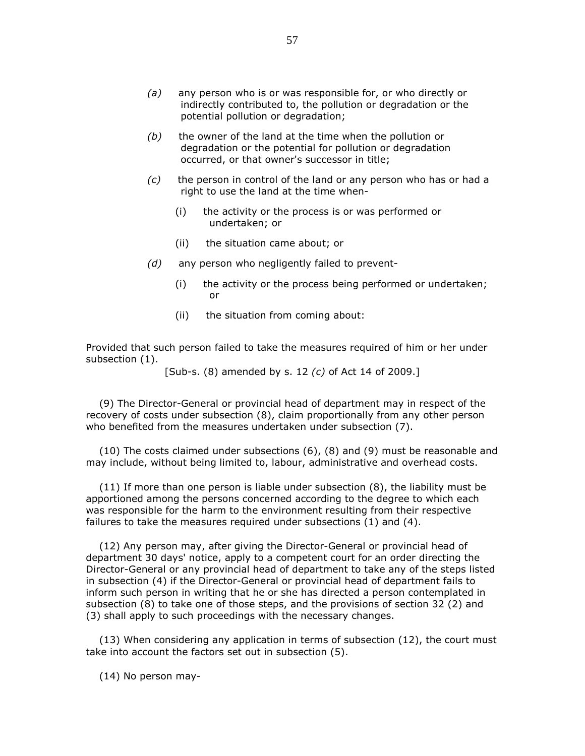- (a) any person who is or was responsible for, or who directly or indirectly contributed to, the pollution or degradation or the potential pollution or degradation;
- $(b)$  the owner of the land at the time when the pollution or degradation or the potential for pollution or degradation occurred, or that owner's successor in title;
- $(c)$  the person in control of the land or any person who has or had a right to use the land at the time when-
	- (i) the activity or the process is or was performed or undertaken; or
	- (ii) the situation came about; or
- (d) any person who negligently failed to prevent-
	- (i) the activity or the process being performed or undertaken; or
	- (ii) the situation from coming about:

Provided that such person failed to take the measures required of him or her under subsection (1).

[Sub-s. (8) amended by s. 12 (c) of Act 14 of 2009.]

 (9) The Director-General or provincial head of department may in respect of the recovery of costs under subsection (8), claim proportionally from any other person who benefited from the measures undertaken under subsection (7).

(10) The costs claimed under subsections  $(6)$ ,  $(8)$  and  $(9)$  must be reasonable and may include, without being limited to, labour, administrative and overhead costs.

 (11) If more than one person is liable under subsection (8), the liability must be apportioned among the persons concerned according to the degree to which each was responsible for the harm to the environment resulting from their respective failures to take the measures required under subsections (1) and (4).

 (12) Any person may, after giving the Director-General or provincial head of department 30 days' notice, apply to a competent court for an order directing the Director-General or any provincial head of department to take any of the steps listed in subsection (4) if the Director-General or provincial head of department fails to inform such person in writing that he or she has directed a person contemplated in subsection (8) to take one of those steps, and the provisions of section 32 (2) and (3) shall apply to such proceedings with the necessary changes.

 (13) When considering any application in terms of subsection (12), the court must take into account the factors set out in subsection (5).

(14) No person may-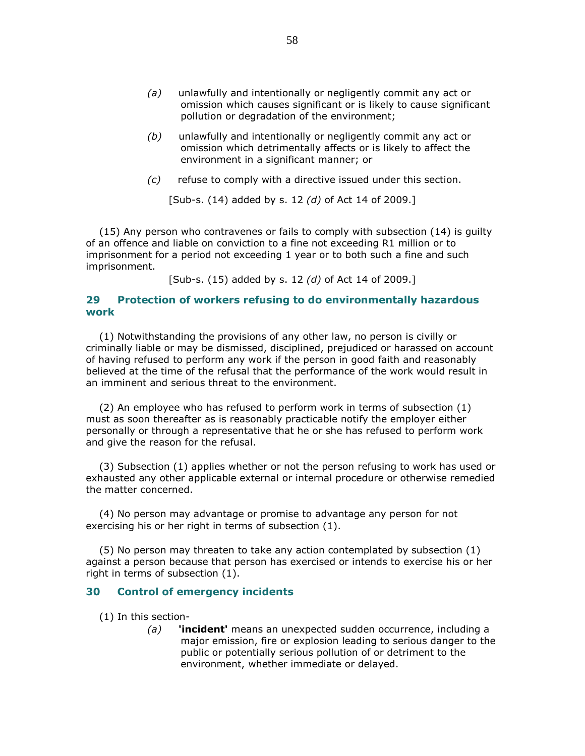- (a) unlawfully and intentionally or negligently commit any act or omission which causes significant or is likely to cause significant pollution or degradation of the environment;
- (b) unlawfully and intentionally or negligently commit any act or omission which detrimentally affects or is likely to affect the environment in a significant manner; or
- (c) refuse to comply with a directive issued under this section.

[Sub-s. (14) added by s. 12 (d) of Act 14 of 2009.]

 (15) Any person who contravenes or fails to comply with subsection (14) is guilty of an offence and liable on conviction to a fine not exceeding R1 million or to imprisonment for a period not exceeding 1 year or to both such a fine and such imprisonment.

[Sub-s. (15) added by s. 12 (d) of Act 14 of 2009.]

## 29 Protection of workers refusing to do environmentally hazardous work

 (1) Notwithstanding the provisions of any other law, no person is civilly or criminally liable or may be dismissed, disciplined, prejudiced or harassed on account of having refused to perform any work if the person in good faith and reasonably believed at the time of the refusal that the performance of the work would result in an imminent and serious threat to the environment.

 (2) An employee who has refused to perform work in terms of subsection (1) must as soon thereafter as is reasonably practicable notify the employer either personally or through a representative that he or she has refused to perform work and give the reason for the refusal.

 (3) Subsection (1) applies whether or not the person refusing to work has used or exhausted any other applicable external or internal procedure or otherwise remedied the matter concerned.

 (4) No person may advantage or promise to advantage any person for not exercising his or her right in terms of subsection (1).

 (5) No person may threaten to take any action contemplated by subsection (1) against a person because that person has exercised or intends to exercise his or her right in terms of subsection (1).

#### 30 Control of emergency incidents

(1) In this section-

 $(a)$  **'incident'** means an unexpected sudden occurrence, including a major emission, fire or explosion leading to serious danger to the public or potentially serious pollution of or detriment to the environment, whether immediate or delayed.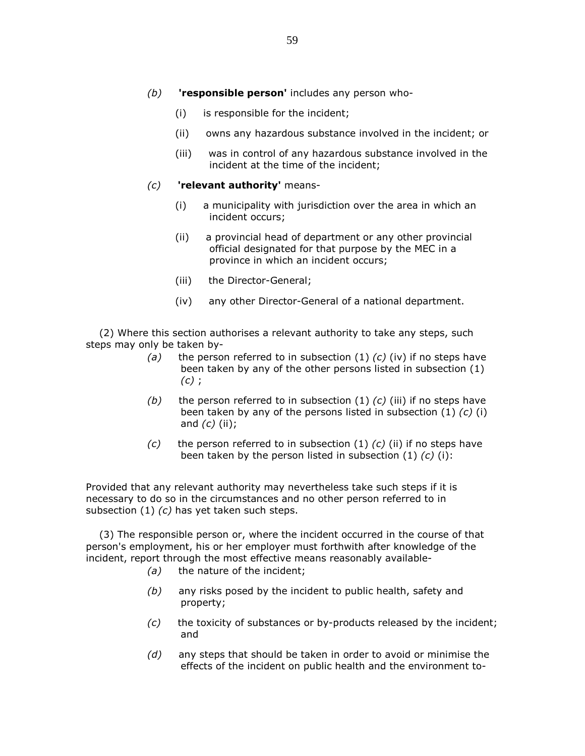- (i) is responsible for the incident;
- (ii) owns any hazardous substance involved in the incident; or
- (iii) was in control of any hazardous substance involved in the incident at the time of the incident;
- $(c)$  'relevant authority' means-
	- (i) a municipality with jurisdiction over the area in which an incident occurs;
	- (ii) a provincial head of department or any other provincial official designated for that purpose by the MEC in a province in which an incident occurs;
	- (iii) the Director-General;
	- (iv) any other Director-General of a national department.

 (2) Where this section authorises a relevant authority to take any steps, such steps may only be taken by-

- (a) the person referred to in subsection  $(1)$  (c) (iv) if no steps have been taken by any of the other persons listed in subsection (1)  $(c)$ ;
- (b) the person referred to in subsection  $(1)$  (c) (iii) if no steps have been taken by any of the persons listed in subsection  $(1)$   $(c)$   $(i)$ and  $(c)$  (ii);
- $(c)$  the person referred to in subsection (1)  $(c)$  (ii) if no steps have been taken by the person listed in subsection  $(1)$   $(c)$   $(i)$ :

Provided that any relevant authority may nevertheless take such steps if it is necessary to do so in the circumstances and no other person referred to in subsection (1) (c) has yet taken such steps.

 (3) The responsible person or, where the incident occurred in the course of that person's employment, his or her employer must forthwith after knowledge of the incident, report through the most effective means reasonably available-

- (a) the nature of the incident;
- $(b)$  any risks posed by the incident to public health, safety and property;
- $(c)$  the toxicity of substances or by-products released by the incident; and
- $(d)$  any steps that should be taken in order to avoid or minimise the effects of the incident on public health and the environment to-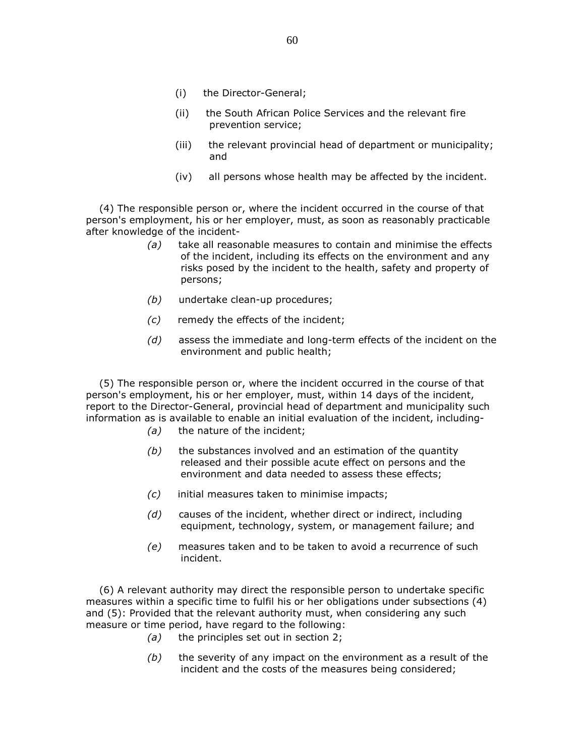- (i) the Director-General;
- (ii) the South African Police Services and the relevant fire prevention service;
- (iii) the relevant provincial head of department or municipality; and
- (iv) all persons whose health may be affected by the incident.

 (4) The responsible person or, where the incident occurred in the course of that person's employment, his or her employer, must, as soon as reasonably practicable after knowledge of the incident-

- $(a)$  take all reasonable measures to contain and minimise the effects of the incident, including its effects on the environment and any risks posed by the incident to the health, safety and property of persons;
- (b) undertake clean-up procedures;
- (c) remedy the effects of the incident;
- $(d)$  assess the immediate and long-term effects of the incident on the environment and public health;

 (5) The responsible person or, where the incident occurred in the course of that person's employment, his or her employer, must, within 14 days of the incident, report to the Director-General, provincial head of department and municipality such information as is available to enable an initial evaluation of the incident, including-

- $(a)$  the nature of the incident;
- $(b)$  the substances involved and an estimation of the quantity released and their possible acute effect on persons and the environment and data needed to assess these effects;
- (c) initial measures taken to minimise impacts;
- $(d)$  causes of the incident, whether direct or indirect, including equipment, technology, system, or management failure; and
- (e) measures taken and to be taken to avoid a recurrence of such incident.

 (6) A relevant authority may direct the responsible person to undertake specific measures within a specific time to fulfil his or her obligations under subsections (4) and (5): Provided that the relevant authority must, when considering any such measure or time period, have regard to the following:

- (a) the principles set out in section 2;
- $(b)$  the severity of any impact on the environment as a result of the incident and the costs of the measures being considered;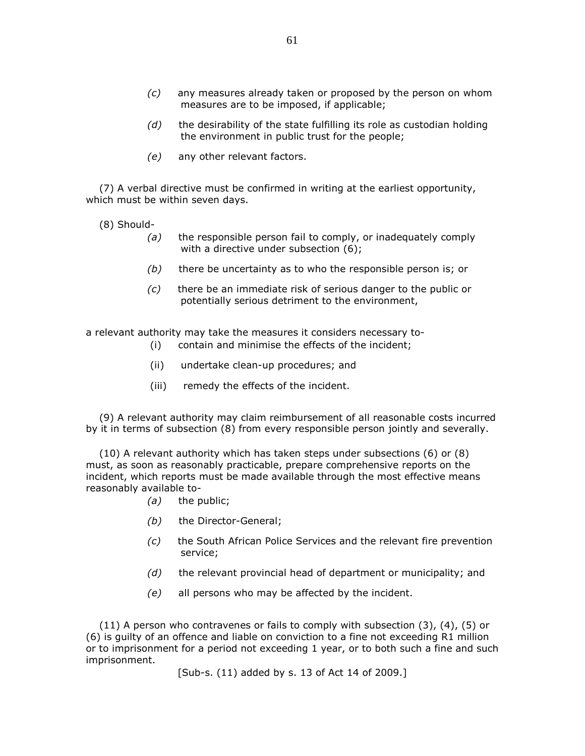- (c) any measures already taken or proposed by the person on whom measures are to be imposed, if applicable;
- $(d)$  the desirability of the state fulfilling its role as custodian holding the environment in public trust for the people;
- (e) any other relevant factors.

 (7) A verbal directive must be confirmed in writing at the earliest opportunity, which must be within seven days.

- (8) Should-
	- $(a)$  the responsible person fail to comply, or inadequately comply with a directive under subsection (6);
	- $(b)$  there be uncertainty as to who the responsible person is; or
	- (c) there be an immediate risk of serious danger to the public or potentially serious detriment to the environment,

a relevant authority may take the measures it considers necessary to-

- (i) contain and minimise the effects of the incident;
- (ii) undertake clean-up procedures; and
- (iii) remedy the effects of the incident.

 (9) A relevant authority may claim reimbursement of all reasonable costs incurred by it in terms of subsection (8) from every responsible person jointly and severally.

 (10) A relevant authority which has taken steps under subsections (6) or (8) must, as soon as reasonably practicable, prepare comprehensive reports on the incident, which reports must be made available through the most effective means reasonably available to-

- (a) the public;
- (b) the Director-General;
- (c) the South African Police Services and the relevant fire prevention service;
- $(d)$  the relevant provincial head of department or municipality; and
- (e) all persons who may be affected by the incident.

 $(11)$  A person who contravenes or fails to comply with subsection  $(3)$ ,  $(4)$ ,  $(5)$  or (6) is guilty of an offence and liable on conviction to a fine not exceeding R1 million or to imprisonment for a period not exceeding 1 year, or to both such a fine and such imprisonment.

[Sub-s. (11) added by s. 13 of Act 14 of 2009.]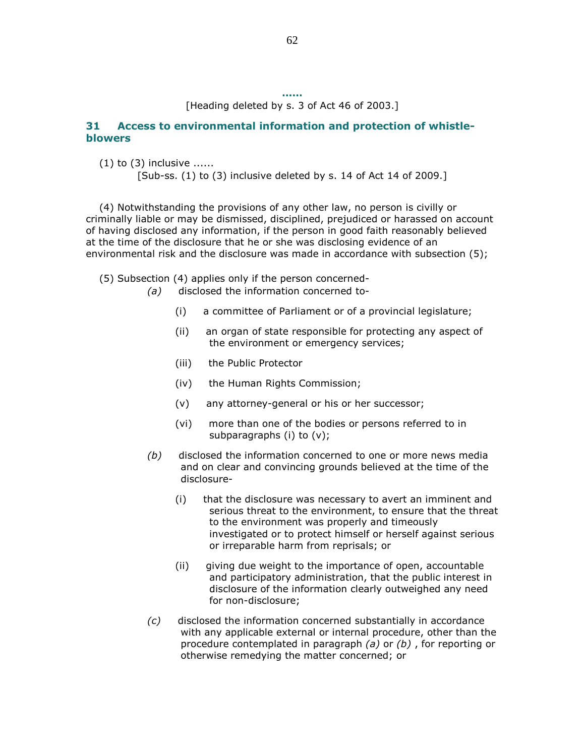......

[Heading deleted by s. 3 of Act 46 of 2003.]

## 31 Access to environmental information and protection of whistleblowers

 $(1)$  to  $(3)$  inclusive ...... [Sub-ss. (1) to (3) inclusive deleted by s. 14 of Act 14 of 2009.]

 (4) Notwithstanding the provisions of any other law, no person is civilly or criminally liable or may be dismissed, disciplined, prejudiced or harassed on account of having disclosed any information, if the person in good faith reasonably believed at the time of the disclosure that he or she was disclosing evidence of an environmental risk and the disclosure was made in accordance with subsection (5);

(5) Subsection (4) applies only if the person concerned-

- (a) disclosed the information concerned to-
	- (i) a committee of Parliament or of a provincial legislature;
	- (ii) an organ of state responsible for protecting any aspect of the environment or emergency services;
	- (iii) the Public Protector
	- (iv) the Human Rights Commission;
	- (v) any attorney-general or his or her successor;
	- (vi) more than one of the bodies or persons referred to in subparagraphs (i) to (v);
- (b) disclosed the information concerned to one or more news media and on clear and convincing grounds believed at the time of the disclosure-
	- (i) that the disclosure was necessary to avert an imminent and serious threat to the environment, to ensure that the threat to the environment was properly and timeously investigated or to protect himself or herself against serious or irreparable harm from reprisals; or
	- (ii) giving due weight to the importance of open, accountable and participatory administration, that the public interest in disclosure of the information clearly outweighed any need for non-disclosure;
- (c) disclosed the information concerned substantially in accordance with any applicable external or internal procedure, other than the procedure contemplated in paragraph (a) or (b) , for reporting or otherwise remedying the matter concerned; or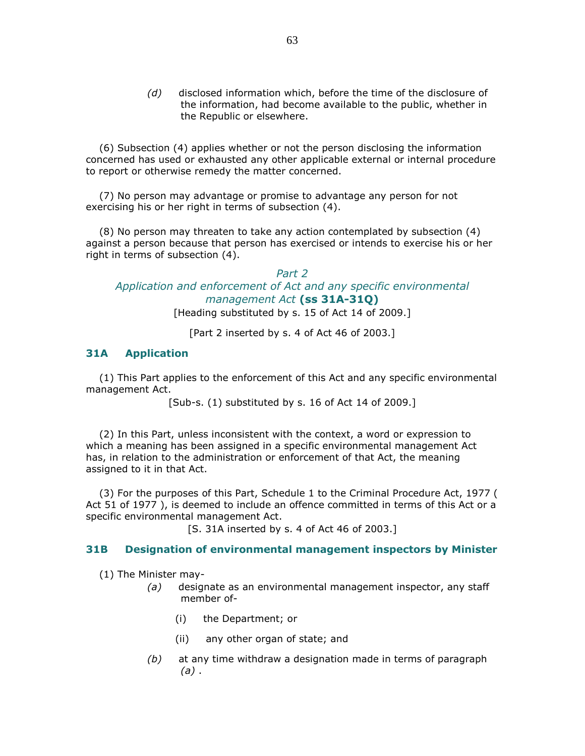(d) disclosed information which, before the time of the disclosure of the information, had become available to the public, whether in the Republic or elsewhere.

 (6) Subsection (4) applies whether or not the person disclosing the information concerned has used or exhausted any other applicable external or internal procedure to report or otherwise remedy the matter concerned.

 (7) No person may advantage or promise to advantage any person for not exercising his or her right in terms of subsection (4).

 (8) No person may threaten to take any action contemplated by subsection (4) against a person because that person has exercised or intends to exercise his or her right in terms of subsection (4).

# Part 2 Application and enforcement of Act and any specific environmental management Act (ss 31A-31Q)

[Heading substituted by s. 15 of Act 14 of 2009.]

[Part 2 inserted by s. 4 of Act 46 of 2003.]

# 31A Application

 (1) This Part applies to the enforcement of this Act and any specific environmental management Act.

[Sub-s. (1) substituted by s. 16 of Act 14 of 2009.]

 (2) In this Part, unless inconsistent with the context, a word or expression to which a meaning has been assigned in a specific environmental management Act has, in relation to the administration or enforcement of that Act, the meaning assigned to it in that Act.

 (3) For the purposes of this Part, Schedule 1 to the Criminal Procedure Act, 1977 ( Act 51 of 1977 ), is deemed to include an offence committed in terms of this Act or a specific environmental management Act.

[S. 31A inserted by s. 4 of Act 46 of 2003.]

#### 31B Designation of environmental management inspectors by Minister

(1) The Minister may-

- (a) designate as an environmental management inspector, any staff member of-
	- (i) the Department; or
	- (ii) any other organ of state; and
- $(b)$  at any time withdraw a designation made in terms of paragraph  $(a)$ .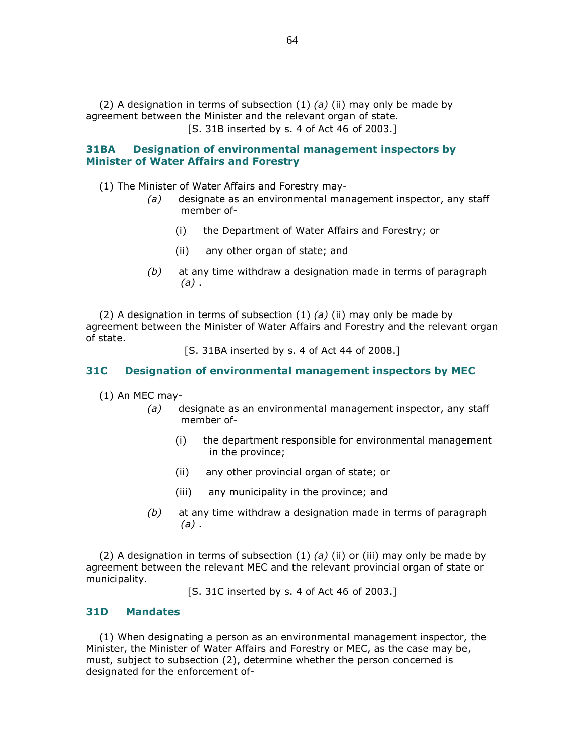(2) A designation in terms of subsection  $(1)$   $(a)$  (ii) may only be made by agreement between the Minister and the relevant organ of state. [S. 31B inserted by s. 4 of Act 46 of 2003.]

## 31BA Designation of environmental management inspectors by Minister of Water Affairs and Forestry

(1) The Minister of Water Affairs and Forestry may-

- (a) designate as an environmental management inspector, any staff member of-
	- (i) the Department of Water Affairs and Forestry; or
	- (ii) any other organ of state; and
- $(b)$  at any time withdraw a designation made in terms of paragraph  $(a)$ .

(2) A designation in terms of subsection  $(1)$   $(a)$  (ii) may only be made by agreement between the Minister of Water Affairs and Forestry and the relevant organ of state.

[S. 31BA inserted by s. 4 of Act 44 of 2008.]

#### 31C Designation of environmental management inspectors by MEC

- (1) An MEC may-
	- $(a)$  designate as an environmental management inspector, any staff member of-
		- (i) the department responsible for environmental management in the province;
		- (ii) any other provincial organ of state; or
		- (iii) any municipality in the province; and
	- $(b)$  at any time withdraw a designation made in terms of paragraph  $(a)$ .

(2) A designation in terms of subsection  $(1)$  (a) (ii) or (iii) may only be made by agreement between the relevant MEC and the relevant provincial organ of state or municipality.

[S. 31C inserted by s. 4 of Act 46 of 2003.]

## 31D Mandates

 (1) When designating a person as an environmental management inspector, the Minister, the Minister of Water Affairs and Forestry or MEC, as the case may be, must, subject to subsection (2), determine whether the person concerned is designated for the enforcement of-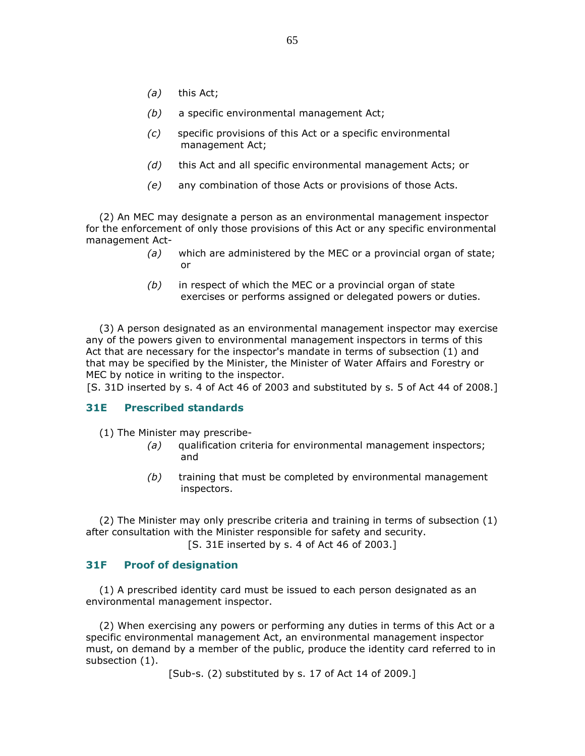- (a) this Act;
- $(b)$  a specific environmental management Act;
- (c) specific provisions of this Act or a specific environmental management Act;
- (d) this Act and all specific environmental management Acts; or
- (e) any combination of those Acts or provisions of those Acts.

 (2) An MEC may designate a person as an environmental management inspector for the enforcement of only those provisions of this Act or any specific environmental management Act-

- $(a)$  which are administered by the MEC or a provincial organ of state; or
- $(b)$  in respect of which the MEC or a provincial organ of state exercises or performs assigned or delegated powers or duties.

 (3) A person designated as an environmental management inspector may exercise any of the powers given to environmental management inspectors in terms of this Act that are necessary for the inspector's mandate in terms of subsection (1) and that may be specified by the Minister, the Minister of Water Affairs and Forestry or MEC by notice in writing to the inspector.

[S. 31D inserted by s. 4 of Act 46 of 2003 and substituted by s. 5 of Act 44 of 2008.]

#### 31E Prescribed standards

(1) The Minister may prescribe-

- (a) qualification criteria for environmental management inspectors; and
- $(b)$  training that must be completed by environmental management inspectors.

 (2) The Minister may only prescribe criteria and training in terms of subsection (1) after consultation with the Minister responsible for safety and security. [S. 31E inserted by s. 4 of Act 46 of 2003.]

## 31F Proof of designation

 (1) A prescribed identity card must be issued to each person designated as an environmental management inspector.

 (2) When exercising any powers or performing any duties in terms of this Act or a specific environmental management Act, an environmental management inspector must, on demand by a member of the public, produce the identity card referred to in subsection (1).

[Sub-s. (2) substituted by s. 17 of Act 14 of 2009.]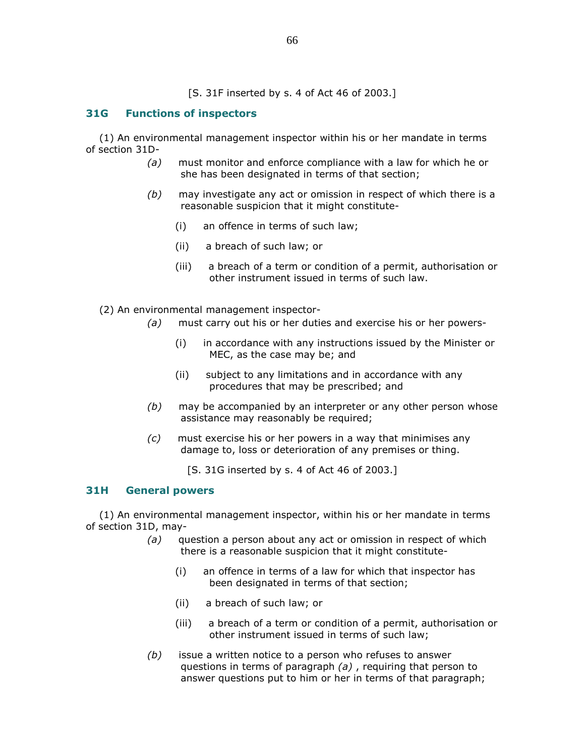[S. 31F inserted by s. 4 of Act 46 of 2003.]

## 31G Functions of inspectors

 (1) An environmental management inspector within his or her mandate in terms of section 31D-

- (a) must monitor and enforce compliance with a law for which he or she has been designated in terms of that section;
- $(b)$  may investigate any act or omission in respect of which there is a reasonable suspicion that it might constitute-
	- (i) an offence in terms of such law;
	- (ii) a breach of such law; or
	- (iii) a breach of a term or condition of a permit, authorisation or other instrument issued in terms of such law.
- (2) An environmental management inspector-
	- $(a)$  must carry out his or her duties and exercise his or her powers-
		- (i) in accordance with any instructions issued by the Minister or MEC, as the case may be; and
		- (ii) subject to any limitations and in accordance with any procedures that may be prescribed; and
	- $(b)$  may be accompanied by an interpreter or any other person whose assistance may reasonably be required;
	- $(c)$  must exercise his or her powers in a way that minimises any damage to, loss or deterioration of any premises or thing.
		- [S. 31G inserted by s. 4 of Act 46 of 2003.]

# 31H General powers

 (1) An environmental management inspector, within his or her mandate in terms of section 31D, may-

- $(a)$  question a person about any act or omission in respect of which there is a reasonable suspicion that it might constitute-
	- (i) an offence in terms of a law for which that inspector has been designated in terms of that section;
	- (ii) a breach of such law; or
	- (iii) a breach of a term or condition of a permit, authorisation or other instrument issued in terms of such law;
- $(b)$  issue a written notice to a person who refuses to answer questions in terms of paragraph (a), requiring that person to answer questions put to him or her in terms of that paragraph;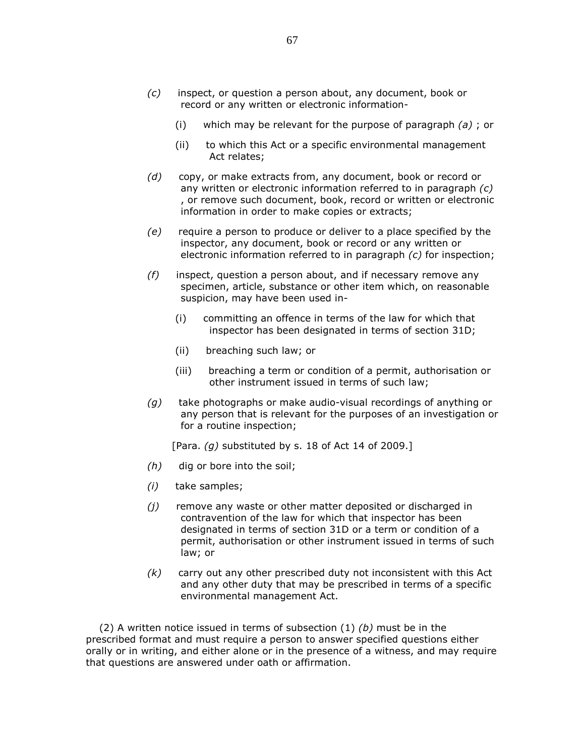- (c) inspect, or question a person about, any document, book or record or any written or electronic information-
	- (i) which may be relevant for the purpose of paragraph  $(a)$ ; or
	- (ii) to which this Act or a specific environmental management Act relates;
- (d) copy, or make extracts from, any document, book or record or any written or electronic information referred to in paragraph (c) , or remove such document, book, record or written or electronic information in order to make copies or extracts;
- (e) require a person to produce or deliver to a place specified by the inspector, any document, book or record or any written or electronic information referred to in paragraph (c) for inspection;
- $(f)$  inspect, question a person about, and if necessary remove any specimen, article, substance or other item which, on reasonable suspicion, may have been used in-
	- (i) committing an offence in terms of the law for which that inspector has been designated in terms of section 31D;
	- (ii) breaching such law; or
	- (iii) breaching a term or condition of a permit, authorisation or other instrument issued in terms of such law;
- $(q)$  take photographs or make audio-visual recordings of anything or any person that is relevant for the purposes of an investigation or for a routine inspection;

[Para.  $(g)$  substituted by s. 18 of Act 14 of 2009.]

- $(h)$  dig or bore into the soil;
- (i) take samples;
- $(i)$  remove any waste or other matter deposited or discharged in contravention of the law for which that inspector has been designated in terms of section 31D or a term or condition of a permit, authorisation or other instrument issued in terms of such law; or
- $(k)$  carry out any other prescribed duty not inconsistent with this Act and any other duty that may be prescribed in terms of a specific environmental management Act.

(2) A written notice issued in terms of subsection  $(1)$  (b) must be in the prescribed format and must require a person to answer specified questions either orally or in writing, and either alone or in the presence of a witness, and may require that questions are answered under oath or affirmation.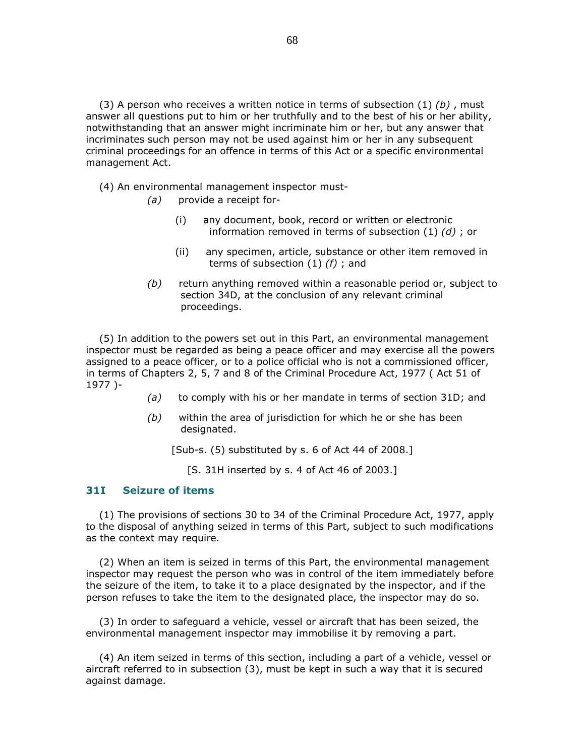(3) A person who receives a written notice in terms of subsection (1)  $(b)$ , must answer all questions put to him or her truthfully and to the best of his or her ability, notwithstanding that an answer might incriminate him or her, but any answer that incriminates such person may not be used against him or her in any subsequent criminal proceedings for an offence in terms of this Act or a specific environmental management Act.

(4) An environmental management inspector must-

- (a) provide a receipt for-
	- (i) any document, book, record or written or electronic information removed in terms of subsection  $(1)$   $(d)$ ; or
	- (ii) any specimen, article, substance or other item removed in terms of subsection  $(1)$   $(f)$  ; and
- $(b)$  return anything removed within a reasonable period or, subject to section 34D, at the conclusion of any relevant criminal proceedings.

 (5) In addition to the powers set out in this Part, an environmental management inspector must be regarded as being a peace officer and may exercise all the powers assigned to a peace officer, or to a police official who is not a commissioned officer, in terms of Chapters 2, 5, 7 and 8 of the Criminal Procedure Act, 1977 ( Act 51 of 1977 )-

- $(a)$  to comply with his or her mandate in terms of section 31D; and
- $(b)$  within the area of jurisdiction for which he or she has been designated.

[Sub-s. (5) substituted by s. 6 of Act 44 of 2008.]

[S. 31H inserted by s. 4 of Act 46 of 2003.]

# 31I Seizure of items

 (1) The provisions of sections 30 to 34 of the Criminal Procedure Act, 1977, apply to the disposal of anything seized in terms of this Part, subject to such modifications as the context may require.

 (2) When an item is seized in terms of this Part, the environmental management inspector may request the person who was in control of the item immediately before the seizure of the item, to take it to a place designated by the inspector, and if the person refuses to take the item to the designated place, the inspector may do so.

 (3) In order to safeguard a vehicle, vessel or aircraft that has been seized, the environmental management inspector may immobilise it by removing a part.

 (4) An item seized in terms of this section, including a part of a vehicle, vessel or aircraft referred to in subsection (3), must be kept in such a way that it is secured against damage.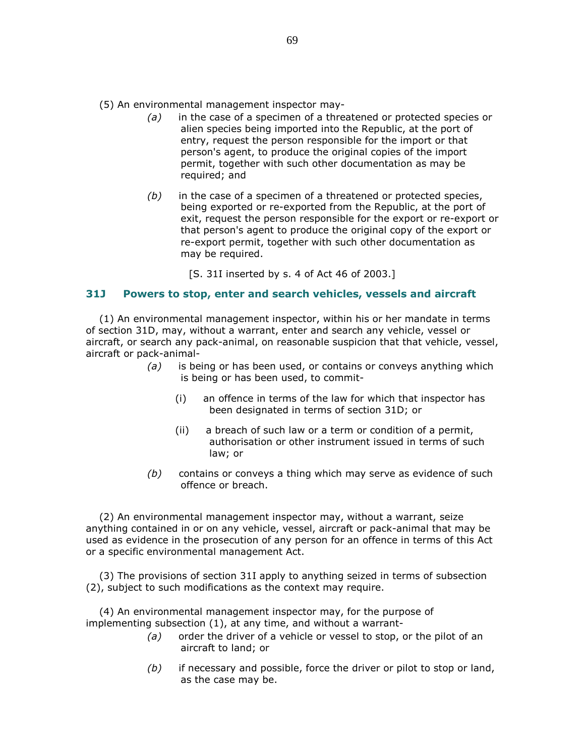(5) An environmental management inspector may-

- (a) in the case of a specimen of a threatened or protected species or alien species being imported into the Republic, at the port of entry, request the person responsible for the import or that person's agent, to produce the original copies of the import permit, together with such other documentation as may be required; and
- $(b)$  in the case of a specimen of a threatened or protected species, being exported or re-exported from the Republic, at the port of exit, request the person responsible for the export or re-export or that person's agent to produce the original copy of the export or re-export permit, together with such other documentation as may be required.
	- [S. 31I inserted by s. 4 of Act 46 of 2003.]

# 31J Powers to stop, enter and search vehicles, vessels and aircraft

 (1) An environmental management inspector, within his or her mandate in terms of section 31D, may, without a warrant, enter and search any vehicle, vessel or aircraft, or search any pack-animal, on reasonable suspicion that that vehicle, vessel, aircraft or pack-animal-

- $(a)$  is being or has been used, or contains or conveys anything which is being or has been used, to commit-
	- (i) an offence in terms of the law for which that inspector has been designated in terms of section 31D; or
	- (ii) a breach of such law or a term or condition of a permit, authorisation or other instrument issued in terms of such law; or
- (b) contains or conveys a thing which may serve as evidence of such offence or breach.

 (2) An environmental management inspector may, without a warrant, seize anything contained in or on any vehicle, vessel, aircraft or pack-animal that may be used as evidence in the prosecution of any person for an offence in terms of this Act or a specific environmental management Act.

 (3) The provisions of section 31I apply to anything seized in terms of subsection (2), subject to such modifications as the context may require.

 (4) An environmental management inspector may, for the purpose of implementing subsection (1), at any time, and without a warrant-

- (a) order the driver of a vehicle or vessel to stop, or the pilot of an aircraft to land; or
- $(b)$  if necessary and possible, force the driver or pilot to stop or land, as the case may be.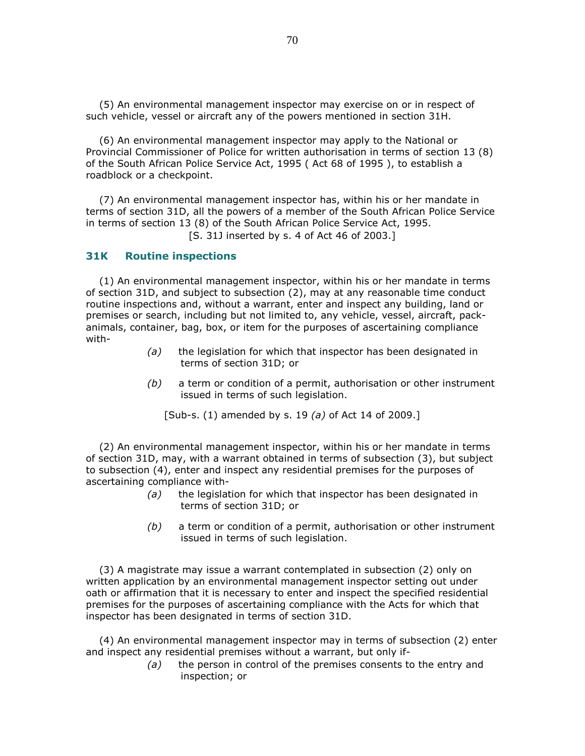(5) An environmental management inspector may exercise on or in respect of such vehicle, vessel or aircraft any of the powers mentioned in section 31H.

 (6) An environmental management inspector may apply to the National or Provincial Commissioner of Police for written authorisation in terms of section 13 (8) of the South African Police Service Act, 1995 ( Act 68 of 1995 ), to establish a roadblock or a checkpoint.

 (7) An environmental management inspector has, within his or her mandate in terms of section 31D, all the powers of a member of the South African Police Service in terms of section 13 (8) of the South African Police Service Act, 1995.

[S. 31J inserted by s. 4 of Act 46 of 2003.]

# 31K Routine inspections

 (1) An environmental management inspector, within his or her mandate in terms of section 31D, and subject to subsection (2), may at any reasonable time conduct routine inspections and, without a warrant, enter and inspect any building, land or premises or search, including but not limited to, any vehicle, vessel, aircraft, packanimals, container, bag, box, or item for the purposes of ascertaining compliance with-

- $(a)$  the legislation for which that inspector has been designated in terms of section 31D; or
- $(b)$  a term or condition of a permit, authorisation or other instrument issued in terms of such legislation.

[Sub-s. (1) amended by s. 19 (a) of Act 14 of 2009.]

 (2) An environmental management inspector, within his or her mandate in terms of section 31D, may, with a warrant obtained in terms of subsection (3), but subject to subsection (4), enter and inspect any residential premises for the purposes of ascertaining compliance with-

- $(a)$  the legislation for which that inspector has been designated in terms of section 31D; or
- $(b)$  a term or condition of a permit, authorisation or other instrument issued in terms of such legislation.

 (3) A magistrate may issue a warrant contemplated in subsection (2) only on written application by an environmental management inspector setting out under oath or affirmation that it is necessary to enter and inspect the specified residential premises for the purposes of ascertaining compliance with the Acts for which that inspector has been designated in terms of section 31D.

 (4) An environmental management inspector may in terms of subsection (2) enter and inspect any residential premises without a warrant, but only if-

> $(a)$  the person in control of the premises consents to the entry and inspection; or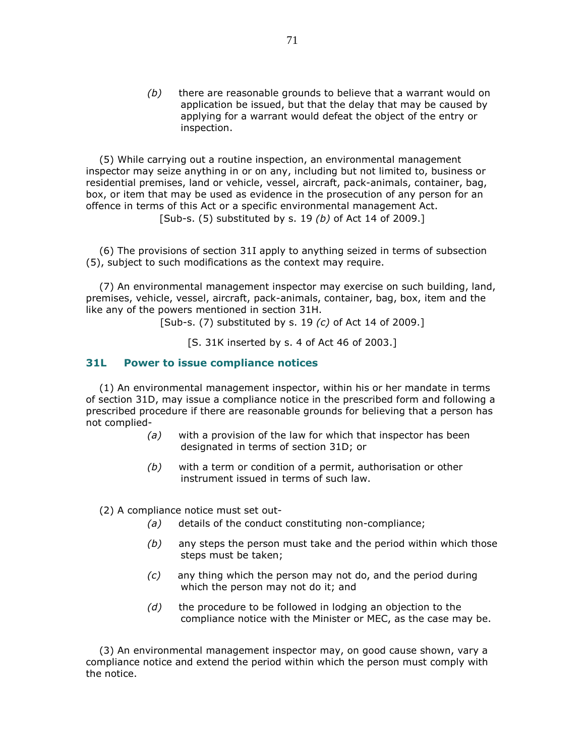$(b)$  there are reasonable grounds to believe that a warrant would on application be issued, but that the delay that may be caused by applying for a warrant would defeat the object of the entry or inspection.

 (5) While carrying out a routine inspection, an environmental management inspector may seize anything in or on any, including but not limited to, business or residential premises, land or vehicle, vessel, aircraft, pack-animals, container, bag, box, or item that may be used as evidence in the prosecution of any person for an offence in terms of this Act or a specific environmental management Act. [Sub-s.  $(5)$  substituted by s. 19  $(b)$  of Act 14 of 2009.]

 (6) The provisions of section 31I apply to anything seized in terms of subsection (5), subject to such modifications as the context may require.

 (7) An environmental management inspector may exercise on such building, land, premises, vehicle, vessel, aircraft, pack-animals, container, bag, box, item and the like any of the powers mentioned in section 31H.

[Sub-s. (7) substituted by s. 19  $(c)$  of Act 14 of 2009.]

[S. 31K inserted by s. 4 of Act 46 of 2003.]

## 31L Power to issue compliance notices

 (1) An environmental management inspector, within his or her mandate in terms of section 31D, may issue a compliance notice in the prescribed form and following a prescribed procedure if there are reasonable grounds for believing that a person has not complied-

- $(a)$  with a provision of the law for which that inspector has been designated in terms of section 31D; or
- $(b)$  with a term or condition of a permit, authorisation or other instrument issued in terms of such law.

(2) A compliance notice must set out-

- (a) details of the conduct constituting non-compliance;
- $(b)$  any steps the person must take and the period within which those steps must be taken;
- $(c)$  any thing which the person may not do, and the period during which the person may not do it; and
- $(d)$  the procedure to be followed in lodging an objection to the compliance notice with the Minister or MEC, as the case may be.

 (3) An environmental management inspector may, on good cause shown, vary a compliance notice and extend the period within which the person must comply with the notice.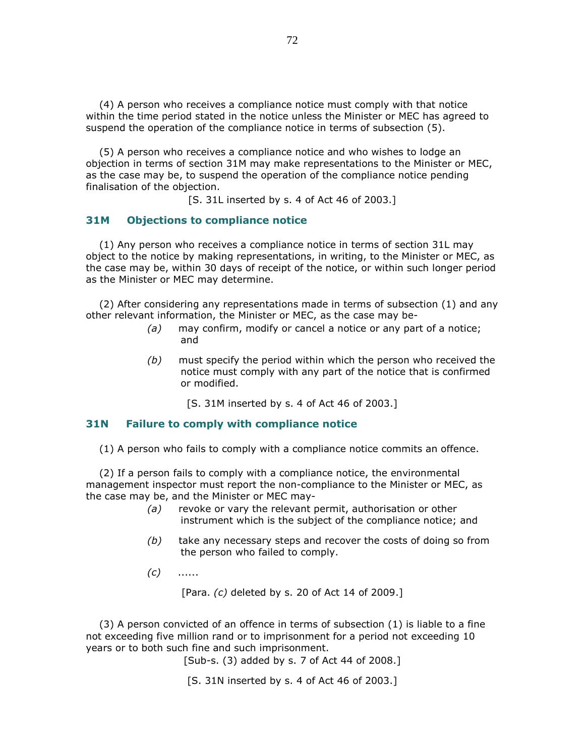(4) A person who receives a compliance notice must comply with that notice within the time period stated in the notice unless the Minister or MEC has agreed to suspend the operation of the compliance notice in terms of subsection (5).

 (5) A person who receives a compliance notice and who wishes to lodge an objection in terms of section 31M may make representations to the Minister or MEC, as the case may be, to suspend the operation of the compliance notice pending finalisation of the objection.

[S. 31L inserted by s. 4 of Act 46 of 2003.]

### 31M Objections to compliance notice

 (1) Any person who receives a compliance notice in terms of section 31L may object to the notice by making representations, in writing, to the Minister or MEC, as the case may be, within 30 days of receipt of the notice, or within such longer period as the Minister or MEC may determine.

 (2) After considering any representations made in terms of subsection (1) and any other relevant information, the Minister or MEC, as the case may be-

- $(a)$  may confirm, modify or cancel a notice or any part of a notice; and
- $(b)$  must specify the period within which the person who received the notice must comply with any part of the notice that is confirmed or modified.

[S. 31M inserted by s. 4 of Act 46 of 2003.]

# 31N Failure to comply with compliance notice

(1) A person who fails to comply with a compliance notice commits an offence.

 (2) If a person fails to comply with a compliance notice, the environmental management inspector must report the non-compliance to the Minister or MEC, as the case may be, and the Minister or MEC may-

- (a) revoke or vary the relevant permit, authorisation or other instrument which is the subject of the compliance notice; and
- (b) take any necessary steps and recover the costs of doing so from the person who failed to comply.
- $(c)$  ......

[Para. (c) deleted by s. 20 of Act 14 of 2009.]

 (3) A person convicted of an offence in terms of subsection (1) is liable to a fine not exceeding five million rand or to imprisonment for a period not exceeding 10 years or to both such fine and such imprisonment.

[Sub-s. (3) added by s. 7 of Act 44 of 2008.]

[S. 31N inserted by s. 4 of Act 46 of 2003.]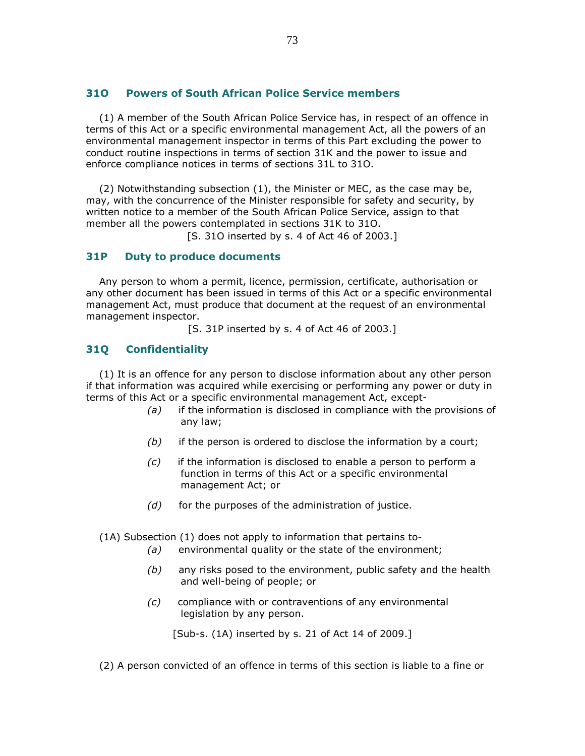# 31O Powers of South African Police Service members

 (1) A member of the South African Police Service has, in respect of an offence in terms of this Act or a specific environmental management Act, all the powers of an environmental management inspector in terms of this Part excluding the power to conduct routine inspections in terms of section 31K and the power to issue and enforce compliance notices in terms of sections 31L to 31O.

 (2) Notwithstanding subsection (1), the Minister or MEC, as the case may be, may, with the concurrence of the Minister responsible for safety and security, by written notice to a member of the South African Police Service, assign to that member all the powers contemplated in sections 31K to 31O.

[S. 31O inserted by s. 4 of Act 46 of 2003.]

# 31P Duty to produce documents

 Any person to whom a permit, licence, permission, certificate, authorisation or any other document has been issued in terms of this Act or a specific environmental management Act, must produce that document at the request of an environmental management inspector.

[S. 31P inserted by s. 4 of Act 46 of 2003.]

# 31Q Confidentiality

 (1) It is an offence for any person to disclose information about any other person if that information was acquired while exercising or performing any power or duty in terms of this Act or a specific environmental management Act, except-

- $(a)$  if the information is disclosed in compliance with the provisions of any law;
- $(b)$  if the person is ordered to disclose the information by a court;
- (c) if the information is disclosed to enable a person to perform a function in terms of this Act or a specific environmental management Act; or
- $(d)$  for the purposes of the administration of justice.

(1A) Subsection (1) does not apply to information that pertains to-

- (a) environmental quality or the state of the environment;
- $(b)$  any risks posed to the environment, public safety and the health and well-being of people; or
- (c) compliance with or contraventions of any environmental legislation by any person.

[Sub-s. (1A) inserted by s. 21 of Act 14 of 2009.]

(2) A person convicted of an offence in terms of this section is liable to a fine or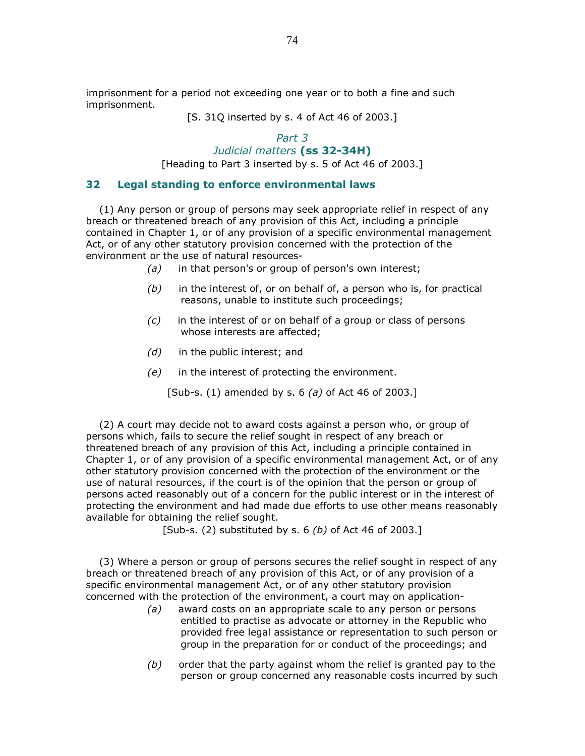imprisonment for a period not exceeding one year or to both a fine and such imprisonment.

[S. 31Q inserted by s. 4 of Act 46 of 2003.]

# Part 3 Judicial matters (ss 32-34H)

[Heading to Part 3 inserted by s. 5 of Act 46 of 2003.]

#### 32 Legal standing to enforce environmental laws

 (1) Any person or group of persons may seek appropriate relief in respect of any breach or threatened breach of any provision of this Act, including a principle contained in Chapter 1, or of any provision of a specific environmental management Act, or of any other statutory provision concerned with the protection of the environment or the use of natural resources-

- (a) in that person's or group of person's own interest;
- $(b)$  in the interest of, or on behalf of, a person who is, for practical reasons, unable to institute such proceedings;
- (c) in the interest of or on behalf of a group or class of persons whose interests are affected;
- (d) in the public interest; and
- (e) in the interest of protecting the environment.
	- [Sub-s. (1) amended by s. 6 (a) of Act 46 of 2003.]

 (2) A court may decide not to award costs against a person who, or group of persons which, fails to secure the relief sought in respect of any breach or threatened breach of any provision of this Act, including a principle contained in Chapter 1, or of any provision of a specific environmental management Act, or of any other statutory provision concerned with the protection of the environment or the use of natural resources, if the court is of the opinion that the person or group of persons acted reasonably out of a concern for the public interest or in the interest of protecting the environment and had made due efforts to use other means reasonably available for obtaining the relief sought.

[Sub-s. (2) substituted by s.  $6$  (b) of Act 46 of 2003.]

 (3) Where a person or group of persons secures the relief sought in respect of any breach or threatened breach of any provision of this Act, or of any provision of a specific environmental management Act, or of any other statutory provision concerned with the protection of the environment, a court may on application-

- (a) award costs on an appropriate scale to any person or persons entitled to practise as advocate or attorney in the Republic who provided free legal assistance or representation to such person or group in the preparation for or conduct of the proceedings; and
- $(b)$  order that the party against whom the relief is granted pay to the person or group concerned any reasonable costs incurred by such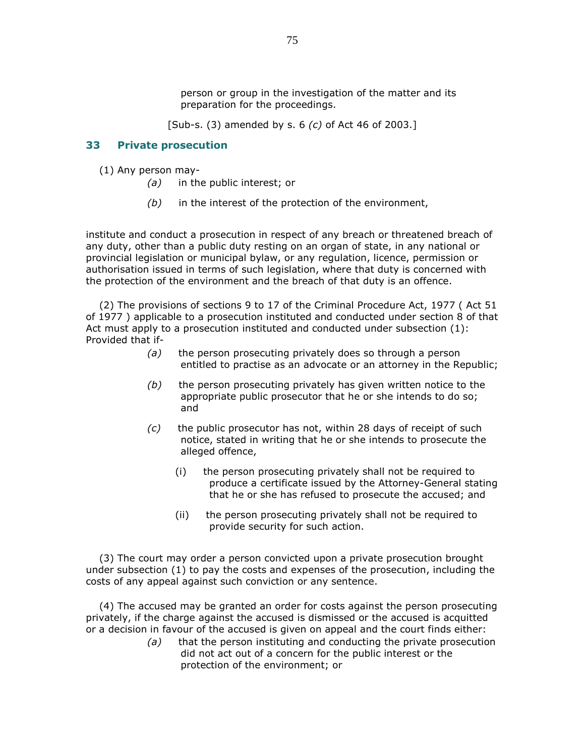person or group in the investigation of the matter and its preparation for the proceedings.

[Sub-s. (3) amended by s.  $6$  (c) of Act 46 of 2003.]

## 33 Private prosecution

(1) Any person may-

- (a) in the public interest; or
- $(b)$  in the interest of the protection of the environment,

institute and conduct a prosecution in respect of any breach or threatened breach of any duty, other than a public duty resting on an organ of state, in any national or provincial legislation or municipal bylaw, or any regulation, licence, permission or authorisation issued in terms of such legislation, where that duty is concerned with the protection of the environment and the breach of that duty is an offence.

 (2) The provisions of sections 9 to 17 of the Criminal Procedure Act, 1977 ( Act 51 of 1977 ) applicable to a prosecution instituted and conducted under section 8 of that Act must apply to a prosecution instituted and conducted under subsection (1): Provided that if-

- $(a)$  the person prosecuting privately does so through a person entitled to practise as an advocate or an attorney in the Republic;
- $(b)$  the person prosecuting privately has given written notice to the appropriate public prosecutor that he or she intends to do so; and
- $(c)$  the public prosecutor has not, within 28 days of receipt of such notice, stated in writing that he or she intends to prosecute the alleged offence,
	- (i) the person prosecuting privately shall not be required to produce a certificate issued by the Attorney-General stating that he or she has refused to prosecute the accused; and
	- (ii) the person prosecuting privately shall not be required to provide security for such action.

 (3) The court may order a person convicted upon a private prosecution brought under subsection (1) to pay the costs and expenses of the prosecution, including the costs of any appeal against such conviction or any sentence.

 (4) The accused may be granted an order for costs against the person prosecuting privately, if the charge against the accused is dismissed or the accused is acquitted or a decision in favour of the accused is given on appeal and the court finds either:

 $(a)$  that the person instituting and conducting the private prosecution did not act out of a concern for the public interest or the protection of the environment; or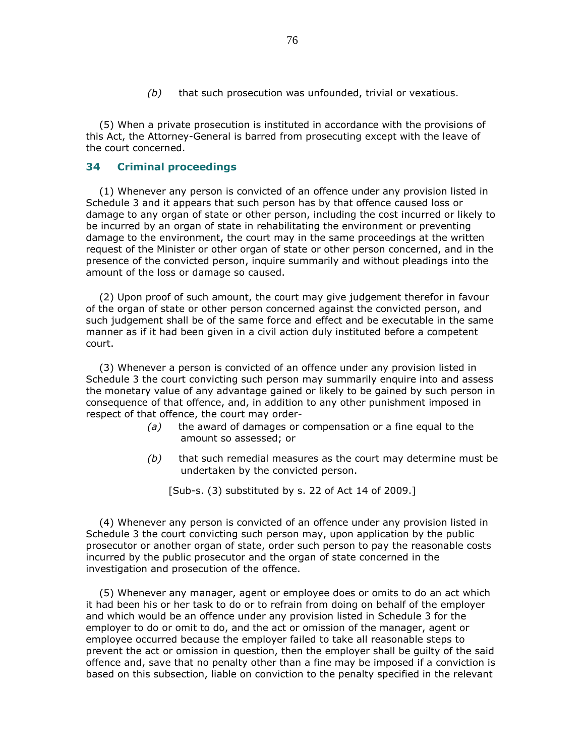$(b)$  that such prosecution was unfounded, trivial or vexatious.

 (5) When a private prosecution is instituted in accordance with the provisions of this Act, the Attorney-General is barred from prosecuting except with the leave of the court concerned.

#### 34 Criminal proceedings

 (1) Whenever any person is convicted of an offence under any provision listed in Schedule 3 and it appears that such person has by that offence caused loss or damage to any organ of state or other person, including the cost incurred or likely to be incurred by an organ of state in rehabilitating the environment or preventing damage to the environment, the court may in the same proceedings at the written request of the Minister or other organ of state or other person concerned, and in the presence of the convicted person, inquire summarily and without pleadings into the amount of the loss or damage so caused.

 (2) Upon proof of such amount, the court may give judgement therefor in favour of the organ of state or other person concerned against the convicted person, and such judgement shall be of the same force and effect and be executable in the same manner as if it had been given in a civil action duly instituted before a competent court.

 (3) Whenever a person is convicted of an offence under any provision listed in Schedule 3 the court convicting such person may summarily enquire into and assess the monetary value of any advantage gained or likely to be gained by such person in consequence of that offence, and, in addition to any other punishment imposed in respect of that offence, the court may order-

- $(a)$  the award of damages or compensation or a fine equal to the amount so assessed; or
- $(b)$  that such remedial measures as the court may determine must be undertaken by the convicted person.

[Sub-s. (3) substituted by s. 22 of Act 14 of 2009.]

 (4) Whenever any person is convicted of an offence under any provision listed in Schedule 3 the court convicting such person may, upon application by the public prosecutor or another organ of state, order such person to pay the reasonable costs incurred by the public prosecutor and the organ of state concerned in the investigation and prosecution of the offence.

 (5) Whenever any manager, agent or employee does or omits to do an act which it had been his or her task to do or to refrain from doing on behalf of the employer and which would be an offence under any provision listed in Schedule 3 for the employer to do or omit to do, and the act or omission of the manager, agent or employee occurred because the employer failed to take all reasonable steps to prevent the act or omission in question, then the employer shall be guilty of the said offence and, save that no penalty other than a fine may be imposed if a conviction is based on this subsection, liable on conviction to the penalty specified in the relevant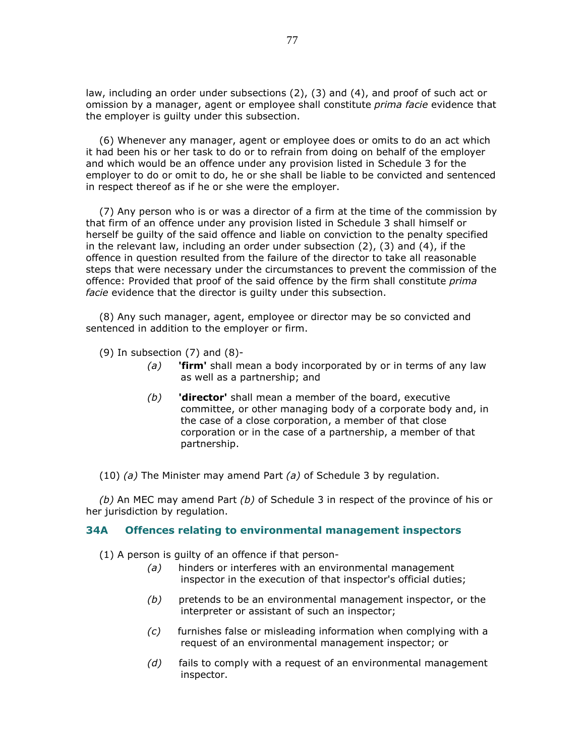law, including an order under subsections (2), (3) and (4), and proof of such act or omission by a manager, agent or employee shall constitute prima facie evidence that the employer is guilty under this subsection.

 (6) Whenever any manager, agent or employee does or omits to do an act which it had been his or her task to do or to refrain from doing on behalf of the employer and which would be an offence under any provision listed in Schedule 3 for the employer to do or omit to do, he or she shall be liable to be convicted and sentenced in respect thereof as if he or she were the employer.

 (7) Any person who is or was a director of a firm at the time of the commission by that firm of an offence under any provision listed in Schedule 3 shall himself or herself be guilty of the said offence and liable on conviction to the penalty specified in the relevant law, including an order under subsection (2), (3) and (4), if the offence in question resulted from the failure of the director to take all reasonable steps that were necessary under the circumstances to prevent the commission of the offence: Provided that proof of the said offence by the firm shall constitute *prima* facie evidence that the director is quilty under this subsection.

 (8) Any such manager, agent, employee or director may be so convicted and sentenced in addition to the employer or firm.

- $(9)$  In subsection  $(7)$  and  $(8)$ -
	- $(a)$  'firm' shall mean a body incorporated by or in terms of any law as well as a partnership; and
	- $(b)$  **'director'** shall mean a member of the board, executive committee, or other managing body of a corporate body and, in the case of a close corporation, a member of that close corporation or in the case of a partnership, a member of that partnership.

(10) (a) The Minister may amend Part (a) of Schedule 3 by regulation.

(b) An MEC may amend Part (b) of Schedule 3 in respect of the province of his or her jurisdiction by regulation.

#### 34A Offences relating to environmental management inspectors

(1) A person is guilty of an offence if that person-

- (a) hinders or interferes with an environmental management inspector in the execution of that inspector's official duties;
- $(b)$  pretends to be an environmental management inspector, or the interpreter or assistant of such an inspector;
- $(c)$  furnishes false or misleading information when complying with a request of an environmental management inspector; or
- $(d)$  fails to comply with a request of an environmental management inspector.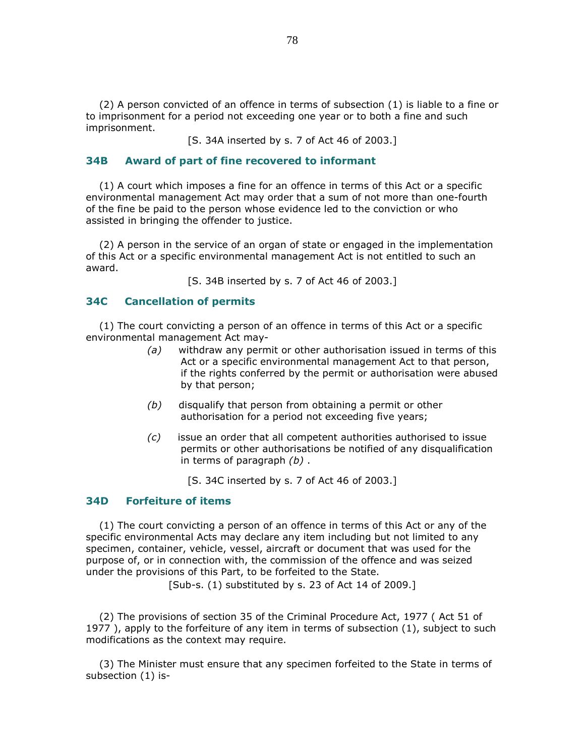(2) A person convicted of an offence in terms of subsection (1) is liable to a fine or to imprisonment for a period not exceeding one year or to both a fine and such imprisonment.

[S. 34A inserted by s. 7 of Act 46 of 2003.]

#### 34B Award of part of fine recovered to informant

 (1) A court which imposes a fine for an offence in terms of this Act or a specific environmental management Act may order that a sum of not more than one-fourth of the fine be paid to the person whose evidence led to the conviction or who assisted in bringing the offender to justice.

 (2) A person in the service of an organ of state or engaged in the implementation of this Act or a specific environmental management Act is not entitled to such an award.

[S. 34B inserted by s. 7 of Act 46 of 2003.]

## 34C Cancellation of permits

 (1) The court convicting a person of an offence in terms of this Act or a specific environmental management Act may-

- $(a)$  withdraw any permit or other authorisation issued in terms of this Act or a specific environmental management Act to that person, if the rights conferred by the permit or authorisation were abused by that person;
- $(b)$  disqualify that person from obtaining a permit or other authorisation for a period not exceeding five years;
- (c) issue an order that all competent authorities authorised to issue permits or other authorisations be notified of any disqualification in terms of paragraph  $(b)$ .

[S. 34C inserted by s. 7 of Act 46 of 2003.]

#### 34D Forfeiture of items

 (1) The court convicting a person of an offence in terms of this Act or any of the specific environmental Acts may declare any item including but not limited to any specimen, container, vehicle, vessel, aircraft or document that was used for the purpose of, or in connection with, the commission of the offence and was seized under the provisions of this Part, to be forfeited to the State.

[Sub-s. (1) substituted by s. 23 of Act 14 of 2009.]

 (2) The provisions of section 35 of the Criminal Procedure Act, 1977 ( Act 51 of 1977 ), apply to the forfeiture of any item in terms of subsection (1), subject to such modifications as the context may require.

 (3) The Minister must ensure that any specimen forfeited to the State in terms of subsection (1) is-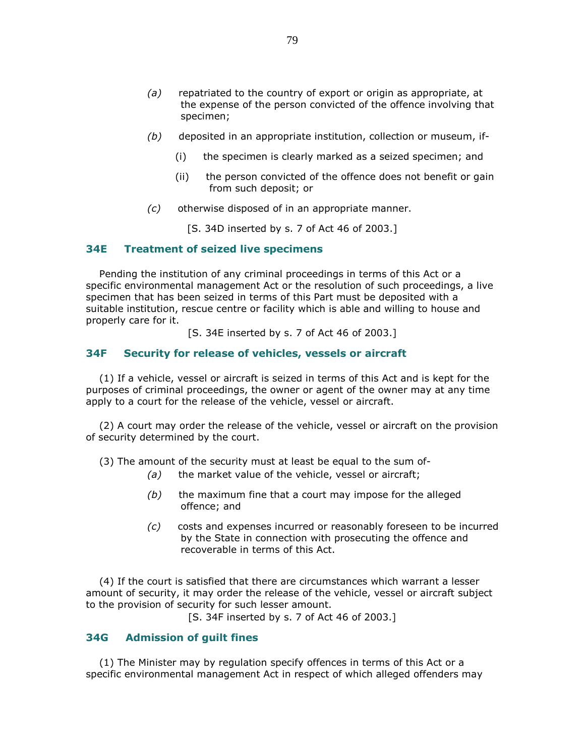- $(a)$  repatriated to the country of export or origin as appropriate, at the expense of the person convicted of the offence involving that specimen;
- $(b)$  deposited in an appropriate institution, collection or museum, if-
	- (i) the specimen is clearly marked as a seized specimen; and
	- (ii) the person convicted of the offence does not benefit or gain from such deposit; or
- (c) otherwise disposed of in an appropriate manner.
	- [S. 34D inserted by s. 7 of Act 46 of 2003.]

#### 34E Treatment of seized live specimens

 Pending the institution of any criminal proceedings in terms of this Act or a specific environmental management Act or the resolution of such proceedings, a live specimen that has been seized in terms of this Part must be deposited with a suitable institution, rescue centre or facility which is able and willing to house and properly care for it.

[S. 34E inserted by s. 7 of Act 46 of 2003.]

# 34F Security for release of vehicles, vessels or aircraft

 (1) If a vehicle, vessel or aircraft is seized in terms of this Act and is kept for the purposes of criminal proceedings, the owner or agent of the owner may at any time apply to a court for the release of the vehicle, vessel or aircraft.

 (2) A court may order the release of the vehicle, vessel or aircraft on the provision of security determined by the court.

(3) The amount of the security must at least be equal to the sum of-

- $(a)$  the market value of the vehicle, vessel or aircraft;
- $(b)$  the maximum fine that a court may impose for the alleged offence; and
- (c) costs and expenses incurred or reasonably foreseen to be incurred by the State in connection with prosecuting the offence and recoverable in terms of this Act.

 (4) If the court is satisfied that there are circumstances which warrant a lesser amount of security, it may order the release of the vehicle, vessel or aircraft subject to the provision of security for such lesser amount.

[S. 34F inserted by s. 7 of Act 46 of 2003.]

#### 34G Admission of guilt fines

 (1) The Minister may by regulation specify offences in terms of this Act or a specific environmental management Act in respect of which alleged offenders may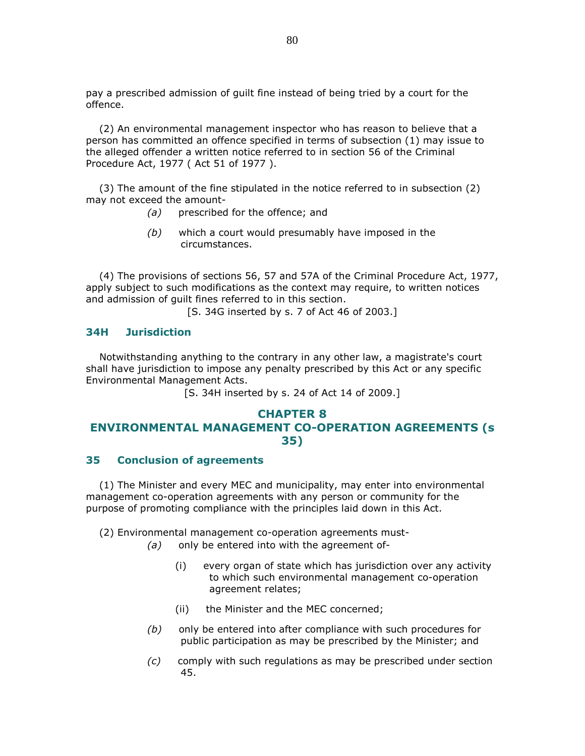pay a prescribed admission of guilt fine instead of being tried by a court for the offence.

 (2) An environmental management inspector who has reason to believe that a person has committed an offence specified in terms of subsection (1) may issue to the alleged offender a written notice referred to in section 56 of the Criminal Procedure Act, 1977 ( Act 51 of 1977 ).

 (3) The amount of the fine stipulated in the notice referred to in subsection (2) may not exceed the amount-

- (a) prescribed for the offence; and
- (b) which a court would presumably have imposed in the circumstances.

 (4) The provisions of sections 56, 57 and 57A of the Criminal Procedure Act, 1977, apply subject to such modifications as the context may require, to written notices and admission of guilt fines referred to in this section.

[S. 34G inserted by s. 7 of Act 46 of 2003.]

# 34H Jurisdiction

 Notwithstanding anything to the contrary in any other law, a magistrate's court shall have jurisdiction to impose any penalty prescribed by this Act or any specific Environmental Management Acts.

[S. 34H inserted by s. 24 of Act 14 of 2009.]

# CHAPTER 8 ENVIRONMENTAL MANAGEMENT CO-OPERATION AGREEMENTS (s 35)

#### 35 Conclusion of agreements

 (1) The Minister and every MEC and municipality, may enter into environmental management co-operation agreements with any person or community for the purpose of promoting compliance with the principles laid down in this Act.

(2) Environmental management co-operation agreements must-

(a) only be entered into with the agreement of-

- (i) every organ of state which has jurisdiction over any activity to which such environmental management co-operation agreement relates;
- (ii) the Minister and the MEC concerned;
- (b) only be entered into after compliance with such procedures for public participation as may be prescribed by the Minister; and
- (c) comply with such regulations as may be prescribed under section 45.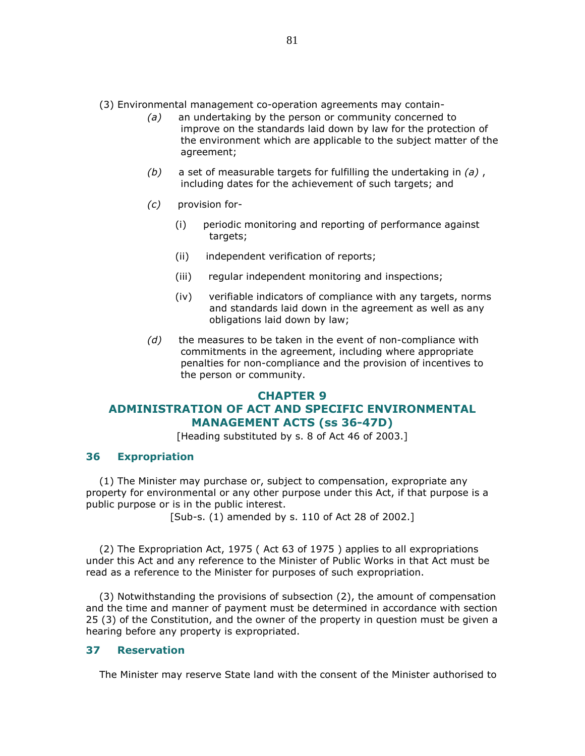(3) Environmental management co-operation agreements may contain-

- (a) an undertaking by the person or community concerned to improve on the standards laid down by law for the protection of the environment which are applicable to the subject matter of the agreement;
- (b) a set of measurable targets for fulfilling the undertaking in (a), including dates for the achievement of such targets; and
- (c) provision for-
	- (i) periodic monitoring and reporting of performance against targets;
	- (ii) independent verification of reports;
	- (iii) regular independent monitoring and inspections;
	- (iv) verifiable indicators of compliance with any targets, norms and standards laid down in the agreement as well as any obligations laid down by law;
- $(d)$  the measures to be taken in the event of non-compliance with commitments in the agreement, including where appropriate penalties for non-compliance and the provision of incentives to the person or community.

# CHAPTER 9 ADMINISTRATION OF ACT AND SPECIFIC ENVIRONMENTAL MANAGEMENT ACTS (ss 36-47D)

[Heading substituted by s. 8 of Act 46 of 2003.]

### 36 Expropriation

 (1) The Minister may purchase or, subject to compensation, expropriate any property for environmental or any other purpose under this Act, if that purpose is a public purpose or is in the public interest.

[Sub-s. (1) amended by s. 110 of Act 28 of 2002.]

 (2) The Expropriation Act, 1975 ( Act 63 of 1975 ) applies to all expropriations under this Act and any reference to the Minister of Public Works in that Act must be read as a reference to the Minister for purposes of such expropriation.

 (3) Notwithstanding the provisions of subsection (2), the amount of compensation and the time and manner of payment must be determined in accordance with section 25 (3) of the Constitution, and the owner of the property in question must be given a hearing before any property is expropriated.

#### 37 Reservation

The Minister may reserve State land with the consent of the Minister authorised to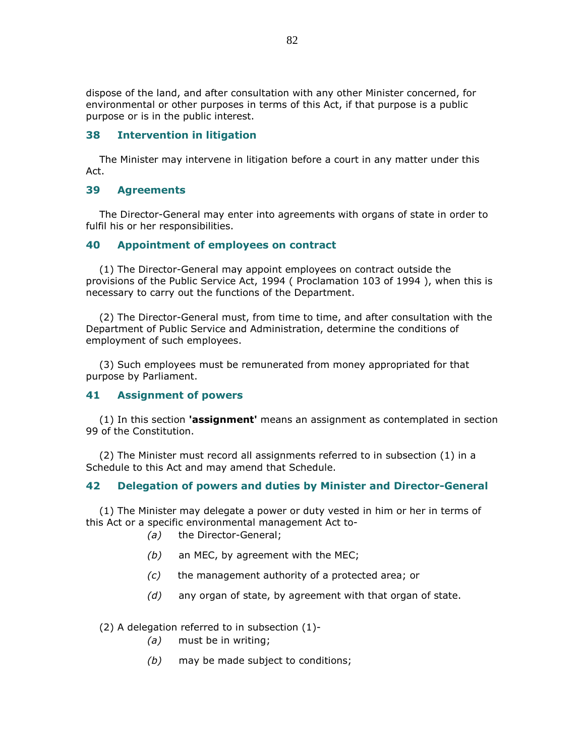dispose of the land, and after consultation with any other Minister concerned, for environmental or other purposes in terms of this Act, if that purpose is a public purpose or is in the public interest.

## 38 Intervention in litigation

 The Minister may intervene in litigation before a court in any matter under this Act.

## 39 Agreements

 The Director-General may enter into agreements with organs of state in order to fulfil his or her responsibilities.

# 40 Appointment of employees on contract

 (1) The Director-General may appoint employees on contract outside the provisions of the Public Service Act, 1994 ( Proclamation 103 of 1994 ), when this is necessary to carry out the functions of the Department.

 (2) The Director-General must, from time to time, and after consultation with the Department of Public Service and Administration, determine the conditions of employment of such employees.

 (3) Such employees must be remunerated from money appropriated for that purpose by Parliament.

#### 41 Assignment of powers

(1) In this section 'assignment' means an assignment as contemplated in section 99 of the Constitution.

 (2) The Minister must record all assignments referred to in subsection (1) in a Schedule to this Act and may amend that Schedule.

# 42 Delegation of powers and duties by Minister and Director-General

 (1) The Minister may delegate a power or duty vested in him or her in terms of this Act or a specific environmental management Act to-

- (a) the Director-General;
- $(b)$  an MEC, by agreement with the MEC;
- (c) the management authority of a protected area; or
- $(d)$  any organ of state, by agreement with that organ of state.

(2) A delegation referred to in subsection (1)-

- (a) must be in writing;
- (b) may be made subject to conditions;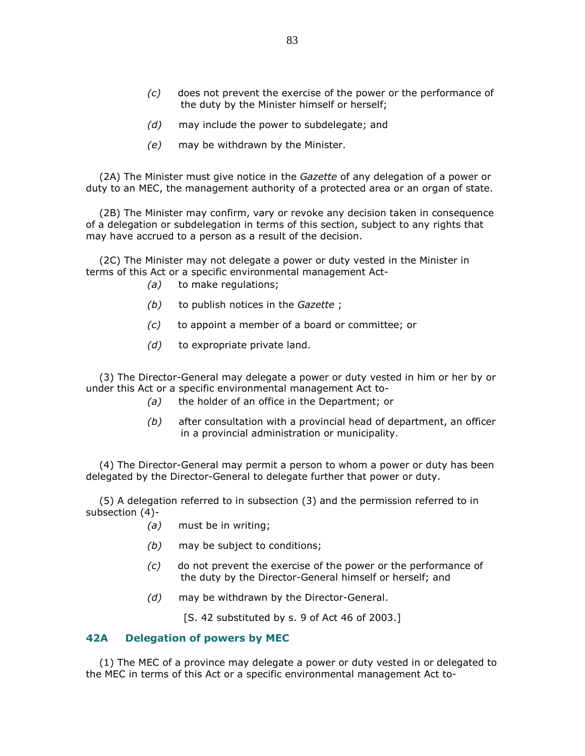- (c) does not prevent the exercise of the power or the performance of the duty by the Minister himself or herself;
- (d) may include the power to subdelegate; and
- (e) may be withdrawn by the Minister.

(2A) The Minister must give notice in the Gazette of any delegation of a power or duty to an MEC, the management authority of a protected area or an organ of state.

 (2B) The Minister may confirm, vary or revoke any decision taken in consequence of a delegation or subdelegation in terms of this section, subject to any rights that may have accrued to a person as a result of the decision.

 (2C) The Minister may not delegate a power or duty vested in the Minister in terms of this Act or a specific environmental management Act-

- (a) to make regulations;
- $(b)$  to publish notices in the Gazette;
- (c) to appoint a member of a board or committee; or
- (d) to expropriate private land.

 (3) The Director-General may delegate a power or duty vested in him or her by or under this Act or a specific environmental management Act to-

- (a) the holder of an office in the Department; or
- $(b)$  after consultation with a provincial head of department, an officer in a provincial administration or municipality.

 (4) The Director-General may permit a person to whom a power or duty has been delegated by the Director-General to delegate further that power or duty.

 (5) A delegation referred to in subsection (3) and the permission referred to in subsection (4)-

- (a) must be in writing;
- (b) may be subject to conditions;
- (c) do not prevent the exercise of the power or the performance of the duty by the Director-General himself or herself; and
- (d) may be withdrawn by the Director-General.

[S. 42 substituted by s. 9 of Act 46 of 2003.]

#### 42A Delegation of powers by MEC

 (1) The MEC of a province may delegate a power or duty vested in or delegated to the MEC in terms of this Act or a specific environmental management Act to-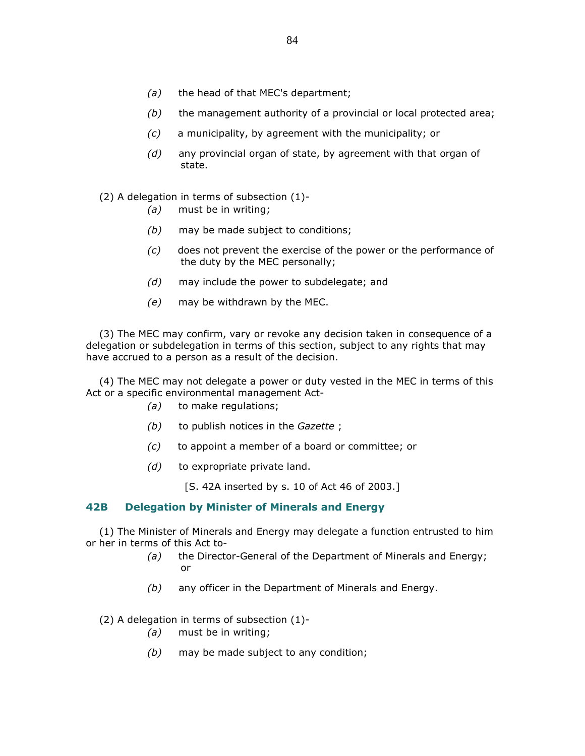- (a) the head of that MEC's department;
- $(b)$  the management authority of a provincial or local protected area;
- (c) a municipality, by agreement with the municipality; or
- (d) any provincial organ of state, by agreement with that organ of state.

(2) A delegation in terms of subsection (1)-

- (a) must be in writing;
- (b) may be made subject to conditions;
- (c) does not prevent the exercise of the power or the performance of the duty by the MEC personally;
- (d) may include the power to subdelegate; and
- (e) may be withdrawn by the MEC.

 (3) The MEC may confirm, vary or revoke any decision taken in consequence of a delegation or subdelegation in terms of this section, subject to any rights that may have accrued to a person as a result of the decision.

 (4) The MEC may not delegate a power or duty vested in the MEC in terms of this Act or a specific environmental management Act-

- (a) to make regulations;
- $(b)$  to publish notices in the Gazette;
- (c) to appoint a member of a board or committee; or
- (d) to expropriate private land.

[S. 42A inserted by s. 10 of Act 46 of 2003.]

#### 42B Delegation by Minister of Minerals and Energy

 (1) The Minister of Minerals and Energy may delegate a function entrusted to him or her in terms of this Act to-

- (a) the Director-General of the Department of Minerals and Energy; or
- $(b)$  any officer in the Department of Minerals and Energy.

(2) A delegation in terms of subsection (1)-

- (a) must be in writing;
- (b) may be made subject to any condition;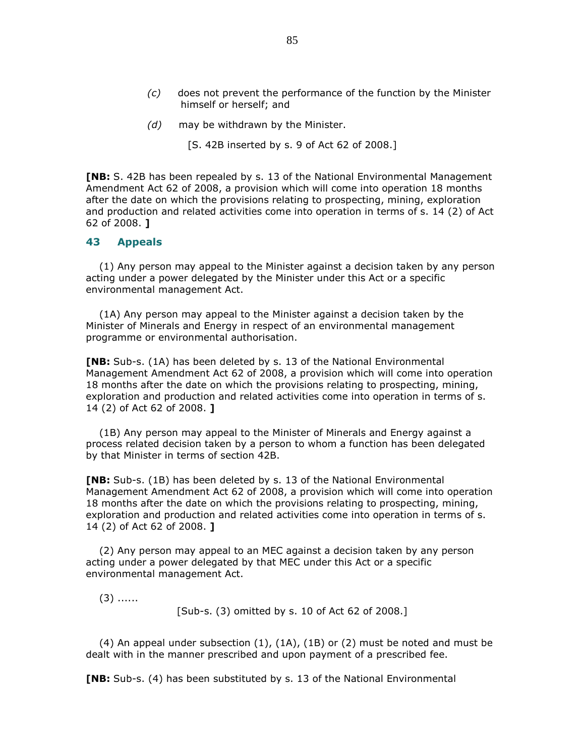- $(c)$  does not prevent the performance of the function by the Minister himself or herself; and
- (d) may be withdrawn by the Minister.

[S. 42B inserted by s. 9 of Act 62 of 2008.]

**[NB:** S. 42B has been repealed by s. 13 of the National Environmental Management Amendment Act 62 of 2008, a provision which will come into operation 18 months after the date on which the provisions relating to prospecting, mining, exploration and production and related activities come into operation in terms of s. 14 (2) of Act 62 of 2008. ]

#### 43 Appeals

 (1) Any person may appeal to the Minister against a decision taken by any person acting under a power delegated by the Minister under this Act or a specific environmental management Act.

 (1A) Any person may appeal to the Minister against a decision taken by the Minister of Minerals and Energy in respect of an environmental management programme or environmental authorisation.

[NB: Sub-s. (1A) has been deleted by s. 13 of the National Environmental Management Amendment Act 62 of 2008, a provision which will come into operation 18 months after the date on which the provisions relating to prospecting, mining, exploration and production and related activities come into operation in terms of s. 14 (2) of Act 62 of 2008. ]

 (1B) Any person may appeal to the Minister of Minerals and Energy against a process related decision taken by a person to whom a function has been delegated by that Minister in terms of section 42B.

[NB: Sub-s. (1B) has been deleted by s. 13 of the National Environmental Management Amendment Act 62 of 2008, a provision which will come into operation 18 months after the date on which the provisions relating to prospecting, mining, exploration and production and related activities come into operation in terms of s. 14 (2) of Act 62 of 2008. ]

 (2) Any person may appeal to an MEC against a decision taken by any person acting under a power delegated by that MEC under this Act or a specific environmental management Act.

 $(3)$  ......

[Sub-s. (3) omitted by s. 10 of Act 62 of 2008.]

 $(4)$  An appeal under subsection  $(1)$ ,  $(1A)$ ,  $(1B)$  or  $(2)$  must be noted and must be dealt with in the manner prescribed and upon payment of a prescribed fee.

[NB: Sub-s. (4) has been substituted by s. 13 of the National Environmental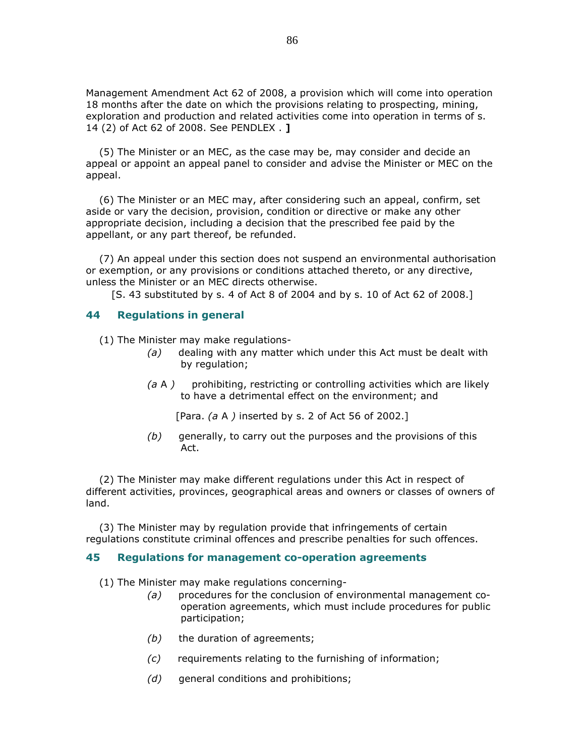Management Amendment Act 62 of 2008, a provision which will come into operation 18 months after the date on which the provisions relating to prospecting, mining, exploration and production and related activities come into operation in terms of s. 14 (2) of Act 62 of 2008. See PENDLEX . ]

 (5) The Minister or an MEC, as the case may be, may consider and decide an appeal or appoint an appeal panel to consider and advise the Minister or MEC on the appeal.

 (6) The Minister or an MEC may, after considering such an appeal, confirm, set aside or vary the decision, provision, condition or directive or make any other appropriate decision, including a decision that the prescribed fee paid by the appellant, or any part thereof, be refunded.

 (7) An appeal under this section does not suspend an environmental authorisation or exemption, or any provisions or conditions attached thereto, or any directive, unless the Minister or an MEC directs otherwise.

[S. 43 substituted by s. 4 of Act 8 of 2004 and by s. 10 of Act 62 of 2008.]

# 44 Regulations in general

(1) The Minister may make regulations-

- (a) dealing with any matter which under this Act must be dealt with by regulation;
- $(a A)$  prohibiting, restricting or controlling activities which are likely to have a detrimental effect on the environment; and

[Para. (a A) inserted by s. 2 of Act 56 of 2002.]

 $(b)$  generally, to carry out the purposes and the provisions of this Act.

 (2) The Minister may make different regulations under this Act in respect of different activities, provinces, geographical areas and owners or classes of owners of land.

 (3) The Minister may by regulation provide that infringements of certain regulations constitute criminal offences and prescribe penalties for such offences.

#### 45 Regulations for management co-operation agreements

(1) The Minister may make regulations concerning-

- (a) procedures for the conclusion of environmental management cooperation agreements, which must include procedures for public participation;
- $(b)$  the duration of agreements;
- (c) requirements relating to the furnishing of information;
- (d) general conditions and prohibitions;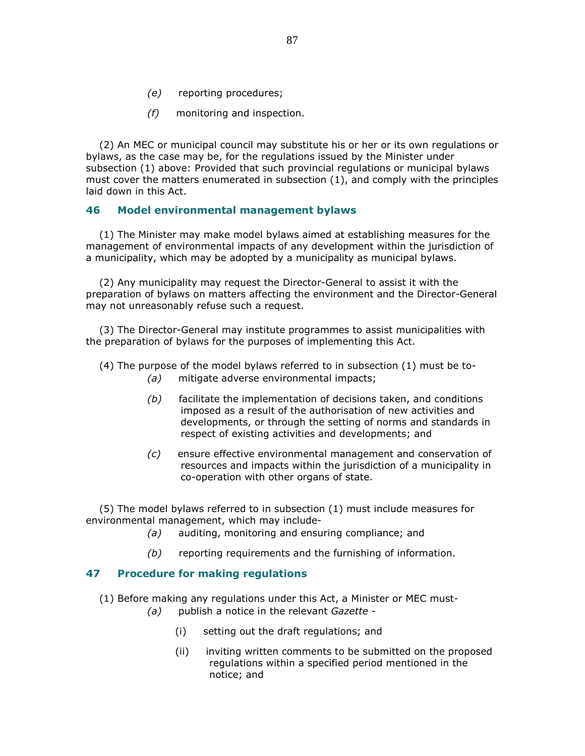- (e) reporting procedures;
- (f) monitoring and inspection.

 (2) An MEC or municipal council may substitute his or her or its own regulations or bylaws, as the case may be, for the regulations issued by the Minister under subsection (1) above: Provided that such provincial regulations or municipal bylaws must cover the matters enumerated in subsection (1), and comply with the principles laid down in this Act.

#### 46 Model environmental management bylaws

 (1) The Minister may make model bylaws aimed at establishing measures for the management of environmental impacts of any development within the jurisdiction of a municipality, which may be adopted by a municipality as municipal bylaws.

 (2) Any municipality may request the Director-General to assist it with the preparation of bylaws on matters affecting the environment and the Director-General may not unreasonably refuse such a request.

 (3) The Director-General may institute programmes to assist municipalities with the preparation of bylaws for the purposes of implementing this Act.

- (4) The purpose of the model bylaws referred to in subsection (1) must be to-
	- (a) mitigate adverse environmental impacts;
	- $(b)$  facilitate the implementation of decisions taken, and conditions imposed as a result of the authorisation of new activities and developments, or through the setting of norms and standards in respect of existing activities and developments; and
	- (c) ensure effective environmental management and conservation of resources and impacts within the jurisdiction of a municipality in co-operation with other organs of state.

 (5) The model bylaws referred to in subsection (1) must include measures for environmental management, which may include-

- (a) auditing, monitoring and ensuring compliance; and
- (b) reporting requirements and the furnishing of information.

#### 47 Procedure for making regulations

- (1) Before making any regulations under this Act, a Minister or MEC must-
	- (a) publish a notice in the relevant Gazette -
		- (i) setting out the draft regulations; and
		- (ii) inviting written comments to be submitted on the proposed regulations within a specified period mentioned in the notice; and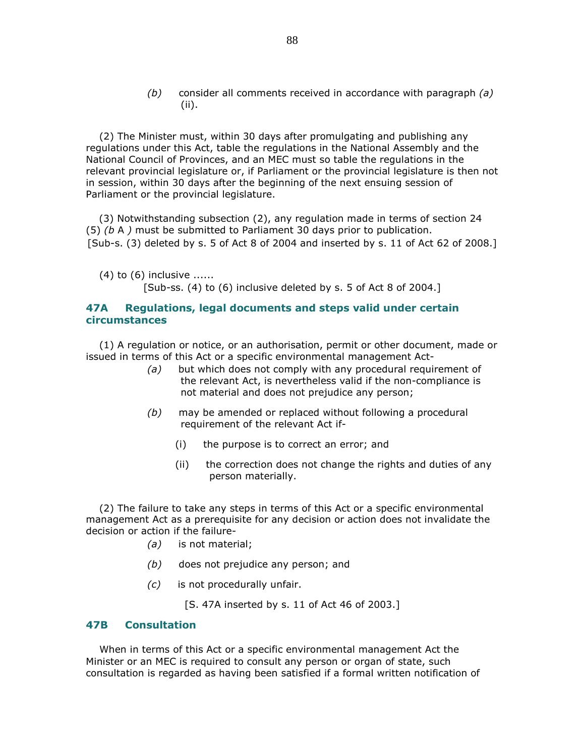(b) consider all comments received in accordance with paragraph  $(a)$ (ii).

 (2) The Minister must, within 30 days after promulgating and publishing any regulations under this Act, table the regulations in the National Assembly and the National Council of Provinces, and an MEC must so table the regulations in the relevant provincial legislature or, if Parliament or the provincial legislature is then not in session, within 30 days after the beginning of the next ensuing session of Parliament or the provincial legislature.

 (3) Notwithstanding subsection (2), any regulation made in terms of section 24 (5)  $(b \text{ A})$  must be submitted to Parliament 30 days prior to publication. [Sub-s. (3) deleted by s. 5 of Act 8 of 2004 and inserted by s. 11 of Act 62 of 2008.]

 $(4)$  to  $(6)$  inclusive ......

[Sub-ss. (4) to (6) inclusive deleted by s. 5 of Act 8 of 2004.]

#### 47A Regulations, legal documents and steps valid under certain circumstances

 (1) A regulation or notice, or an authorisation, permit or other document, made or issued in terms of this Act or a specific environmental management Act-

- $(a)$  but which does not comply with any procedural requirement of the relevant Act, is nevertheless valid if the non-compliance is not material and does not prejudice any person;
- (b) may be amended or replaced without following a procedural requirement of the relevant Act if-
	- (i) the purpose is to correct an error; and
	- (ii) the correction does not change the rights and duties of any person materially.

 (2) The failure to take any steps in terms of this Act or a specific environmental management Act as a prerequisite for any decision or action does not invalidate the decision or action if the failure-

- (a) is not material;
- (b) does not prejudice any person; and
- (c) is not procedurally unfair.
	- [S. 47A inserted by s. 11 of Act 46 of 2003.]

# 47B Consultation

 When in terms of this Act or a specific environmental management Act the Minister or an MEC is required to consult any person or organ of state, such consultation is regarded as having been satisfied if a formal written notification of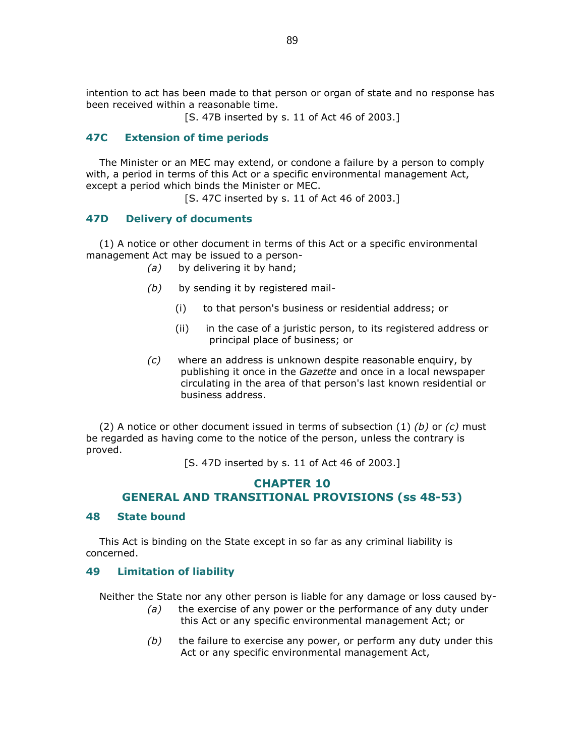intention to act has been made to that person or organ of state and no response has been received within a reasonable time.

[S. 47B inserted by s. 11 of Act 46 of 2003.]

# 47C Extension of time periods

 The Minister or an MEC may extend, or condone a failure by a person to comply with, a period in terms of this Act or a specific environmental management Act, except a period which binds the Minister or MEC.

[S. 47C inserted by s. 11 of Act 46 of 2003.]

#### 47D Delivery of documents

 (1) A notice or other document in terms of this Act or a specific environmental management Act may be issued to a person-

- (a) by delivering it by hand;
- $(b)$  by sending it by registered mail-
	- (i) to that person's business or residential address; or
	- (ii) in the case of a juristic person, to its registered address or principal place of business; or
- $(c)$  where an address is unknown despite reasonable enquiry, by publishing it once in the Gazette and once in a local newspaper circulating in the area of that person's last known residential or business address.

(2) A notice or other document issued in terms of subsection  $(1)$  (b) or  $(c)$  must be regarded as having come to the notice of the person, unless the contrary is proved.

[S. 47D inserted by s. 11 of Act 46 of 2003.]

# CHAPTER 10 GENERAL AND TRANSITIONAL PROVISIONS (ss 48-53)

#### 48 State bound

 This Act is binding on the State except in so far as any criminal liability is concerned.

#### 49 Limitation of liability

Neither the State nor any other person is liable for any damage or loss caused by-

- $(a)$  the exercise of any power or the performance of any duty under this Act or any specific environmental management Act; or
- $(b)$  the failure to exercise any power, or perform any duty under this Act or any specific environmental management Act,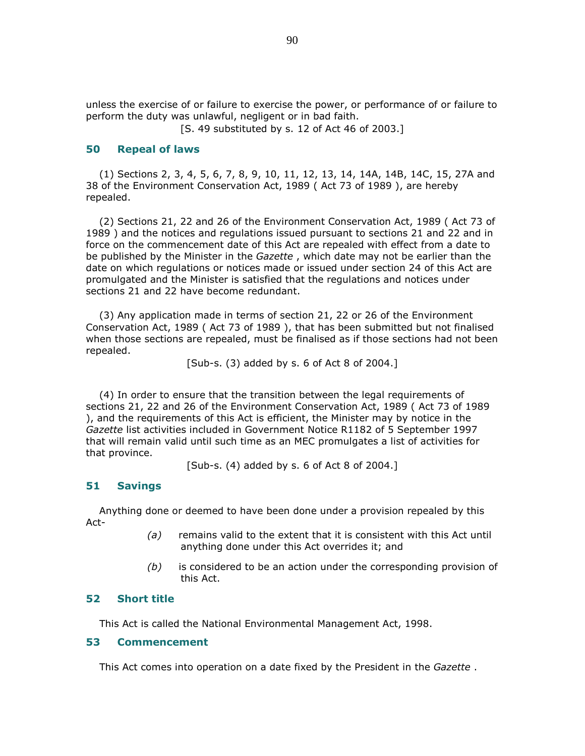unless the exercise of or failure to exercise the power, or performance of or failure to perform the duty was unlawful, negligent or in bad faith.

[S. 49 substituted by s. 12 of Act 46 of 2003.]

# 50 Repeal of laws

 (1) Sections 2, 3, 4, 5, 6, 7, 8, 9, 10, 11, 12, 13, 14, 14A, 14B, 14C, 15, 27A and 38 of the Environment Conservation Act, 1989 ( Act 73 of 1989 ), are hereby repealed.

 (2) Sections 21, 22 and 26 of the Environment Conservation Act, 1989 ( Act 73 of 1989 ) and the notices and regulations issued pursuant to sections 21 and 22 and in force on the commencement date of this Act are repealed with effect from a date to be published by the Minister in the Gazette, which date may not be earlier than the date on which regulations or notices made or issued under section 24 of this Act are promulgated and the Minister is satisfied that the regulations and notices under sections 21 and 22 have become redundant.

 (3) Any application made in terms of section 21, 22 or 26 of the Environment Conservation Act, 1989 ( Act 73 of 1989 ), that has been submitted but not finalised when those sections are repealed, must be finalised as if those sections had not been repealed.

[Sub-s. (3) added by s. 6 of Act 8 of 2004.]

 (4) In order to ensure that the transition between the legal requirements of sections 21, 22 and 26 of the Environment Conservation Act, 1989 ( Act 73 of 1989 ), and the requirements of this Act is efficient, the Minister may by notice in the Gazette list activities included in Government Notice R1182 of 5 September 1997 that will remain valid until such time as an MEC promulgates a list of activities for that province.

[Sub-s. (4) added by s. 6 of Act 8 of 2004.]

#### 51 Savings

 Anything done or deemed to have been done under a provision repealed by this Act-

- (a) remains valid to the extent that it is consistent with this Act until anything done under this Act overrides it; and
- $(b)$  is considered to be an action under the corresponding provision of this Act.

#### 52 Short title

This Act is called the National Environmental Management Act, 1998.

#### 53 Commencement

This Act comes into operation on a date fixed by the President in the Gazette.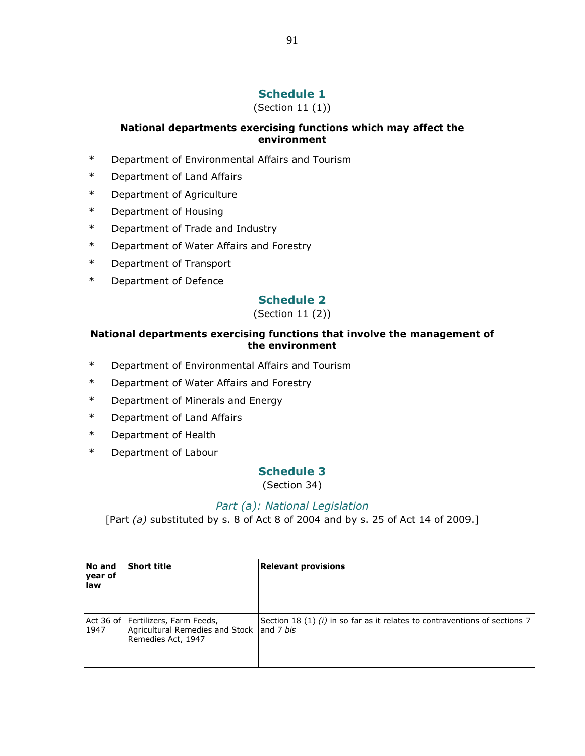# Schedule 1

# (Section 11 (1))

# National departments exercising functions which may affect the environment

- \* Department of Environmental Affairs and Tourism
- \* Department of Land Affairs
- \* Department of Agriculture
- \* Department of Housing
- \* Department of Trade and Industry
- \* Department of Water Affairs and Forestry
- \* Department of Transport
- \* Department of Defence

# Schedule 2

(Section 11 (2))

# National departments exercising functions that involve the management of the environment

- \* Department of Environmental Affairs and Tourism
- \* Department of Water Affairs and Forestry
- \* Department of Minerals and Energy
- \* Department of Land Affairs
- \* Department of Health
- \* Department of Labour

# Schedule 3

(Section 34)

#### Part (a): National Legislation

[Part  $(a)$  substituted by s. 8 of Act 8 of 2004 and by s. 25 of Act 14 of 2009.]

| No and<br>year of<br>law | <b>Short title</b>                                                                          | <b>Relevant provisions</b>                                                                |
|--------------------------|---------------------------------------------------------------------------------------------|-------------------------------------------------------------------------------------------|
| 1947                     | Act 36 of Fertilizers, Farm Feeds,<br>Agricultural Remedies and Stock<br>Remedies Act, 1947 | Section 18 $(1)$ (i) in so far as it relates to contraventions of sections 7<br>and 7 bis |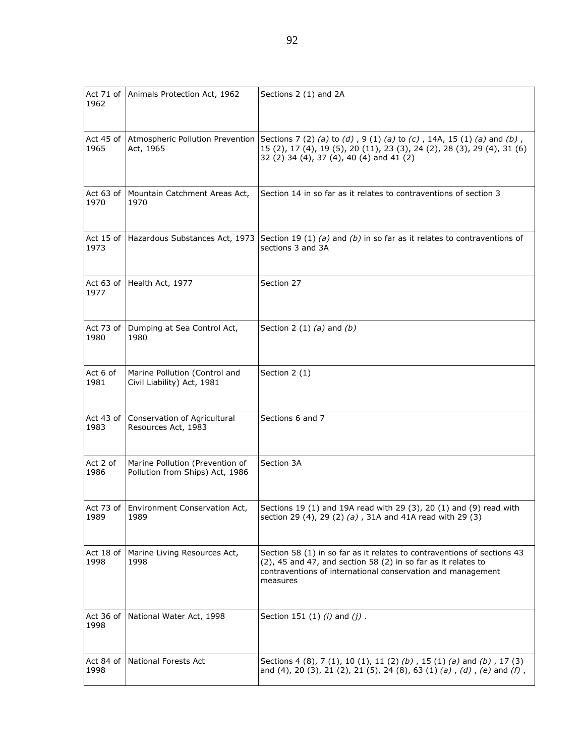| Act 71 of<br>1962 | Animals Protection Act, 1962                                       | Sections 2 (1) and 2A                                                                                                                                                                                                         |
|-------------------|--------------------------------------------------------------------|-------------------------------------------------------------------------------------------------------------------------------------------------------------------------------------------------------------------------------|
| Act 45 of<br>1965 | Act, 1965                                                          | Atmospheric Pollution Prevention Sections 7 (2) (a) to (d), 9 (1) (a) to (c), 14A, 15 (1) (a) and (b),<br>15 (2), 17 (4), 19 (5), 20 (11), 23 (3), 24 (2), 28 (3), 29 (4), 31 (6)<br>32 (2) 34 (4), 37 (4), 40 (4) and 41 (2) |
| Act 63 of<br>1970 | Mountain Catchment Areas Act,<br>1970                              | Section 14 in so far as it relates to contraventions of section 3                                                                                                                                                             |
| Act 15 of<br>1973 |                                                                    | Hazardous Substances Act, 1973 Section 19 (1) (a) and (b) in so far as it relates to contraventions of<br>sections 3 and 3A                                                                                                   |
| Act 63 of<br>1977 | Health Act, 1977                                                   | Section 27                                                                                                                                                                                                                    |
| Act 73 of<br>1980 | Dumping at Sea Control Act,<br>1980                                | Section 2 $(1)$ $(a)$ and $(b)$                                                                                                                                                                                               |
| Act 6 of<br>1981  | Marine Pollution (Control and<br>Civil Liability) Act, 1981        | Section 2 (1)                                                                                                                                                                                                                 |
| Act 43 of<br>1983 | Conservation of Agricultural<br>Resources Act, 1983                | Sections 6 and 7                                                                                                                                                                                                              |
| Act 2 of<br>1986  | Marine Pollution (Prevention of<br>Pollution from Ships) Act, 1986 | Section 3A                                                                                                                                                                                                                    |
| 1989              | Act 73 of Environment Conservation Act,<br>1989                    | Sections 19 (1) and 19A read with 29 (3), 20 (1) and (9) read with<br>section 29 (4), 29 (2) (a), 31A and 41A read with 29 (3)                                                                                                |
| Act 18 of<br>1998 | Marine Living Resources Act,<br>1998                               | Section 58 (1) in so far as it relates to contraventions of sections 43<br>$(2)$ , 45 and 47, and section 58 $(2)$ in so far as it relates to<br>contraventions of international conservation and management<br>measures      |
| Act 36 of<br>1998 | National Water Act, 1998                                           | Section 151 $(1)$ $(i)$ and $(j)$ .                                                                                                                                                                                           |
| Act 84 of<br>1998 | National Forests Act                                               | Sections 4 (8), 7 (1), 10 (1), 11 (2) (b), 15 (1) (a) and (b), 17 (3)<br>and (4), 20 (3), 21 (2), 21 (5), 24 (8), 63 (1) (a), (d), (e) and (f),                                                                               |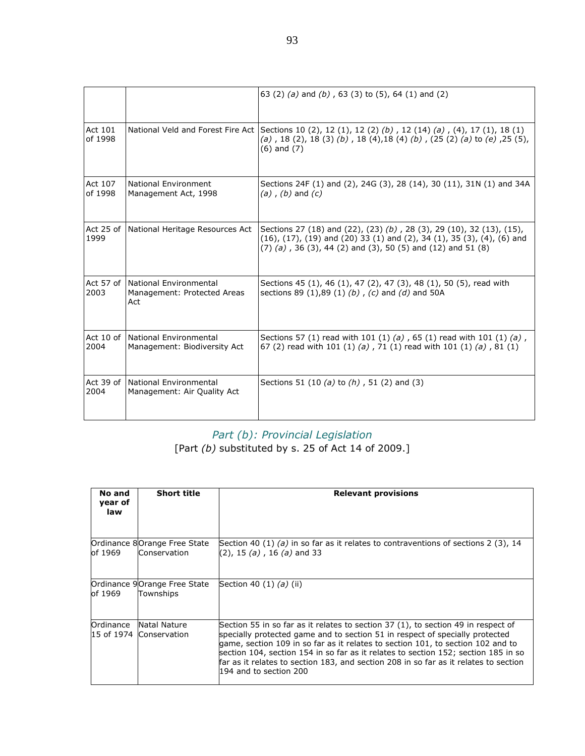|                    |                                                              | 63 (2) (a) and (b), 63 (3) to (5), 64 (1) and (2)                                                                                                                                                                                         |
|--------------------|--------------------------------------------------------------|-------------------------------------------------------------------------------------------------------------------------------------------------------------------------------------------------------------------------------------------|
| Act 101<br>of 1998 | National Veld and Forest Fire Act                            | Sections 10 (2), 12 (1), 12 (2) (b), 12 (14) (a), (4), 17 (1), 18 (1)<br>(a), 18 (2), 18 (3) (b), 18 (4), 18 (4) (b), (25 (2) (a) to (e), 25 (5),<br>$(6)$ and $(7)$                                                                      |
| Act 107<br>of 1998 | National Environment<br>Management Act, 1998                 | Sections 24F (1) and (2), 24G (3), 28 (14), 30 (11), 31N (1) and 34A<br>$(a)$ , $(b)$ and $(c)$                                                                                                                                           |
| Act 25 of<br>1999  | National Heritage Resources Act                              | Sections 27 (18) and (22), (23) (b), 28 (3), 29 (10), 32 (13), (15),<br>$(16)$ , $(17)$ , $(19)$ and $(20)$ 33 $(1)$ and $(2)$ , 34 $(1)$ , 35 $(3)$ , $(4)$ , $(6)$ and<br>$(7)$ (a), 36 (3), 44 (2) and (3), 50 (5) and (12) and 51 (8) |
| Act 57 of<br>2003  | National Environmental<br>Management: Protected Areas<br>Act | Sections 45 (1), 46 (1), 47 (2), 47 (3), 48 (1), 50 (5), read with<br>sections 89 $(1)$ , 89 $(1)$ $(b)$ , $(c)$ and $(d)$ and 50A                                                                                                        |
| Act 10 of<br>2004  | National Environmental<br>Management: Biodiversity Act       | Sections 57 (1) read with 101 (1) (a), 65 (1) read with 101 (1) (a),<br>67 (2) read with 101 (1) (a), 71 (1) read with 101 (1) (a), 81 (1)                                                                                                |
| Act 39 of<br>2004  | National Environmental<br>Management: Air Quality Act        | Sections 51 (10 (a) to (h), 51 (2) and (3)                                                                                                                                                                                                |

# Part (b): Provincial Legislation

[Part  $(b)$  substituted by s. 25 of Act 14 of 2009.]

| No and<br>year of<br>law | <b>Short title</b>                           | <b>Relevant provisions</b>                                                                                                                                                                                                                                                                                                                                                                                                                                   |
|--------------------------|----------------------------------------------|--------------------------------------------------------------------------------------------------------------------------------------------------------------------------------------------------------------------------------------------------------------------------------------------------------------------------------------------------------------------------------------------------------------------------------------------------------------|
| of 1969                  | Ordinance 8Orange Free State<br>Conservation | Section 40 (1) (a) in so far as it relates to contraventions of sections 2 (3), 14<br>$(2)$ , 15 $(a)$ , 16 $(a)$ and 33                                                                                                                                                                                                                                                                                                                                     |
| of 1969                  | Ordinance 9Orange Free State<br>Townships    | Section 40 (1) (a) (ii)                                                                                                                                                                                                                                                                                                                                                                                                                                      |
| Ordinance<br>15 of 1974  | Natal Nature<br>Conservation                 | Section 55 in so far as it relates to section 37 (1), to section 49 in respect of<br>specially protected game and to section 51 in respect of specially protected<br>game, section 109 in so far as it relates to section 101, to section 102 and to<br>section 104, section 154 in so far as it relates to section 152; section 185 in so<br>far as it relates to section 183, and section 208 in so far as it relates to section<br>194 and to section 200 |